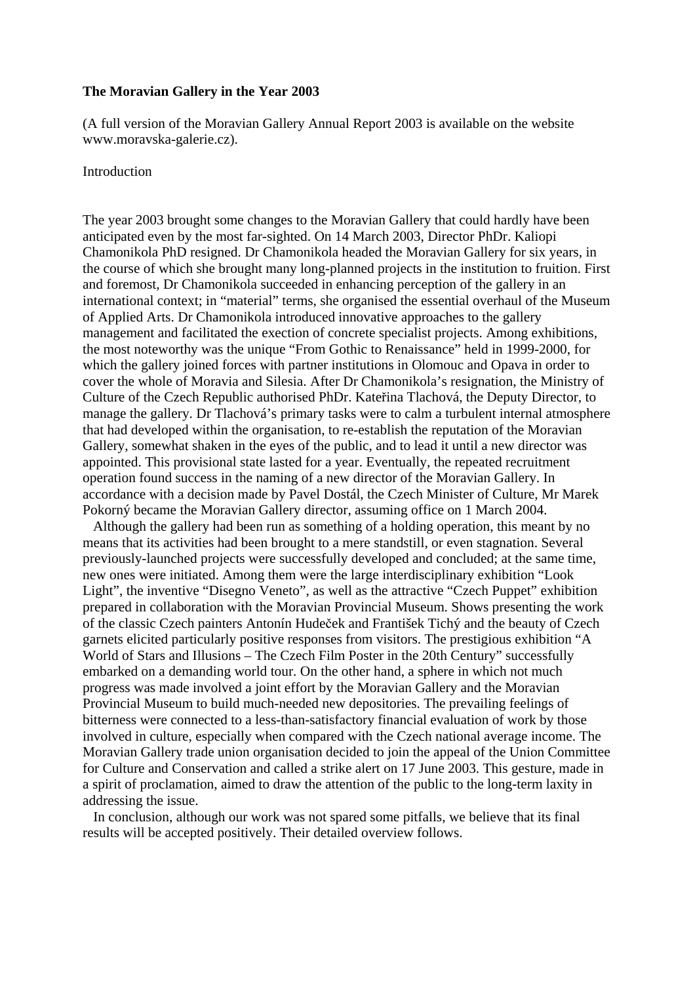#### **The Moravian Gallery in the Year 2003**

(A full version of the Moravian Gallery Annual Report 2003 is available on the website www.moravska-galerie.cz).

#### Introduction

The year 2003 brought some changes to the Moravian Gallery that could hardly have been anticipated even by the most far-sighted. On 14 March 2003, Director PhDr. Kaliopi Chamonikola PhD resigned. Dr Chamonikola headed the Moravian Gallery for six years, in the course of which she brought many long-planned projects in the institution to fruition. First and foremost, Dr Chamonikola succeeded in enhancing perception of the gallery in an international context; in "material" terms, she organised the essential overhaul of the Museum of Applied Arts. Dr Chamonikola introduced innovative approaches to the gallery management and facilitated the exection of concrete specialist projects. Among exhibitions, the most noteworthy was the unique "From Gothic to Renaissance" held in 1999-2000, for which the gallery joined forces with partner institutions in Olomouc and Opava in order to cover the whole of Moravia and Silesia. After Dr Chamonikola's resignation, the Ministry of Culture of the Czech Republic authorised PhDr. Kateřina Tlachová, the Deputy Director, to manage the gallery. Dr Tlachová's primary tasks were to calm a turbulent internal atmosphere that had developed within the organisation, to re-establish the reputation of the Moravian Gallery, somewhat shaken in the eyes of the public, and to lead it until a new director was appointed. This provisional state lasted for a year. Eventually, the repeated recruitment operation found success in the naming of a new director of the Moravian Gallery. In accordance with a decision made by Pavel Dostál, the Czech Minister of Culture, Mr Marek Pokorný became the Moravian Gallery director, assuming office on 1 March 2004.

 Although the gallery had been run as something of a holding operation, this meant by no means that its activities had been brought to a mere standstill, or even stagnation. Several previously-launched projects were successfully developed and concluded; at the same time, new ones were initiated. Among them were the large interdisciplinary exhibition "Look Light", the inventive "Disegno Veneto", as well as the attractive "Czech Puppet" exhibition prepared in collaboration with the Moravian Provincial Museum. Shows presenting the work of the classic Czech painters Antonín Hudeček and František Tichý and the beauty of Czech garnets elicited particularly positive responses from visitors. The prestigious exhibition "A World of Stars and Illusions – The Czech Film Poster in the 20th Century" successfully embarked on a demanding world tour. On the other hand, a sphere in which not much progress was made involved a joint effort by the Moravian Gallery and the Moravian Provincial Museum to build much-needed new depositories. The prevailing feelings of bitterness were connected to a less-than-satisfactory financial evaluation of work by those involved in culture, especially when compared with the Czech national average income. The Moravian Gallery trade union organisation decided to join the appeal of the Union Committee for Culture and Conservation and called a strike alert on 17 June 2003. This gesture, made in a spirit of proclamation, aimed to draw the attention of the public to the long-term laxity in addressing the issue.

 In conclusion, although our work was not spared some pitfalls, we believe that its final results will be accepted positively. Their detailed overview follows.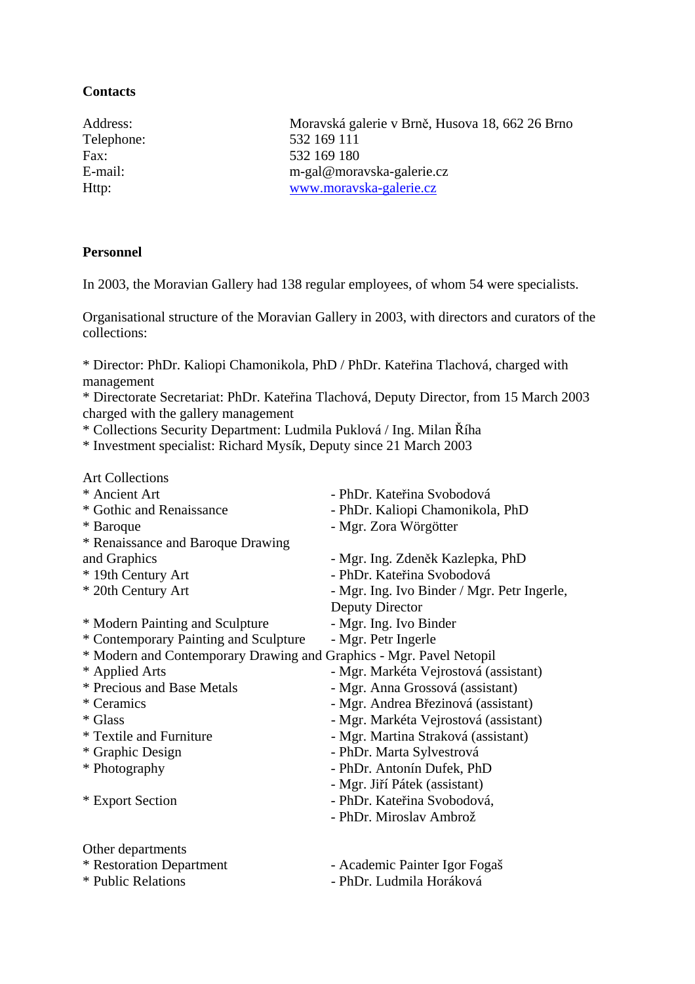# **Contacts**

Address: Moravská galerie v Brně, Husova 18, 662 26 Brno Telephone: 532 169 111 Fax: 532 169 180 E-mail: m-gal@moravska-galerie.cz Http: [www.moravska-galerie.cz](http://www.moravska-galerie.cz/)

# **Personnel**

In 2003, the Moravian Gallery had 138 regular employees, of whom 54 were specialists.

Organisational structure of the Moravian Gallery in 2003, with directors and curators of the collections:

\* Director: PhDr. Kaliopi Chamonikola, PhD / PhDr. Kateřina Tlachová, charged with management

\* Directorate Secretariat: PhDr. Kateřina Tlachová, Deputy Director, from 15 March 2003 charged with the gallery management

\* Collections Security Department: Ludmila Puklová / Ing. Milan Říha

\* Investment specialist: Richard Mysík, Deputy since 21 March 2003

| <b>Art Collections</b>                                              |                                             |
|---------------------------------------------------------------------|---------------------------------------------|
| * Ancient Art                                                       | - PhDr. Kateřina Svobodová                  |
| * Gothic and Renaissance                                            | - PhDr. Kaliopi Chamonikola, PhD            |
| * Baroque                                                           | - Mgr. Zora Wörgötter                       |
| * Renaissance and Baroque Drawing                                   |                                             |
| and Graphics                                                        | - Mgr. Ing. Zdeněk Kazlepka, PhD            |
| * 19th Century Art                                                  | - PhDr. Kateřina Svobodová                  |
| * 20th Century Art                                                  | - Mgr. Ing. Ivo Binder / Mgr. Petr Ingerle, |
|                                                                     | Deputy Director                             |
| * Modern Painting and Sculpture                                     | - Mgr. Ing. Ivo Binder                      |
| * Contemporary Painting and Sculpture                               | - Mgr. Petr Ingerle                         |
| * Modern and Contemporary Drawing and Graphics - Mgr. Pavel Netopil |                                             |
| * Applied Arts                                                      | - Mgr. Markéta Vejrostová (assistant)       |
| * Precious and Base Metals                                          | - Mgr. Anna Grossová (assistant)            |
| * Ceramics                                                          | - Mgr. Andrea Březinová (assistant)         |
| * Glass                                                             | - Mgr. Markéta Vejrostová (assistant)       |
| * Textile and Furniture                                             | - Mgr. Martina Straková (assistant)         |
| * Graphic Design                                                    | - PhDr. Marta Sylvestrová                   |
| * Photography                                                       | - PhDr. Antonín Dufek, PhD                  |
|                                                                     | - Mgr. Jiří Pátek (assistant)               |
| * Export Section                                                    | - PhDr. Kateřina Svobodová,                 |
|                                                                     | - PhDr. Miroslav Ambrož                     |
| Other departments                                                   |                                             |
| * Restoration Department                                            | - Academic Painter Igor Fogaš               |
| * Public Relations                                                  | - PhDr. Ludmila Horáková                    |
|                                                                     |                                             |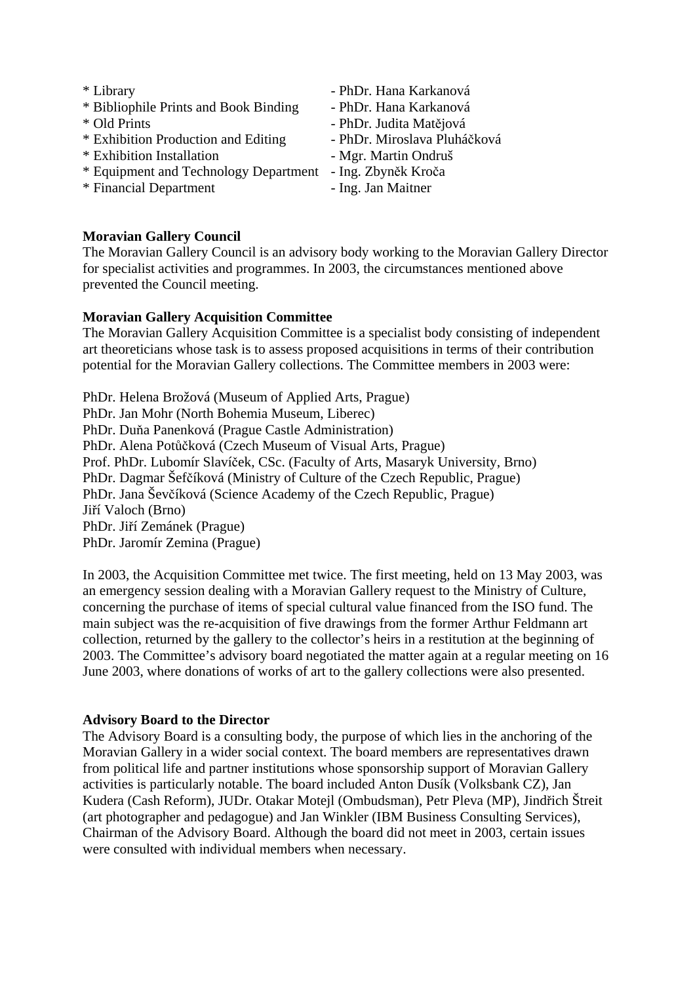| * Library                             | - PhDr. Hana Karkanová       |
|---------------------------------------|------------------------------|
| * Bibliophile Prints and Book Binding | - PhDr. Hana Karkanová       |
| * Old Prints                          | - PhDr. Judita Matějová      |
| * Exhibition Production and Editing   | - PhDr. Miroslava Pluháčková |
| * Exhibition Installation             | - Mgr. Martin Ondruš         |
| * Equipment and Technology Department | - Ing. Zbyněk Kroča          |
| * Financial Department                | - Ing. Jan Maitner           |

**Moravian Gallery Council** 

The Moravian Gallery Council is an advisory body working to the Moravian Gallery Director for specialist activities and programmes. In 2003, the circumstances mentioned above prevented the Council meeting.

# **Moravian Gallery Acquisition Committee**

The Moravian Gallery Acquisition Committee is a specialist body consisting of independent art theoreticians whose task is to assess proposed acquisitions in terms of their contribution potential for the Moravian Gallery collections. The Committee members in 2003 were:

PhDr. Helena Brožová (Museum of Applied Arts, Prague) PhDr. Jan Mohr (North Bohemia Museum, Liberec) PhDr. Duňa Panenková (Prague Castle Administration) PhDr. Alena Potůčková (Czech Museum of Visual Arts, Prague) Prof. PhDr. Lubomír Slavíček, CSc. (Faculty of Arts, Masaryk University, Brno) PhDr. Dagmar Šefčíková (Ministry of Culture of the Czech Republic, Prague) PhDr. Jana Ševčíková (Science Academy of the Czech Republic, Prague) Jiří Valoch (Brno) PhDr. Jiří Zemánek (Prague) PhDr. Jaromír Zemina (Prague)

In 2003, the Acquisition Committee met twice. The first meeting, held on 13 May 2003, was an emergency session dealing with a Moravian Gallery request to the Ministry of Culture, concerning the purchase of items of special cultural value financed from the ISO fund. The main subject was the re-acquisition of five drawings from the former Arthur Feldmann art collection, returned by the gallery to the collector's heirs in a restitution at the beginning of 2003. The Committee's advisory board negotiated the matter again at a regular meeting on 16 June 2003, where donations of works of art to the gallery collections were also presented.

#### **Advisory Board to the Director**

The Advisory Board is a consulting body, the purpose of which lies in the anchoring of the Moravian Gallery in a wider social context. The board members are representatives drawn from political life and partner institutions whose sponsorship support of Moravian Gallery activities is particularly notable. The board included Anton Dusík (Volksbank CZ), Jan Kudera (Cash Reform), JUDr. Otakar Motejl (Ombudsman), Petr Pleva (MP), Jindřich Štreit (art photographer and pedagogue) and Jan Winkler (IBM Business Consulting Services), Chairman of the Advisory Board. Although the board did not meet in 2003, certain issues were consulted with individual members when necessary.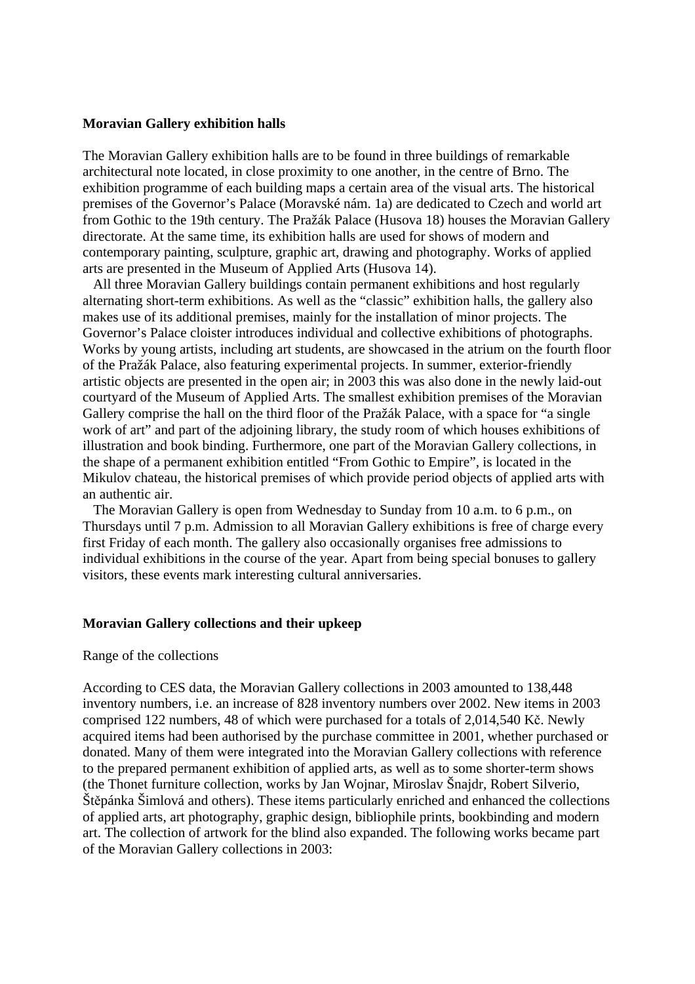#### **Moravian Gallery exhibition halls**

The Moravian Gallery exhibition halls are to be found in three buildings of remarkable architectural note located, in close proximity to one another, in the centre of Brno. The exhibition programme of each building maps a certain area of the visual arts. The historical premises of the Governor's Palace (Moravské nám. 1a) are dedicated to Czech and world art from Gothic to the 19th century. The Pražák Palace (Husova 18) houses the Moravian Gallery directorate. At the same time, its exhibition halls are used for shows of modern and contemporary painting, sculpture, graphic art, drawing and photography. Works of applied arts are presented in the Museum of Applied Arts (Husova 14).

 All three Moravian Gallery buildings contain permanent exhibitions and host regularly alternating short-term exhibitions. As well as the "classic" exhibition halls, the gallery also makes use of its additional premises, mainly for the installation of minor projects. The Governor's Palace cloister introduces individual and collective exhibitions of photographs. Works by young artists, including art students, are showcased in the atrium on the fourth floor of the Pražák Palace, also featuring experimental projects. In summer, exterior-friendly artistic objects are presented in the open air; in 2003 this was also done in the newly laid-out courtyard of the Museum of Applied Arts. The smallest exhibition premises of the Moravian Gallery comprise the hall on the third floor of the Pražák Palace, with a space for "a single work of art" and part of the adjoining library, the study room of which houses exhibitions of illustration and book binding. Furthermore, one part of the Moravian Gallery collections, in the shape of a permanent exhibition entitled "From Gothic to Empire", is located in the Mikulov chateau, the historical premises of which provide period objects of applied arts with an authentic air.

 The Moravian Gallery is open from Wednesday to Sunday from 10 a.m. to 6 p.m., on Thursdays until 7 p.m. Admission to all Moravian Gallery exhibitions is free of charge every first Friday of each month. The gallery also occasionally organises free admissions to individual exhibitions in the course of the year. Apart from being special bonuses to gallery visitors, these events mark interesting cultural anniversaries.

#### **Moravian Gallery collections and their upkeep**

#### Range of the collections

According to CES data, the Moravian Gallery collections in 2003 amounted to 138,448 inventory numbers, i.e. an increase of 828 inventory numbers over 2002. New items in 2003 comprised 122 numbers, 48 of which were purchased for a totals of 2,014,540 Kč. Newly acquired items had been authorised by the purchase committee in 2001, whether purchased or donated. Many of them were integrated into the Moravian Gallery collections with reference to the prepared permanent exhibition of applied arts, as well as to some shorter-term shows (the Thonet furniture collection, works by Jan Wojnar, Miroslav Šnajdr, Robert Silverio, Štěpánka Šimlová and others). These items particularly enriched and enhanced the collections of applied arts, art photography, graphic design, bibliophile prints, bookbinding and modern art. The collection of artwork for the blind also expanded. The following works became part of the Moravian Gallery collections in 2003: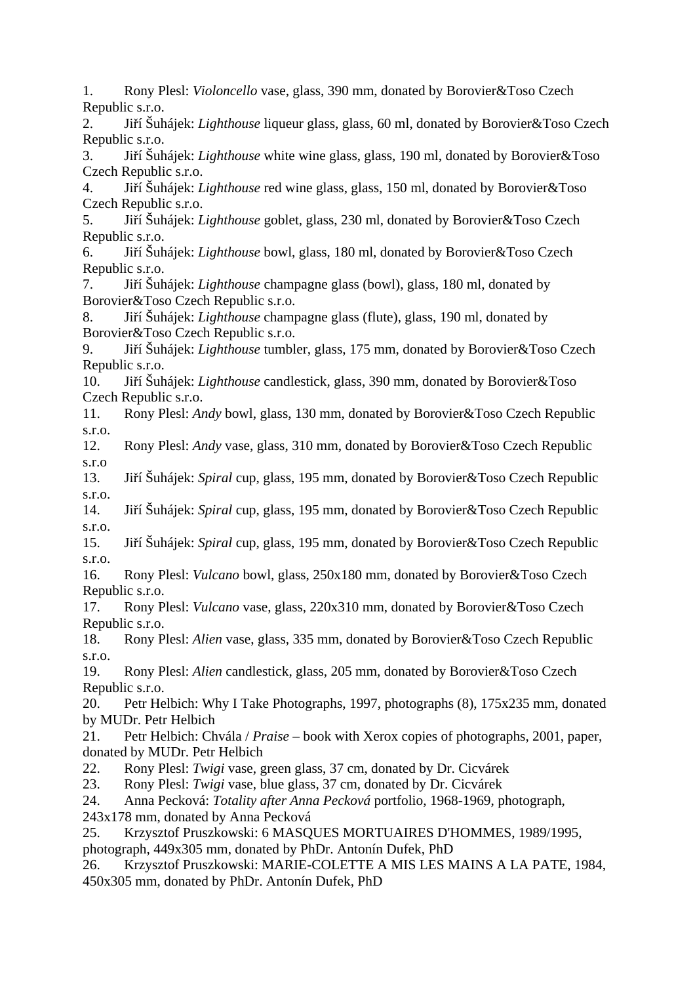1. Rony Plesl: *Violoncello* vase, glass, 390 mm, donated by Borovier&Toso Czech Republic s.r.o.

2. Jiří Šuhájek: *Lighthouse* liqueur glass, glass, 60 ml, donated by Borovier&Toso Czech Republic s.r.o.

3. Jiří Šuhájek: *Lighthouse* white wine glass, glass, 190 ml, donated by Borovier&Toso Czech Republic s.r.o.

4. Jiří Šuhájek: *Lighthouse* red wine glass, glass, 150 ml, donated by Borovier&Toso Czech Republic s.r.o.

5. Jiří Šuhájek: *Lighthouse* goblet, glass, 230 ml, donated by Borovier&Toso Czech Republic s.r.o.

6. Jiří Šuhájek: *Lighthouse* bowl, glass, 180 ml, donated by Borovier&Toso Czech Republic s.r.o.

7. Jiří Šuhájek: *Lighthouse* champagne glass (bowl), glass, 180 ml, donated by Borovier&Toso Czech Republic s.r.o.

8. Jiří Šuhájek: *Lighthouse* champagne glass (flute), glass, 190 ml, donated by Borovier&Toso Czech Republic s.r.o.

9. Jiří Šuhájek: *Lighthouse* tumbler, glass, 175 mm, donated by Borovier&Toso Czech Republic s.r.o.

10. Jiří Šuhájek: *Lighthouse* candlestick, glass, 390 mm, donated by Borovier&Toso Czech Republic s.r.o.

11. Rony Plesl: *Andy* bowl, glass, 130 mm, donated by Borovier&Toso Czech Republic s.r.o.

12. Rony Plesl: *Andy* vase, glass, 310 mm, donated by Borovier&Toso Czech Republic s.r.o

13. Jiří Šuhájek: *Spiral* cup, glass, 195 mm, donated by Borovier&Toso Czech Republic s.r.o.

14. Jiří Šuhájek: *Spiral* cup, glass, 195 mm, donated by Borovier&Toso Czech Republic s.r.o.

15. Jiří Šuhájek: *Spiral* cup, glass, 195 mm, donated by Borovier&Toso Czech Republic s.r.o.

16. Rony Plesl: *Vulcano* bowl, glass, 250x180 mm, donated by Borovier&Toso Czech Republic s.r.o.

17. Rony Plesl: *Vulcano* vase, glass, 220x310 mm, donated by Borovier&Toso Czech Republic s.r.o.

18. Rony Plesl: *Alien* vase, glass, 335 mm, donated by Borovier&Toso Czech Republic s.r.o.

19. Rony Plesl: *Alien* candlestick, glass, 205 mm, donated by Borovier&Toso Czech Republic s.r.o.

20. Petr Helbich: Why I Take Photographs, 1997, photographs (8), 175x235 mm, donated by MUDr. Petr Helbich

21. Petr Helbich: Chvála / *Praise* – book with Xerox copies of photographs, 2001, paper, donated by MUDr. Petr Helbich

22. Rony Plesl: *Twigi* vase, green glass, 37 cm, donated by Dr. Cicvárek

23. Rony Plesl: *Twigi* vase, blue glass, 37 cm, donated by Dr. Cicvárek

24. Anna Pecková: *Totality after Anna Pecková* portfolio, 1968-1969, photograph,

243x178 mm, donated by Anna Pecková

25. Krzysztof Pruszkowski: 6 MASQUES MORTUAIRES D'HOMMES, 1989/1995, photograph, 449x305 mm, donated by PhDr. Antonín Dufek, PhD

26. Krzysztof Pruszkowski: MARIE-COLETTE A MIS LES MAINS A LA PATE, 1984, 450x305 mm, donated by PhDr. Antonín Dufek, PhD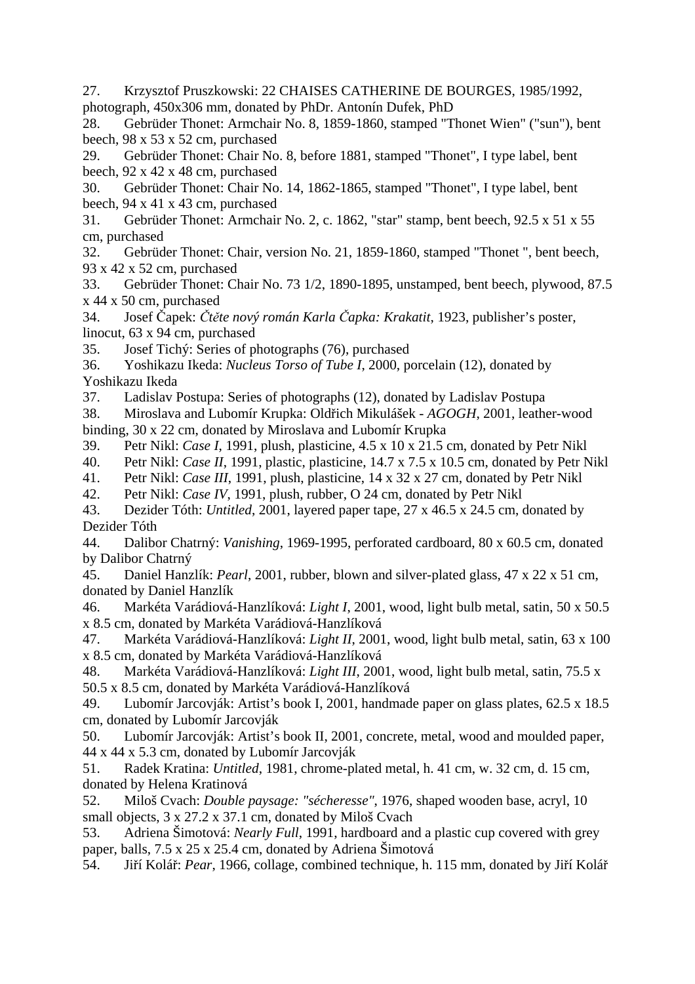27. Krzysztof Pruszkowski: 22 CHAISES CATHERINE DE BOURGES, 1985/1992, photograph, 450x306 mm, donated by PhDr. Antonín Dufek, PhD

28. Gebrüder Thonet: Armchair No. 8, 1859-1860, stamped "Thonet Wien" ("sun"), bent beech, 98 x 53 x 52 cm, purchased

29. Gebrüder Thonet: Chair No. 8, before 1881, stamped "Thonet", I type label, bent beech, 92 x 42 x 48 cm, purchased

30. Gebrüder Thonet: Chair No. 14, 1862-1865, stamped "Thonet", I type label, bent beech, 94 x 41 x 43 cm, purchased

31. Gebrüder Thonet: Armchair No. 2, c. 1862, "star" stamp, bent beech, 92.5 x 51 x 55 cm, purchased

32. Gebrüder Thonet: Chair, version No. 21, 1859-1860, stamped "Thonet ", bent beech, 93 x 42 x 52 cm, purchased

33. Gebrüder Thonet: Chair No. 73 1/2, 1890-1895, unstamped, bent beech, plywood, 87.5 x 44 x 50 cm, purchased

34. Josef Čapek: *Čtěte nový román Karla Čapka: Krakatit*, 1923, publisher's poster, linocut, 63 x 94 cm, purchased

35. Josef Tichý: Series of photographs (76), purchased

36. Yoshikazu Ikeda: *Nucleus Torso of Tube I*, 2000, porcelain (12), donated by Yoshikazu Ikeda

37. Ladislav Postupa: Series of photographs (12), donated by Ladislav Postupa

38. Miroslava and Lubomír Krupka: Oldřich Mikulášek - *AGOGH*, 2001, leather-wood binding, 30 x 22 cm, donated by Miroslava and Lubomír Krupka

39. Petr Nikl: *Case I*, 1991, plush, plasticine, 4.5 x 10 x 21.5 cm, donated by Petr Nikl

40. Petr Nikl: *Case II*, 1991, plastic, plasticine, 14.7 x 7.5 x 10.5 cm, donated by Petr Nikl

41. Petr Nikl: *Case III*, 1991, plush, plasticine, 14 x 32 x 27 cm, donated by Petr Nikl

42. Petr Nikl: *Case IV*, 1991, plush, rubber, O 24 cm, donated by Petr Nikl

43. Dezider Tóth: *Untitled*, 2001, layered paper tape, 27 x 46.5 x 24.5 cm, donated by Dezider Tóth

44. Dalibor Chatrný: *Vanishing*, 1969-1995, perforated cardboard, 80 x 60.5 cm, donated by Dalibor Chatrný

45. Daniel Hanzlík: *Pearl*, 2001, rubber, blown and silver-plated glass, 47 x 22 x 51 cm, donated by Daniel Hanzlík

46. Markéta Varádiová-Hanzlíková: *Light I*, 2001, wood, light bulb metal, satin, 50 x 50.5 x 8.5 cm, donated by Markéta Varádiová-Hanzlíková

47. Markéta Varádiová-Hanzlíková: *Light II*, 2001, wood, light bulb metal, satin, 63 x 100 x 8.5 cm, donated by Markéta Varádiová-Hanzlíková

48. Markéta Varádiová-Hanzlíková: *Light III*, 2001, wood, light bulb metal, satin, 75.5 x 50.5 x 8.5 cm, donated by Markéta Varádiová-Hanzlíková

49. Lubomír Jarcovják: Artist's book I, 2001, handmade paper on glass plates, 62.5 x 18.5 cm, donated by Lubomír Jarcovják

50. Lubomír Jarcovják: Artist's book II, 2001, concrete, metal, wood and moulded paper, 44 x 44 x 5.3 cm, donated by Lubomír Jarcovják

51. Radek Kratina: *Untitled*, 1981, chrome-plated metal, h. 41 cm, w. 32 cm, d. 15 cm, donated by Helena Kratinová

52. Miloš Cvach: *Double paysage: "sécheresse"*, 1976, shaped wooden base, acryl, 10 small objects, 3 x 27.2 x 37.1 cm, donated by Miloš Cvach

53. Adriena Šimotová: *Nearly Full*, 1991, hardboard and a plastic cup covered with grey paper, balls, 7.5 x 25 x 25.4 cm, donated by Adriena Šimotová

54. Jiří Kolář: *Pear*, 1966, collage, combined technique, h. 115 mm, donated by Jiří Kolář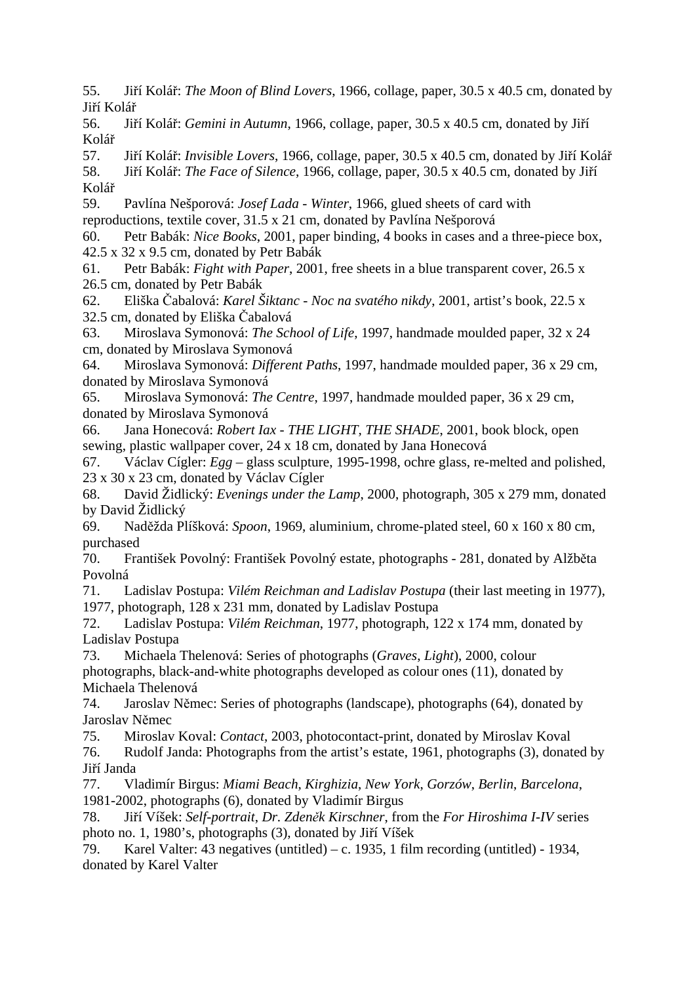55. Jiří Kolář: *The Moon of Blind Lovers*, 1966, collage, paper, 30.5 x 40.5 cm, donated by Jiří Kolář

56. Jiří Kolář: *Gemini in Autumn*, 1966, collage, paper, 30.5 x 40.5 cm, donated by Jiří Kolář

57. Jiří Kolář: *Invisible Lovers*, 1966, collage, paper, 30.5 x 40.5 cm, donated by Jiří Kolář

58. Jiří Kolář: *The Face of Silence*, 1966, collage, paper, 30.5 x 40.5 cm, donated by Jiří Kolář

59. Pavlína Nešporová: *Josef Lada - Winter*, 1966, glued sheets of card with reproductions, textile cover, 31.5 x 21 cm, donated by Pavlína Nešporová

60. Petr Babák: *Nice Books*, 2001, paper binding, 4 books in cases and a three-piece box, 42.5 x 32 x 9.5 cm, donated by Petr Babák

61. Petr Babák: *Fight with Paper*, 2001, free sheets in a blue transparent cover, 26.5 x 26.5 cm, donated by Petr Babák

62. Eliška Čabalová: *Karel Šiktanc - Noc na svatého nikdy*, 2001, artist's book, 22.5 x 32.5 cm, donated by Eliška Čabalová

63. Miroslava Symonová: *The School of Life*, 1997, handmade moulded paper, 32 x 24 cm, donated by Miroslava Symonová

64. Miroslava Symonová: *Different Paths*, 1997, handmade moulded paper, 36 x 29 cm, donated by Miroslava Symonová

65. Miroslava Symonová: *The Centre*, 1997, handmade moulded paper, 36 x 29 cm, donated by Miroslava Symonová

66. Jana Honecová: *Robert Iax - THE LIGHT, THE SHADE*, 2001, book block, open sewing, plastic wallpaper cover, 24 x 18 cm, donated by Jana Honecová

67. Václav Cígler: *Egg* – glass sculpture, 1995-1998, ochre glass, re-melted and polished, 23 x 30 x 23 cm, donated by Václav Cígler

68. David Židlický: *Evenings under the Lamp*, 2000, photograph, 305 x 279 mm, donated by David Židlický

69. Naděžda Plíšková: *Spoon*, 1969, aluminium, chrome-plated steel, 60 x 160 x 80 cm, purchased

70. František Povolný: František Povolný estate, photographs - 281, donated by Alžběta Povolná

71. Ladislav Postupa: *Vilém Reichman and Ladislav Postupa* (their last meeting in 1977), 1977, photograph, 128 x 231 mm, donated by Ladislav Postupa

72. Ladislav Postupa: *Vilém Reichman*, 1977, photograph, 122 x 174 mm, donated by Ladislav Postupa

73. Michaela Thelenová: Series of photographs (*Graves*, *Light*), 2000, colour photographs, black-and-white photographs developed as colour ones (11), donated by Michaela Thelenová

74. Jaroslav Němec: Series of photographs (landscape), photographs (64), donated by Jaroslav Němec

75. Miroslav Koval: *Contact*, 2003, photocontact-print, donated by Miroslav Koval

76. Rudolf Janda: Photographs from the artist's estate, 1961, photographs (3), donated by Jiří Janda

77. Vladimír Birgus: *Miami Beach*, *Kirghizia*, *New York*, *Gorzów*, *Berlin*, *Barcelona*, 1981-2002, photographs (6), donated by Vladimír Birgus

78. Jiří Víšek: *Self-portrait*, *Dr. Zdeněk Kirschner*, from the *For Hiroshima I-IV* series photo no. 1, 1980's, photographs (3), donated by Jiří Víšek

79. Karel Valter: 43 negatives (untitled) – c. 1935, 1 film recording (untitled) - 1934, donated by Karel Valter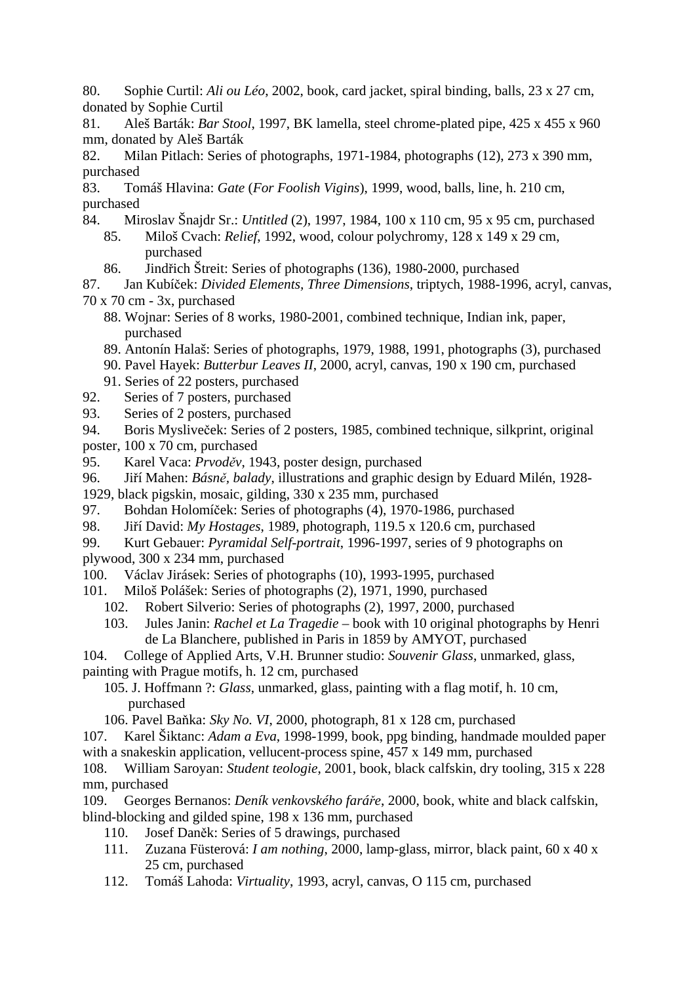80. Sophie Curtil: *Ali ou Léo*, 2002, book, card jacket, spiral binding, balls, 23 x 27 cm, donated by Sophie Curtil

81. Aleš Barták: *Bar Stool*, 1997, BK lamella, steel chrome-plated pipe, 425 x 455 x 960 mm, donated by Aleš Barták

82. Milan Pitlach: Series of photographs, 1971-1984, photographs (12), 273 x 390 mm, purchased

83. Tomáš Hlavina: *Gate* (*For Foolish Vigins*), 1999, wood, balls, line, h. 210 cm, purchased

- 84. Miroslav Šnajdr Sr.: *Untitled* (2), 1997, 1984, 100 x 110 cm, 95 x 95 cm, purchased 85. Miloš Cvach: *Relief*, 1992, wood, colour polychromy, 128 x 149 x 29 cm, purchased
	- 86. Jindřich Štreit: Series of photographs (136), 1980-2000, purchased

87. Jan Kubíček: *Divided Elements, Three Dimensions*, triptych, 1988-1996, acryl, canvas,

70 x 70 cm - 3x, purchased

- 88. Wojnar: Series of 8 works, 1980-2001, combined technique, Indian ink, paper, purchased
- 89. Antonín Halaš: Series of photographs, 1979, 1988, 1991, photographs (3), purchased
- 90. Pavel Hayek: *Butterbur Leaves II*, 2000, acryl, canvas, 190 x 190 cm, purchased
- 91. Series of 22 posters, purchased
- 92. Series of 7 posters, purchased
- 93. Series of 2 posters, purchased
- 94. Boris Mysliveček: Series of 2 posters, 1985, combined technique, silkprint, original
- poster, 100 x 70 cm, purchased
- 95. Karel Vaca: *Prvoděv*, 1943, poster design, purchased
- 96. Jiří Mahen: *Básně, balady*, illustrations and graphic design by Eduard Milén, 1928-

1929, black pigskin, mosaic, gilding, 330 x 235 mm, purchased

- 97. Bohdan Holomíček: Series of photographs (4), 1970-1986, purchased
- 98. Jiří David: *My Hostages*, 1989, photograph, 119.5 x 120.6 cm, purchased
- 99. Kurt Gebauer: *Pyramidal Self-portrait*, 1996-1997, series of 9 photographs on

plywood, 300 x 234 mm, purchased

- 100. Václav Jirásek: Series of photographs (10), 1993-1995, purchased
- 101. Miloš Polášek: Series of photographs (2), 1971, 1990, purchased
	- 102. Robert Silverio: Series of photographs (2), 1997, 2000, purchased
		- 103. Jules Janin: *Rachel et La Tragedie* book with 10 original photographs by Henri de La Blanchere, published in Paris in 1859 by AMYOT, purchased
- 104. College of Applied Arts, V.H. Brunner studio: *Souvenir Glass*, unmarked, glass,
- painting with Prague motifs, h. 12 cm, purchased
	- 105. J. Hoffmann ?: *Glass*, unmarked, glass, painting with a flag motif, h. 10 cm, purchased
	- 106. Pavel Baňka: *Sky No. VI*, 2000, photograph, 81 x 128 cm, purchased
- 107. Karel Šiktanc: *Adam a Eva*, 1998-1999, book, ppg binding, handmade moulded paper with a snakeskin application, vellucent-process spine, 457 x 149 mm, purchased
- 108. William Saroyan: *Student teologie*, 2001, book, black calfskin, dry tooling, 315 x 228 mm, purchased
- 109. Georges Bernanos: *Deník venkovského faráře*, 2000, book, white and black calfskin, blind-blocking and gilded spine, 198 x 136 mm, purchased
	- 110. Josef Daněk: Series of 5 drawings, purchased
	- 111. Zuzana Füsterová: *I am nothing*, 2000, lamp-glass, mirror, black paint, 60 x 40 x 25 cm, purchased
	- 112. Tomáš Lahoda: *Virtuality*, 1993, acryl, canvas, O 115 cm, purchased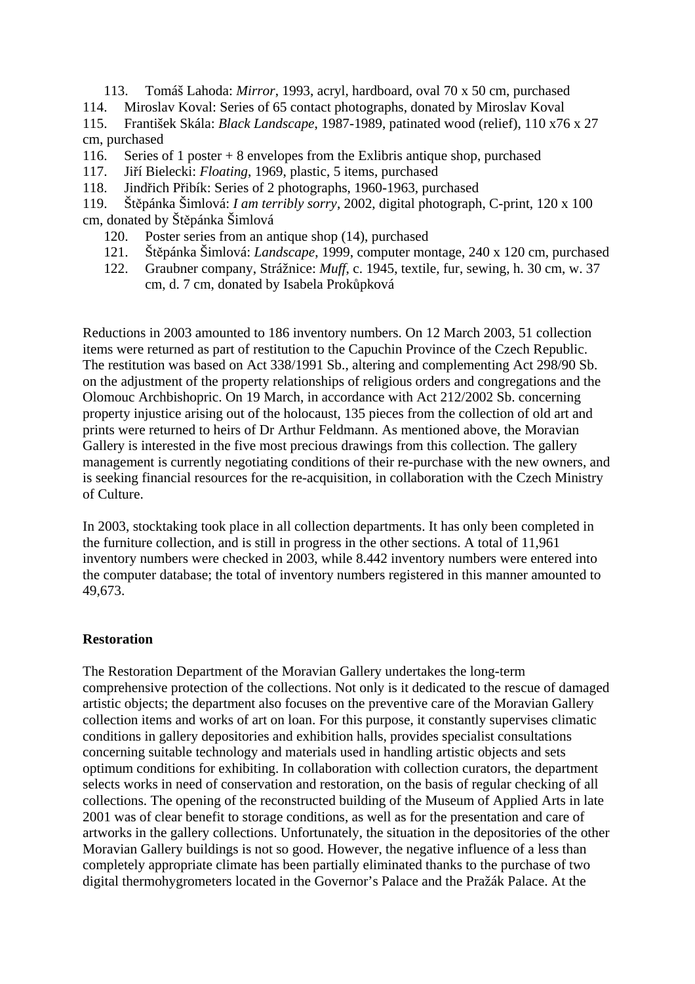- 113. Tomáš Lahoda: *Mirror*, 1993, acryl, hardboard, oval 70 x 50 cm, purchased 114. Miroslav Koval: Series of 65 contact photographs, donated by Miroslav Koval 115. František Skála: *Black Landscape*, 1987-1989, patinated wood (relief), 110 x76 x 27
- cm, purchased
- 116. Series of 1 poster + 8 envelopes from the Exlibris antique shop, purchased
- 117. Jiří Bielecki: *Floating*, 1969, plastic, 5 items, purchased
- 118. Jindřich Přibík: Series of 2 photographs, 1960-1963, purchased
- 119. Štěpánka Šimlová: *I am terribly sorry*, 2002, digital photograph, C-print, 120 x 100 cm, donated by Štěpánka Šimlová
	- 120. Poster series from an antique shop (14), purchased
	- 121. Štěpánka Šimlová: *Landscape*, 1999, computer montage, 240 x 120 cm, purchased
	- 122. Graubner company, Strážnice: *Muff*, c. 1945, textile, fur, sewing, h. 30 cm, w. 37 cm, d. 7 cm, donated by Isabela Prokůpková

Reductions in 2003 amounted to 186 inventory numbers. On 12 March 2003, 51 collection items were returned as part of restitution to the Capuchin Province of the Czech Republic. The restitution was based on Act 338/1991 Sb., altering and complementing Act 298/90 Sb. on the adjustment of the property relationships of religious orders and congregations and the Olomouc Archbishopric. On 19 March, in accordance with Act 212/2002 Sb. concerning property injustice arising out of the holocaust, 135 pieces from the collection of old art and prints were returned to heirs of Dr Arthur Feldmann. As mentioned above, the Moravian Gallery is interested in the five most precious drawings from this collection. The gallery management is currently negotiating conditions of their re-purchase with the new owners, and is seeking financial resources for the re-acquisition, in collaboration with the Czech Ministry of Culture.

In 2003, stocktaking took place in all collection departments. It has only been completed in the furniture collection, and is still in progress in the other sections. A total of 11,961 inventory numbers were checked in 2003, while 8.442 inventory numbers were entered into the computer database; the total of inventory numbers registered in this manner amounted to 49,673.

# **Restoration**

The Restoration Department of the Moravian Gallery undertakes the long-term comprehensive protection of the collections. Not only is it dedicated to the rescue of damaged artistic objects; the department also focuses on the preventive care of the Moravian Gallery collection items and works of art on loan. For this purpose, it constantly supervises climatic conditions in gallery depositories and exhibition halls, provides specialist consultations concerning suitable technology and materials used in handling artistic objects and sets optimum conditions for exhibiting. In collaboration with collection curators, the department selects works in need of conservation and restoration, on the basis of regular checking of all collections. The opening of the reconstructed building of the Museum of Applied Arts in late 2001 was of clear benefit to storage conditions, as well as for the presentation and care of artworks in the gallery collections. Unfortunately, the situation in the depositories of the other Moravian Gallery buildings is not so good. However, the negative influence of a less than completely appropriate climate has been partially eliminated thanks to the purchase of two digital thermohygrometers located in the Governor's Palace and the Pražák Palace. At the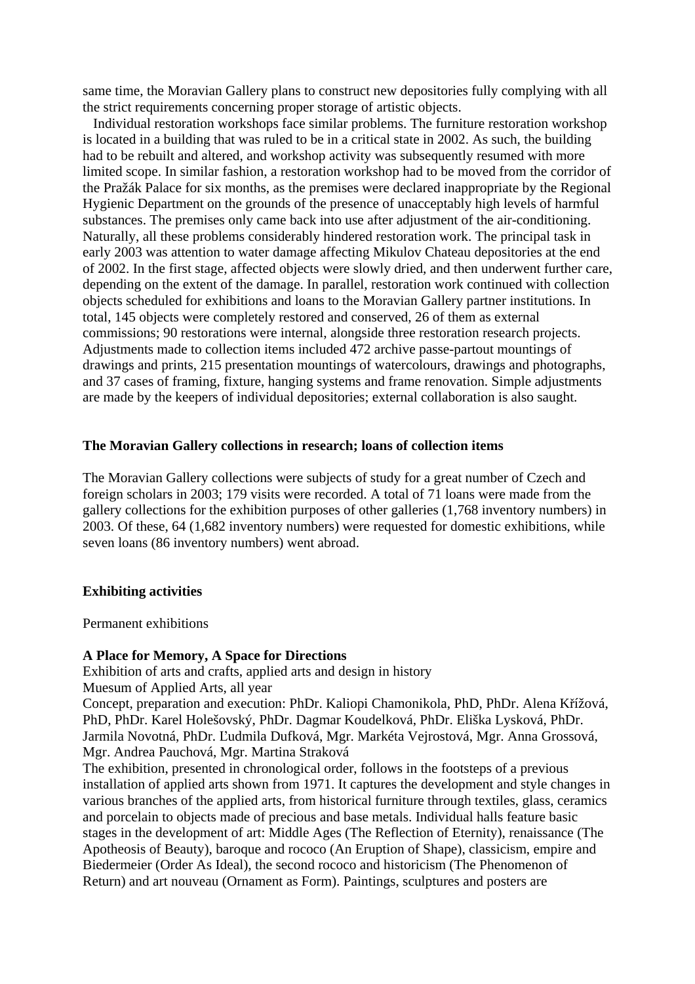same time, the Moravian Gallery plans to construct new depositories fully complying with all the strict requirements concerning proper storage of artistic objects.

 Individual restoration workshops face similar problems. The furniture restoration workshop is located in a building that was ruled to be in a critical state in 2002. As such, the building had to be rebuilt and altered, and workshop activity was subsequently resumed with more limited scope. In similar fashion, a restoration workshop had to be moved from the corridor of the Pražák Palace for six months, as the premises were declared inappropriate by the Regional Hygienic Department on the grounds of the presence of unacceptably high levels of harmful substances. The premises only came back into use after adjustment of the air-conditioning. Naturally, all these problems considerably hindered restoration work. The principal task in early 2003 was attention to water damage affecting Mikulov Chateau depositories at the end of 2002. In the first stage, affected objects were slowly dried, and then underwent further care, depending on the extent of the damage. In parallel, restoration work continued with collection objects scheduled for exhibitions and loans to the Moravian Gallery partner institutions. In total, 145 objects were completely restored and conserved, 26 of them as external commissions; 90 restorations were internal, alongside three restoration research projects. Adjustments made to collection items included 472 archive passe-partout mountings of drawings and prints, 215 presentation mountings of watercolours, drawings and photographs, and 37 cases of framing, fixture, hanging systems and frame renovation. Simple adjustments are made by the keepers of individual depositories; external collaboration is also saught.

### **The Moravian Gallery collections in research; loans of collection items**

The Moravian Gallery collections were subjects of study for a great number of Czech and foreign scholars in 2003; 179 visits were recorded. A total of 71 loans were made from the gallery collections for the exhibition purposes of other galleries (1,768 inventory numbers) in 2003. Of these, 64 (1,682 inventory numbers) were requested for domestic exhibitions, while seven loans (86 inventory numbers) went abroad.

#### **Exhibiting activities**

Permanent exhibitions

#### **A Place for Memory, A Space for Directions**

Exhibition of arts and crafts, applied arts and design in history Muesum of Applied Arts, all year

Concept, preparation and execution: PhDr. Kaliopi Chamonikola, PhD, PhDr. Alena Křížová, PhD, PhDr. Karel Holešovský, PhDr. Dagmar Koudelková, PhDr. Eliška Lysková, PhDr. Jarmila Novotná, PhDr. Ľudmila Dufková, Mgr. Markéta Vejrostová, Mgr. Anna Grossová, Mgr. Andrea Pauchová, Mgr. Martina Straková

The exhibition, presented in chronological order, follows in the footsteps of a previous installation of applied arts shown from 1971. It captures the development and style changes in various branches of the applied arts, from historical furniture through textiles, glass, ceramics and porcelain to objects made of precious and base metals. Individual halls feature basic stages in the development of art: Middle Ages (The Reflection of Eternity), renaissance (The Apotheosis of Beauty), baroque and rococo (An Eruption of Shape), classicism, empire and Biedermeier (Order As Ideal), the second rococo and historicism (The Phenomenon of Return) and art nouveau (Ornament as Form). Paintings, sculptures and posters are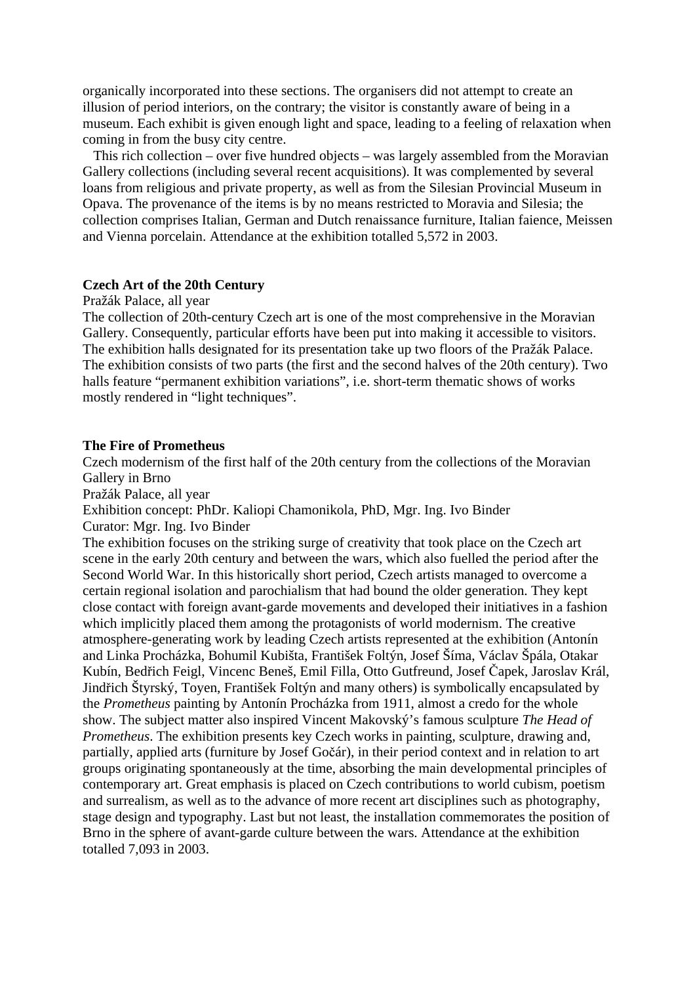organically incorporated into these sections. The organisers did not attempt to create an illusion of period interiors, on the contrary; the visitor is constantly aware of being in a museum. Each exhibit is given enough light and space, leading to a feeling of relaxation when coming in from the busy city centre.

 This rich collection – over five hundred objects – was largely assembled from the Moravian Gallery collections (including several recent acquisitions). It was complemented by several loans from religious and private property, as well as from the Silesian Provincial Museum in Opava. The provenance of the items is by no means restricted to Moravia and Silesia; the collection comprises Italian, German and Dutch renaissance furniture, Italian faience, Meissen and Vienna porcelain. Attendance at the exhibition totalled 5,572 in 2003.

### **Czech Art of the 20th Century**

#### Pražák Palace, all year

The collection of 20th-century Czech art is one of the most comprehensive in the Moravian Gallery. Consequently, particular efforts have been put into making it accessible to visitors. The exhibition halls designated for its presentation take up two floors of the Pražák Palace. The exhibition consists of two parts (the first and the second halves of the 20th century). Two halls feature "permanent exhibition variations", i.e. short-term thematic shows of works mostly rendered in "light techniques".

### **The Fire of Prometheus**

Czech modernism of the first half of the 20th century from the collections of the Moravian Gallery in Brno

Pražák Palace, all year

Exhibition concept: PhDr. Kaliopi Chamonikola, PhD, Mgr. Ing. Ivo Binder Curator: Mgr. Ing. Ivo Binder

The exhibition focuses on the striking surge of creativity that took place on the Czech art scene in the early 20th century and between the wars, which also fuelled the period after the Second World War. In this historically short period, Czech artists managed to overcome a certain regional isolation and parochialism that had bound the older generation. They kept close contact with foreign avant-garde movements and developed their initiatives in a fashion which implicitly placed them among the protagonists of world modernism. The creative atmosphere-generating work by leading Czech artists represented at the exhibition (Antonín and Linka Procházka, Bohumil Kubišta, František Foltýn, Josef Šíma, Václav Špála, Otakar Kubín, Bedřich Feigl, Vincenc Beneš, Emil Filla, Otto Gutfreund, Josef Čapek, Jaroslav Král, Jindřich Štyrský, Toyen, František Foltýn and many others) is symbolically encapsulated by the *Prometheus* painting by Antonín Procházka from 1911, almost a credo for the whole show. The subject matter also inspired Vincent Makovský's famous sculpture *The Head of Prometheus*. The exhibition presents key Czech works in painting, sculpture, drawing and, partially, applied arts (furniture by Josef Gočár), in their period context and in relation to art groups originating spontaneously at the time, absorbing the main developmental principles of contemporary art. Great emphasis is placed on Czech contributions to world cubism, poetism and surrealism, as well as to the advance of more recent art disciplines such as photography, stage design and typography. Last but not least, the installation commemorates the position of Brno in the sphere of avant-garde culture between the wars. Attendance at the exhibition totalled 7,093 in 2003.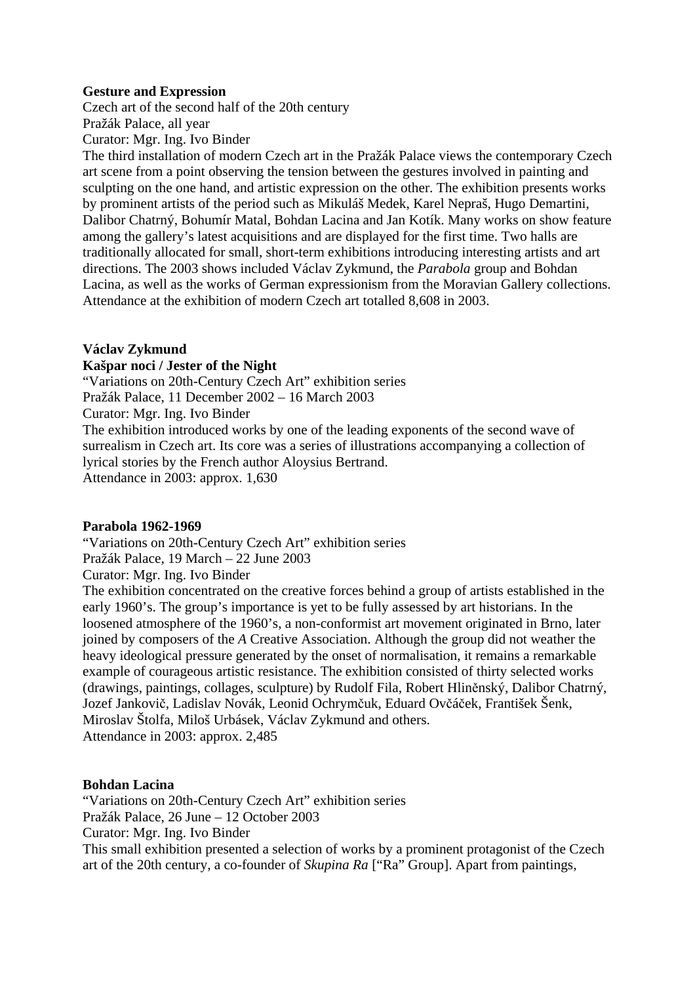# **Gesture and Expression**

Czech art of the second half of the 20th century Pražák Palace, all year Curator: Mgr. Ing. Ivo Binder

The third installation of modern Czech art in the Pražák Palace views the contemporary Czech art scene from a point observing the tension between the gestures involved in painting and sculpting on the one hand, and artistic expression on the other. The exhibition presents works by prominent artists of the period such as Mikuláš Medek, Karel Nepraš, Hugo Demartini, Dalibor Chatrný, Bohumír Matal, Bohdan Lacina and Jan Kotík. Many works on show feature among the gallery's latest acquisitions and are displayed for the first time. Two halls are traditionally allocated for small, short-term exhibitions introducing interesting artists and art directions. The 2003 shows included Václav Zykmund, the *Parabola* group and Bohdan Lacina, as well as the works of German expressionism from the Moravian Gallery collections. Attendance at the exhibition of modern Czech art totalled 8,608 in 2003.

# **Václav Zykmund**

# **Kašpar noci / Jester of the Night**

"Variations on 20th-Century Czech Art" exhibition series Pražák Palace, 11 December 2002 – 16 March 2003 Curator: Mgr. Ing. Ivo Binder The exhibition introduced works by one of the leading exponents of the second wave of surrealism in Czech art. Its core was a series of illustrations accompanying a collection of lyrical stories by the French author Aloysius Bertrand. Attendance in 2003: approx. 1,630

# **Parabola 1962-1969**

"Variations on 20th-Century Czech Art" exhibition series Pražák Palace, 19 March – 22 June 2003 Curator: Mgr. Ing. Ivo Binder

The exhibition concentrated on the creative forces behind a group of artists established in the early 1960's. The group's importance is yet to be fully assessed by art historians. In the loosened atmosphere of the 1960's, a non-conformist art movement originated in Brno, later joined by composers of the *A* Creative Association. Although the group did not weather the heavy ideological pressure generated by the onset of normalisation, it remains a remarkable example of courageous artistic resistance. The exhibition consisted of thirty selected works (drawings, paintings, collages, sculpture) by Rudolf Fila, Robert Hliněnský, Dalibor Chatrný, Jozef Jankovič, Ladislav Novák, Leonid Ochrymčuk, Eduard Ovčáček, František Šenk, Miroslav Štolfa, Miloš Urbásek, Václav Zykmund and others. Attendance in 2003: approx. 2,485

# **Bohdan Lacina**

"Variations on 20th-Century Czech Art" exhibition series Pražák Palace, 26 June – 12 October 2003 Curator: Mgr. Ing. Ivo Binder This small exhibition presented a selection of works by a prominent protagonist of the Czech art of the 20th century, a co-founder of *Skupina Ra* ["Ra" Group]. Apart from paintings,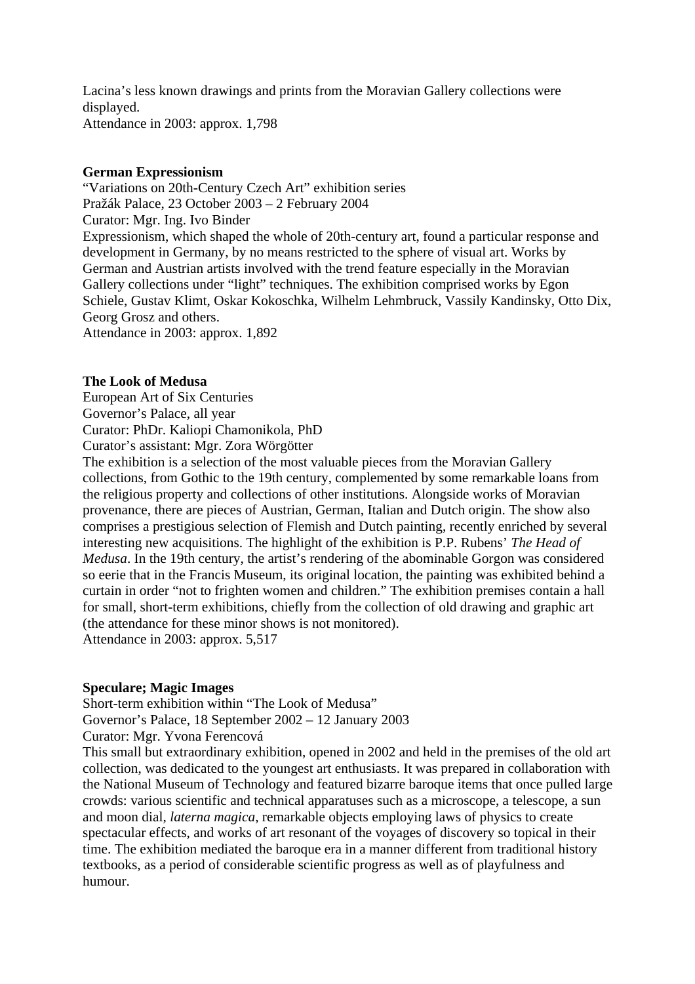Lacina's less known drawings and prints from the Moravian Gallery collections were displayed. Attendance in 2003: approx. 1,798

### **German Expressionism**

"Variations on 20th-Century Czech Art" exhibition series Pražák Palace, 23 October 2003 – 2 February 2004 Curator: Mgr. Ing. Ivo Binder Expressionism, which shaped the whole of 20th-century art, found a particular response and development in Germany, by no means restricted to the sphere of visual art. Works by German and Austrian artists involved with the trend feature especially in the Moravian Gallery collections under "light" techniques. The exhibition comprised works by Egon Schiele, Gustav Klimt, Oskar Kokoschka, Wilhelm Lehmbruck, Vassily Kandinsky, Otto Dix, Georg Grosz and others. Attendance in 2003: approx. 1,892

# **The Look of Medusa**

European Art of Six Centuries Governor's Palace, all year Curator: PhDr. Kaliopi Chamonikola, PhD Curator's assistant: Mgr. Zora Wörgötter

The exhibition is a selection of the most valuable pieces from the Moravian Gallery collections, from Gothic to the 19th century, complemented by some remarkable loans from the religious property and collections of other institutions. Alongside works of Moravian provenance, there are pieces of Austrian, German, Italian and Dutch origin. The show also comprises a prestigious selection of Flemish and Dutch painting, recently enriched by several interesting new acquisitions. The highlight of the exhibition is P.P. Rubens' *The Head of Medusa*. In the 19th century, the artist's rendering of the abominable Gorgon was considered so eerie that in the Francis Museum, its original location, the painting was exhibited behind a curtain in order "not to frighten women and children." The exhibition premises contain a hall for small, short-term exhibitions, chiefly from the collection of old drawing and graphic art (the attendance for these minor shows is not monitored). Attendance in 2003: approx. 5,517

# **Speculare; Magic Images**

Short-term exhibition within "The Look of Medusa" Governor's Palace, 18 September 2002 – 12 January 2003 Curator: Mgr. Yvona Ferencová

This small but extraordinary exhibition, opened in 2002 and held in the premises of the old art collection, was dedicated to the youngest art enthusiasts. It was prepared in collaboration with the National Museum of Technology and featured bizarre baroque items that once pulled large crowds: various scientific and technical apparatuses such as a microscope, a telescope, a sun and moon dial, *laterna magica*, remarkable objects employing laws of physics to create spectacular effects, and works of art resonant of the voyages of discovery so topical in their time. The exhibition mediated the baroque era in a manner different from traditional history textbooks, as a period of considerable scientific progress as well as of playfulness and humour.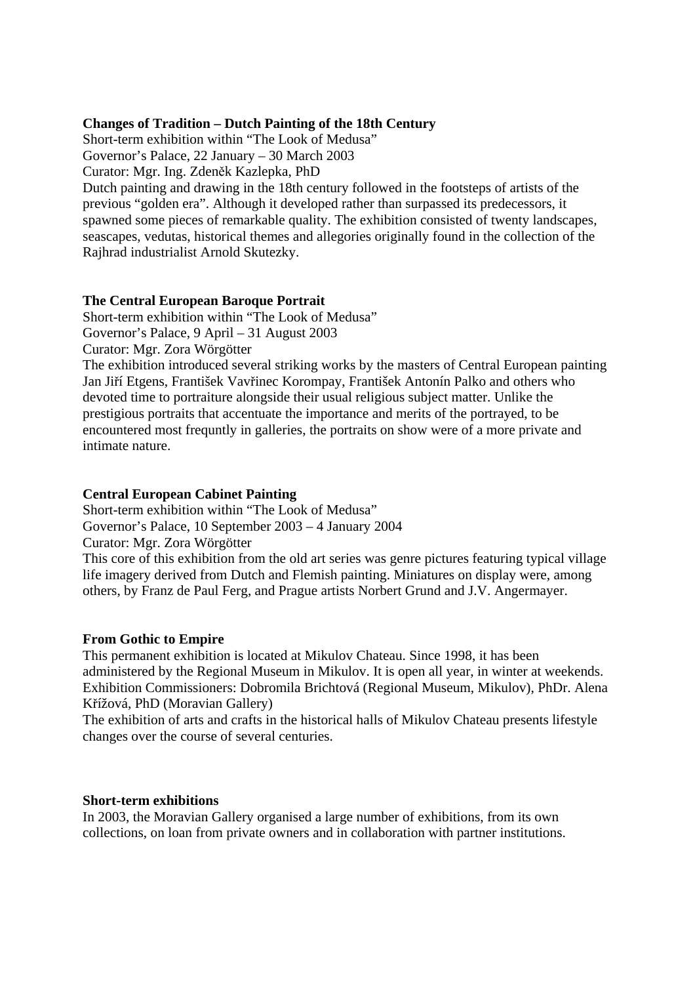# **Changes of Tradition – Dutch Painting of the 18th Century**

Short-term exhibition within "The Look of Medusa" Governor's Palace, 22 January – 30 March 2003

Curator: Mgr. Ing. Zdeněk Kazlepka, PhD

Dutch painting and drawing in the 18th century followed in the footsteps of artists of the previous "golden era". Although it developed rather than surpassed its predecessors, it spawned some pieces of remarkable quality. The exhibition consisted of twenty landscapes, seascapes, vedutas, historical themes and allegories originally found in the collection of the Rajhrad industrialist Arnold Skutezky.

# **The Central European Baroque Portrait**

Short-term exhibition within "The Look of Medusa" Governor's Palace, 9 April – 31 August 2003 Curator: Mgr. Zora Wörgötter

The exhibition introduced several striking works by the masters of Central European painting Jan Jiří Etgens, František Vavřinec Korompay, František Antonín Palko and others who devoted time to portraiture alongside their usual religious subject matter. Unlike the prestigious portraits that accentuate the importance and merits of the portrayed, to be encountered most frequntly in galleries, the portraits on show were of a more private and intimate nature.

# **Central European Cabinet Painting**

Short-term exhibition within "The Look of Medusa" Governor's Palace, 10 September 2003 – 4 January 2004 Curator: Mgr. Zora Wörgötter

This core of this exhibition from the old art series was genre pictures featuring typical village life imagery derived from Dutch and Flemish painting. Miniatures on display were, among others, by Franz de Paul Ferg, and Prague artists Norbert Grund and J.V. Angermayer.

# **From Gothic to Empire**

This permanent exhibition is located at Mikulov Chateau. Since 1998, it has been administered by the Regional Museum in Mikulov. It is open all year, in winter at weekends. Exhibition Commissioners: Dobromila Brichtová (Regional Museum, Mikulov), PhDr. Alena Křížová, PhD (Moravian Gallery)

The exhibition of arts and crafts in the historical halls of Mikulov Chateau presents lifestyle changes over the course of several centuries.

# **Short-term exhibitions**

In 2003, the Moravian Gallery organised a large number of exhibitions, from its own collections, on loan from private owners and in collaboration with partner institutions.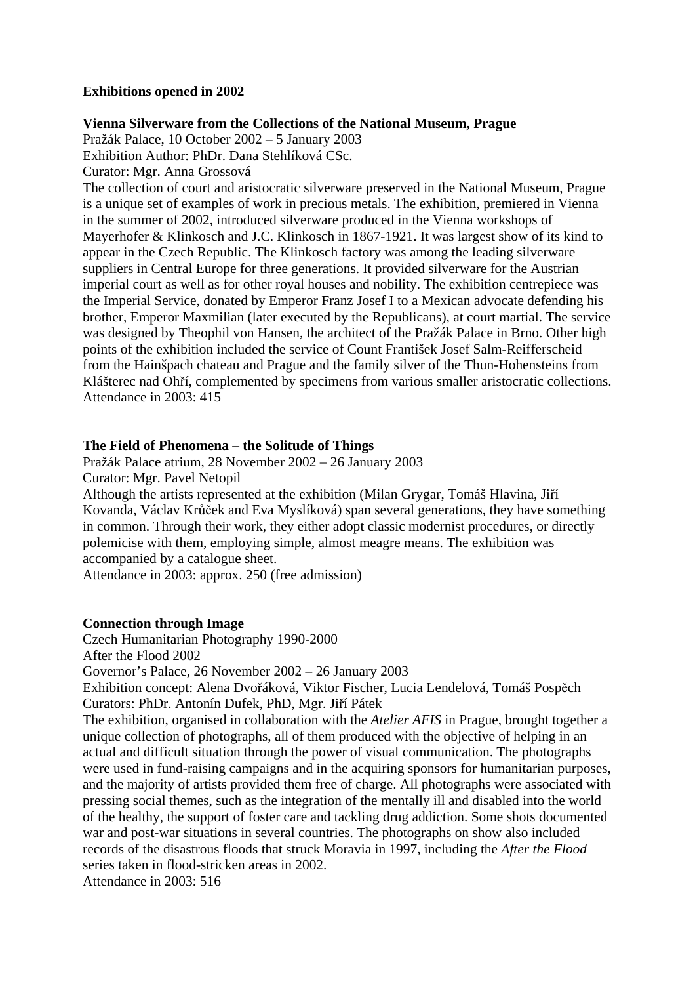# **Exhibitions opened in 2002**

# **Vienna Silverware from the Collections of the National Museum, Prague**

Pražák Palace, 10 October 2002 – 5 January 2003 Exhibition Author: PhDr. Dana Stehlíková CSc.

Curator: Mgr. Anna Grossová

The collection of court and aristocratic silverware preserved in the National Museum, Prague is a unique set of examples of work in precious metals. The exhibition, premiered in Vienna in the summer of 2002, introduced silverware produced in the Vienna workshops of Mayerhofer & Klinkosch and J.C. Klinkosch in 1867-1921. It was largest show of its kind to appear in the Czech Republic. The Klinkosch factory was among the leading silverware suppliers in Central Europe for three generations. It provided silverware for the Austrian imperial court as well as for other royal houses and nobility. The exhibition centrepiece was the Imperial Service, donated by Emperor Franz Josef I to a Mexican advocate defending his brother, Emperor Maxmilian (later executed by the Republicans), at court martial. The service was designed by Theophil von Hansen, the architect of the Pražák Palace in Brno. Other high points of the exhibition included the service of Count František Josef Salm-Reifferscheid from the Hainšpach chateau and Prague and the family silver of the Thun-Hohensteins from Klášterec nad Ohří, complemented by specimens from various smaller aristocratic collections. Attendance in 2003: 415

# **The Field of Phenomena – the Solitude of Things**

Pražák Palace atrium, 28 November 2002 – 26 January 2003 Curator: Mgr. Pavel Netopil

Although the artists represented at the exhibition (Milan Grygar, Tomáš Hlavina, Jiří Kovanda, Václav Krůček and Eva Myslíková) span several generations, they have something in common. Through their work, they either adopt classic modernist procedures, or directly polemicise with them, employing simple, almost meagre means. The exhibition was accompanied by a catalogue sheet.

Attendance in 2003: approx. 250 (free admission)

# **Connection through Image**

Czech Humanitarian Photography 1990-2000 After the Flood 2002 Governor's Palace, 26 November 2002 – 26 January 2003 Exhibition concept: Alena Dvořáková, Viktor Fischer, Lucia Lendelová, Tomáš Pospěch Curators: PhDr. Antonín Dufek, PhD, Mgr. Jiří Pátek The exhibition, organised in collaboration with the *Atelier AFIS* in Prague, brought together a unique collection of photographs, all of them produced with the objective of helping in an actual and difficult situation through the power of visual communication. The photographs were used in fund-raising campaigns and in the acquiring sponsors for humanitarian purposes, and the majority of artists provided them free of charge. All photographs were associated with

pressing social themes, such as the integration of the mentally ill and disabled into the world of the healthy, the support of foster care and tackling drug addiction. Some shots documented war and post-war situations in several countries. The photographs on show also included records of the disastrous floods that struck Moravia in 1997, including the *After the Flood* series taken in flood-stricken areas in 2002.

Attendance in 2003: 516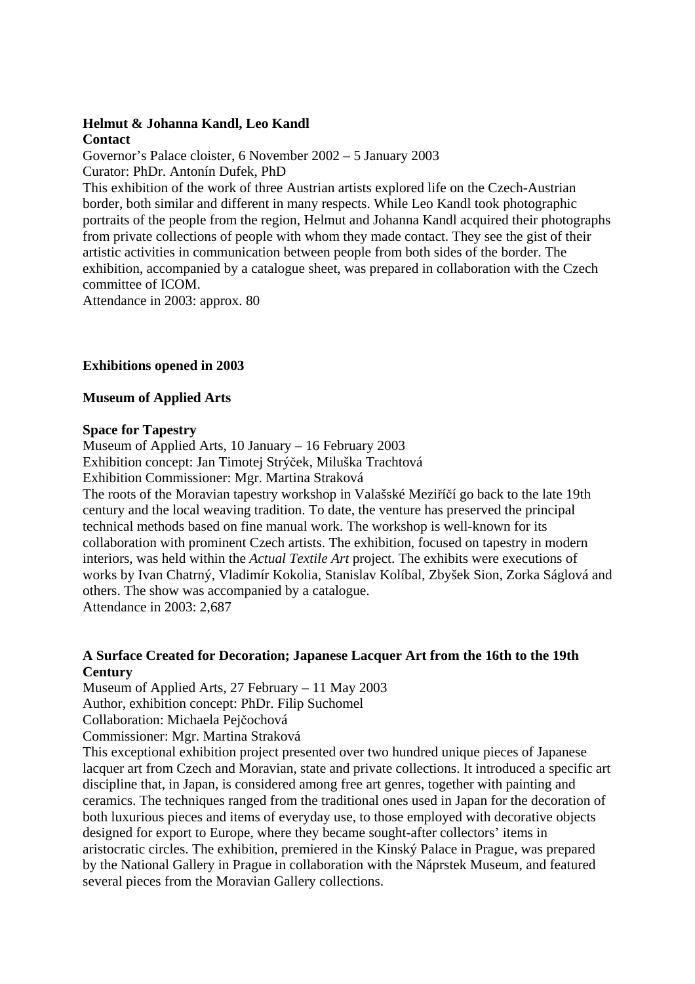# **Helmut & Johanna Kandl, Leo Kandl**

# **Contact**

Governor's Palace cloister, 6 November 2002 – 5 January 2003 Curator: PhDr. Antonín Dufek, PhD

This exhibition of the work of three Austrian artists explored life on the Czech-Austrian border, both similar and different in many respects. While Leo Kandl took photographic portraits of the people from the region, Helmut and Johanna Kandl acquired their photographs from private collections of people with whom they made contact. They see the gist of their artistic activities in communication between people from both sides of the border. The exhibition, accompanied by a catalogue sheet, was prepared in collaboration with the Czech committee of ICOM.

Attendance in 2003: approx. 80

# **Exhibitions opened in 2003**

# **Museum of Applied Arts**

# **Space for Tapestry**

Museum of Applied Arts, 10 January – 16 February 2003 Exhibition concept: Jan Timotej Strýček, Miluška Trachtová Exhibition Commissioner: Mgr. Martina Straková

The roots of the Moravian tapestry workshop in Valašské Meziříčí go back to the late 19th century and the local weaving tradition. To date, the venture has preserved the principal technical methods based on fine manual work. The workshop is well-known for its collaboration with prominent Czech artists. The exhibition, focused on tapestry in modern interiors, was held within the *Actual Textile Art* project. The exhibits were executions of works by Ivan Chatrný, Vladimír Kokolia, Stanislav Kolíbal, Zbyšek Sion, Zorka Ságlová and others. The show was accompanied by a catalogue. Attendance in 2003: 2,687

# **A Surface Created for Decoration; Japanese Lacquer Art from the 16th to the 19th Century**

Museum of Applied Arts, 27 February – 11 May 2003 Author, exhibition concept: PhDr. Filip Suchomel

Collaboration: Michaela Pejčochová

Commissioner: Mgr. Martina Straková

This exceptional exhibition project presented over two hundred unique pieces of Japanese lacquer art from Czech and Moravian, state and private collections. It introduced a specific art discipline that, in Japan, is considered among free art genres, together with painting and ceramics. The techniques ranged from the traditional ones used in Japan for the decoration of both luxurious pieces and items of everyday use, to those employed with decorative objects designed for export to Europe, where they became sought-after collectors' items in aristocratic circles. The exhibition, premiered in the Kinský Palace in Prague, was prepared by the National Gallery in Prague in collaboration with the Náprstek Museum, and featured several pieces from the Moravian Gallery collections.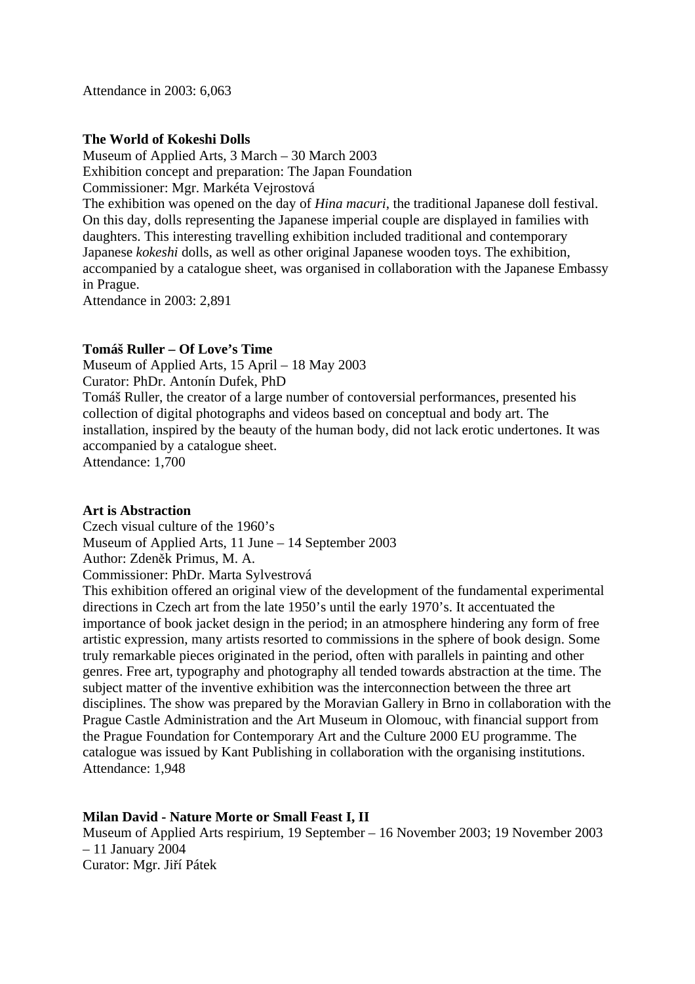Attendance in 2003: 6,063

# **The World of Kokeshi Dolls**

Museum of Applied Arts, 3 March – 30 March 2003 Exhibition concept and preparation: The Japan Foundation Commissioner: Mgr. Markéta Vejrostová The exhibition was opened on the day of *Hina macuri*, the traditional Japanese doll festival. On this day, dolls representing the Japanese imperial couple are displayed in families with daughters. This interesting travelling exhibition included traditional and contemporary Japanese *kokeshi* dolls, as well as other original Japanese wooden toys. The exhibition, accompanied by a catalogue sheet, was organised in collaboration with the Japanese Embassy in Prague.

Attendance in 2003: 2,891

# **Tomáš Ruller – Of Love's Time**

Museum of Applied Arts, 15 April – 18 May 2003

Curator: PhDr. Antonín Dufek, PhD

Tomáš Ruller, the creator of a large number of contoversial performances, presented his collection of digital photographs and videos based on conceptual and body art. The installation, inspired by the beauty of the human body, did not lack erotic undertones. It was accompanied by a catalogue sheet.

Attendance: 1,700

# **Art is Abstraction**

Czech visual culture of the 1960's Museum of Applied Arts, 11 June – 14 September 2003 Author: Zdeněk Primus, M. A. Commissioner: PhDr. Marta Sylvestrová

This exhibition offered an original view of the development of the fundamental experimental directions in Czech art from the late 1950's until the early 1970's. It accentuated the importance of book jacket design in the period; in an atmosphere hindering any form of free artistic expression, many artists resorted to commissions in the sphere of book design. Some truly remarkable pieces originated in the period, often with parallels in painting and other genres. Free art, typography and photography all tended towards abstraction at the time. The subject matter of the inventive exhibition was the interconnection between the three art disciplines. The show was prepared by the Moravian Gallery in Brno in collaboration with the Prague Castle Administration and the Art Museum in Olomouc, with financial support from the Prague Foundation for Contemporary Art and the Culture 2000 EU programme. The catalogue was issued by Kant Publishing in collaboration with the organising institutions. Attendance: 1,948

# **Milan David - Nature Morte or Small Feast I, II**

Museum of Applied Arts respirium, 19 September – 16 November 2003; 19 November 2003 – 11 January 2004 Curator: Mgr. Jiří Pátek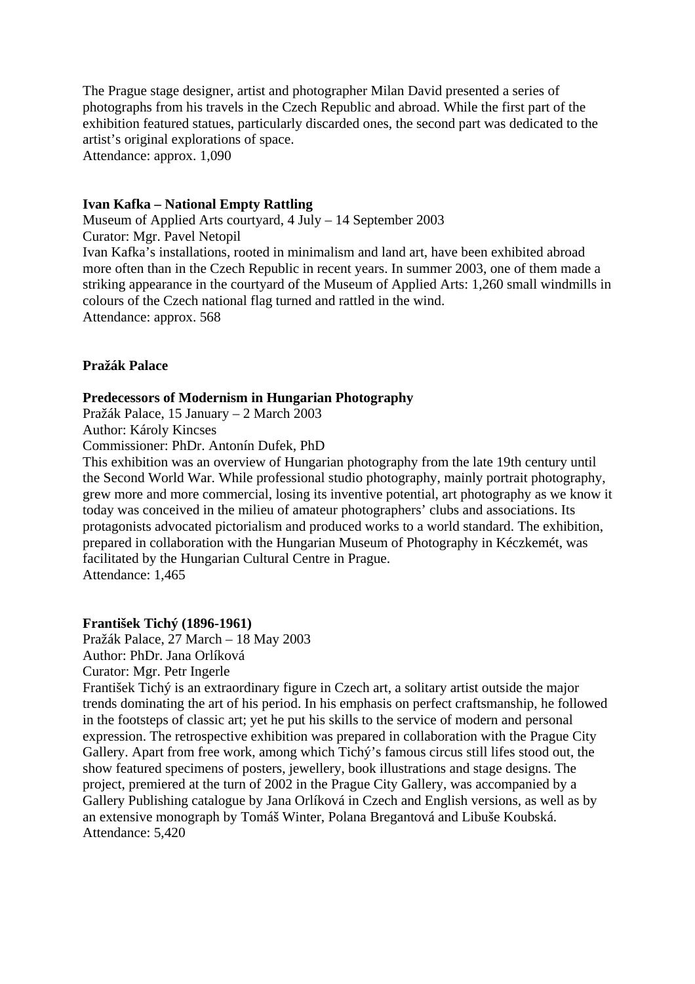The Prague stage designer, artist and photographer Milan David presented a series of photographs from his travels in the Czech Republic and abroad. While the first part of the exhibition featured statues, particularly discarded ones, the second part was dedicated to the artist's original explorations of space. Attendance: approx. 1,090

# **Ivan Kafka – National Empty Rattling**

Museum of Applied Arts courtyard, 4 July – 14 September 2003 Curator: Mgr. Pavel Netopil Ivan Kafka's installations, rooted in minimalism and land art, have been exhibited abroad more often than in the Czech Republic in recent years. In summer 2003, one of them made a striking appearance in the courtyard of the Museum of Applied Arts: 1,260 small windmills in colours of the Czech national flag turned and rattled in the wind. Attendance: approx. 568

# **Pražák Palace**

# **Predecessors of Modernism in Hungarian Photography**

Pražák Palace, 15 January – 2 March 2003

Author: Károly Kincses

Commissioner: PhDr. Antonín Dufek, PhD

This exhibition was an overview of Hungarian photography from the late 19th century until the Second World War. While professional studio photography, mainly portrait photography, grew more and more commercial, losing its inventive potential, art photography as we know it today was conceived in the milieu of amateur photographers' clubs and associations. Its protagonists advocated pictorialism and produced works to a world standard. The exhibition, prepared in collaboration with the Hungarian Museum of Photography in Kéczkemét, was facilitated by the Hungarian Cultural Centre in Prague. Attendance: 1,465

#### **František Tichý (1896-1961)**

Pražák Palace, 27 March – 18 May 2003 Author: PhDr. Jana Orlíková

Curator: Mgr. Petr Ingerle

František Tichý is an extraordinary figure in Czech art, a solitary artist outside the major trends dominating the art of his period. In his emphasis on perfect craftsmanship, he followed in the footsteps of classic art; yet he put his skills to the service of modern and personal expression. The retrospective exhibition was prepared in collaboration with the Prague City Gallery. Apart from free work, among which Tichý's famous circus still lifes stood out, the show featured specimens of posters, jewellery, book illustrations and stage designs. The project, premiered at the turn of 2002 in the Prague City Gallery, was accompanied by a Gallery Publishing catalogue by Jana Orlíková in Czech and English versions, as well as by an extensive monograph by Tomáš Winter, Polana Bregantová and Libuše Koubská. Attendance: 5,420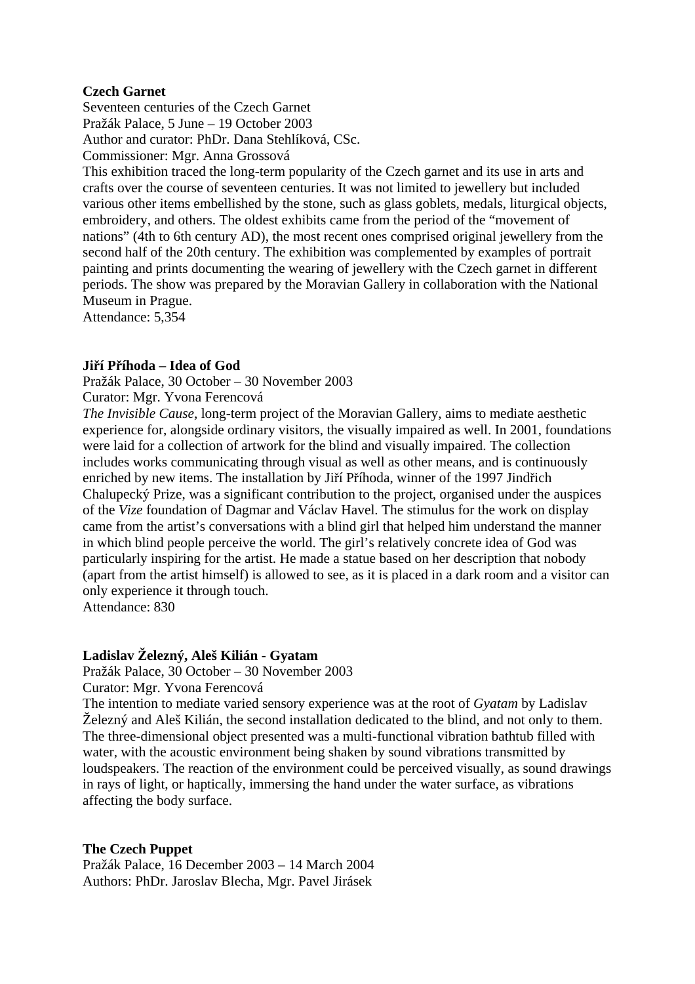# **Czech Garnet**

Seventeen centuries of the Czech Garnet Pražák Palace, 5 June – 19 October 2003 Author and curator: PhDr. Dana Stehlíková, CSc. Commissioner: Mgr. Anna Grossová

This exhibition traced the long-term popularity of the Czech garnet and its use in arts and crafts over the course of seventeen centuries. It was not limited to jewellery but included various other items embellished by the stone, such as glass goblets, medals, liturgical objects, embroidery, and others. The oldest exhibits came from the period of the "movement of nations" (4th to 6th century AD), the most recent ones comprised original jewellery from the second half of the 20th century. The exhibition was complemented by examples of portrait painting and prints documenting the wearing of jewellery with the Czech garnet in different periods. The show was prepared by the Moravian Gallery in collaboration with the National Museum in Prague.

Attendance: 5,354

# **Jiří Příhoda – Idea of God**

Pražák Palace, 30 October – 30 November 2003

Curator: Mgr. Yvona Ferencová

*The Invisible Cause*, long-term project of the Moravian Gallery, aims to mediate aesthetic experience for, alongside ordinary visitors, the visually impaired as well. In 2001, foundations were laid for a collection of artwork for the blind and visually impaired. The collection includes works communicating through visual as well as other means, and is continuously enriched by new items. The installation by Jiří Příhoda, winner of the 1997 Jindřich Chalupecký Prize, was a significant contribution to the project, organised under the auspices of the *Vize* foundation of Dagmar and Václav Havel. The stimulus for the work on display came from the artist's conversations with a blind girl that helped him understand the manner in which blind people perceive the world. The girl's relatively concrete idea of God was particularly inspiring for the artist. He made a statue based on her description that nobody (apart from the artist himself) is allowed to see, as it is placed in a dark room and a visitor can only experience it through touch.

Attendance: 830

# **Ladislav Železný, Aleš Kilián - Gyatam**

Pražák Palace, 30 October – 30 November 2003

Curator: Mgr. Yvona Ferencová

The intention to mediate varied sensory experience was at the root of *Gyatam* by Ladislav Železný and Aleš Kilián, the second installation dedicated to the blind, and not only to them. The three-dimensional object presented was a multi-functional vibration bathtub filled with water, with the acoustic environment being shaken by sound vibrations transmitted by loudspeakers. The reaction of the environment could be perceived visually, as sound drawings in rays of light, or haptically, immersing the hand under the water surface, as vibrations affecting the body surface.

# **The Czech Puppet**

Pražák Palace, 16 December 2003 – 14 March 2004 Authors: PhDr. Jaroslav Blecha, Mgr. Pavel Jirásek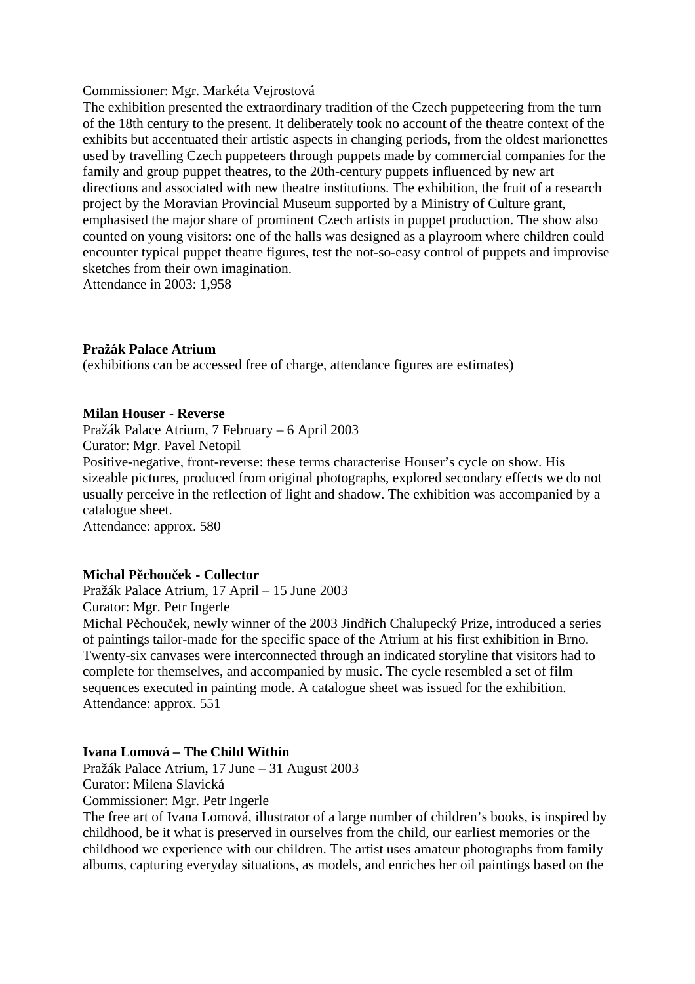### Commissioner: Mgr. Markéta Vejrostová

The exhibition presented the extraordinary tradition of the Czech puppeteering from the turn of the 18th century to the present. It deliberately took no account of the theatre context of the exhibits but accentuated their artistic aspects in changing periods, from the oldest marionettes used by travelling Czech puppeteers through puppets made by commercial companies for the family and group puppet theatres, to the 20th-century puppets influenced by new art directions and associated with new theatre institutions. The exhibition, the fruit of a research project by the Moravian Provincial Museum supported by a Ministry of Culture grant, emphasised the major share of prominent Czech artists in puppet production. The show also counted on young visitors: one of the halls was designed as a playroom where children could encounter typical puppet theatre figures, test the not-so-easy control of puppets and improvise sketches from their own imagination.

Attendance in 2003: 1,958

# **Pražák Palace Atrium**

(exhibitions can be accessed free of charge, attendance figures are estimates)

### **Milan Houser - Reverse**

Pražák Palace Atrium, 7 February – 6 April 2003

Curator: Mgr. Pavel Netopil

Positive-negative, front-reverse: these terms characterise Houser's cycle on show. His sizeable pictures, produced from original photographs, explored secondary effects we do not usually perceive in the reflection of light and shadow. The exhibition was accompanied by a catalogue sheet.

Attendance: approx. 580

# **Michal Pěchouček - Collector**

Pražák Palace Atrium, 17 April – 15 June 2003 Curator: Mgr. Petr Ingerle

Michal Pěchouček, newly winner of the 2003 Jindřich Chalupecký Prize, introduced a series of paintings tailor-made for the specific space of the Atrium at his first exhibition in Brno. Twenty-six canvases were interconnected through an indicated storyline that visitors had to complete for themselves, and accompanied by music. The cycle resembled a set of film sequences executed in painting mode. A catalogue sheet was issued for the exhibition. Attendance: approx. 551

# **Ivana Lomová – The Child Within**

Pražák Palace Atrium, 17 June – 31 August 2003 Curator: Milena Slavická

Commissioner: Mgr. Petr Ingerle

The free art of Ivana Lomová, illustrator of a large number of children's books, is inspired by childhood, be it what is preserved in ourselves from the child, our earliest memories or the childhood we experience with our children. The artist uses amateur photographs from family albums, capturing everyday situations, as models, and enriches her oil paintings based on the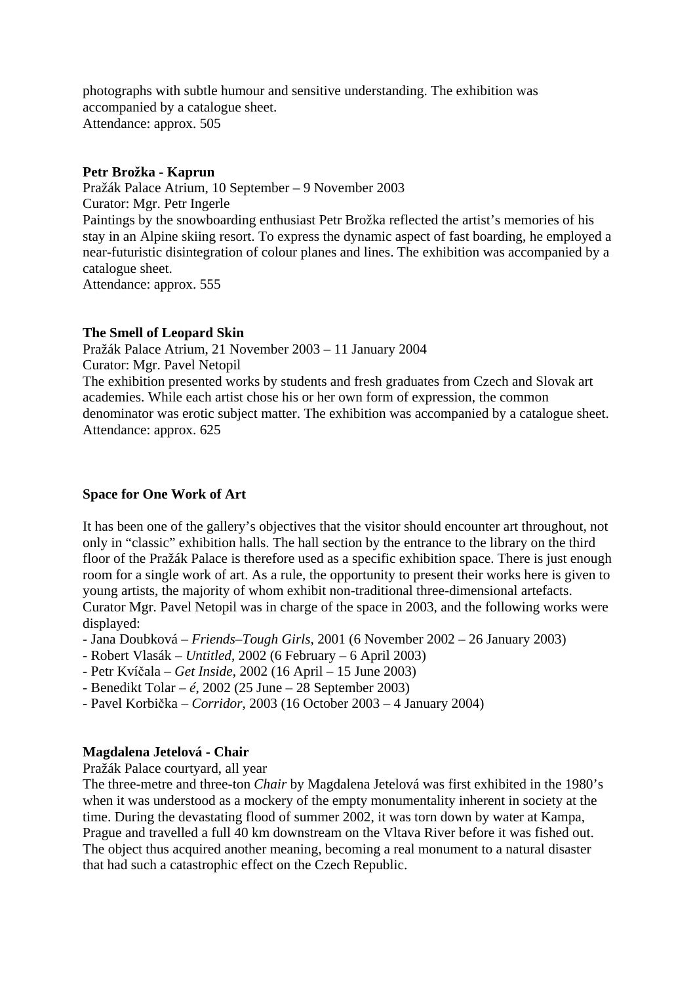photographs with subtle humour and sensitive understanding. The exhibition was accompanied by a catalogue sheet. Attendance: approx. 505

# **Petr Brožka - Kaprun**

Pražák Palace Atrium, 10 September – 9 November 2003 Curator: Mgr. Petr Ingerle Paintings by the snowboarding enthusiast Petr Brožka reflected the artist's memories of his stay in an Alpine skiing resort. To express the dynamic aspect of fast boarding, he employed a near-futuristic disintegration of colour planes and lines. The exhibition was accompanied by a catalogue sheet. Attendance: approx. 555

# **The Smell of Leopard Skin**

Pražák Palace Atrium, 21 November 2003 – 11 January 2004 Curator: Mgr. Pavel Netopil The exhibition presented works by students and fresh graduates from Czech and Slovak art academies. While each artist chose his or her own form of expression, the common denominator was erotic subject matter. The exhibition was accompanied by a catalogue sheet. Attendance: approx. 625

# **Space for One Work of Art**

It has been one of the gallery's objectives that the visitor should encounter art throughout, not only in "classic" exhibition halls. The hall section by the entrance to the library on the third floor of the Pražák Palace is therefore used as a specific exhibition space. There is just enough room for a single work of art. As a rule, the opportunity to present their works here is given to young artists, the majority of whom exhibit non-traditional three-dimensional artefacts. Curator Mgr. Pavel Netopil was in charge of the space in 2003, and the following works were displayed:

- Jana Doubková *Friends–Tough Girls*, 2001 (6 November 2002 26 January 2003)
- Robert Vlasák *Untitled*, 2002 (6 February 6 April 2003)
- Petr Kvíčala *Get Inside*, 2002 (16 April 15 June 2003)
- Benedikt Tolar *é*, 2002 (25 June 28 September 2003)
- Pavel Korbička *Corridor*, 2003 (16 October 2003 4 January 2004)

# **Magdalena Jetelová - Chair**

Pražák Palace courtyard, all year

The three-metre and three-ton *Chair* by Magdalena Jetelová was first exhibited in the 1980's when it was understood as a mockery of the empty monumentality inherent in society at the time. During the devastating flood of summer 2002, it was torn down by water at Kampa, Prague and travelled a full 40 km downstream on the Vltava River before it was fished out. The object thus acquired another meaning, becoming a real monument to a natural disaster that had such a catastrophic effect on the Czech Republic.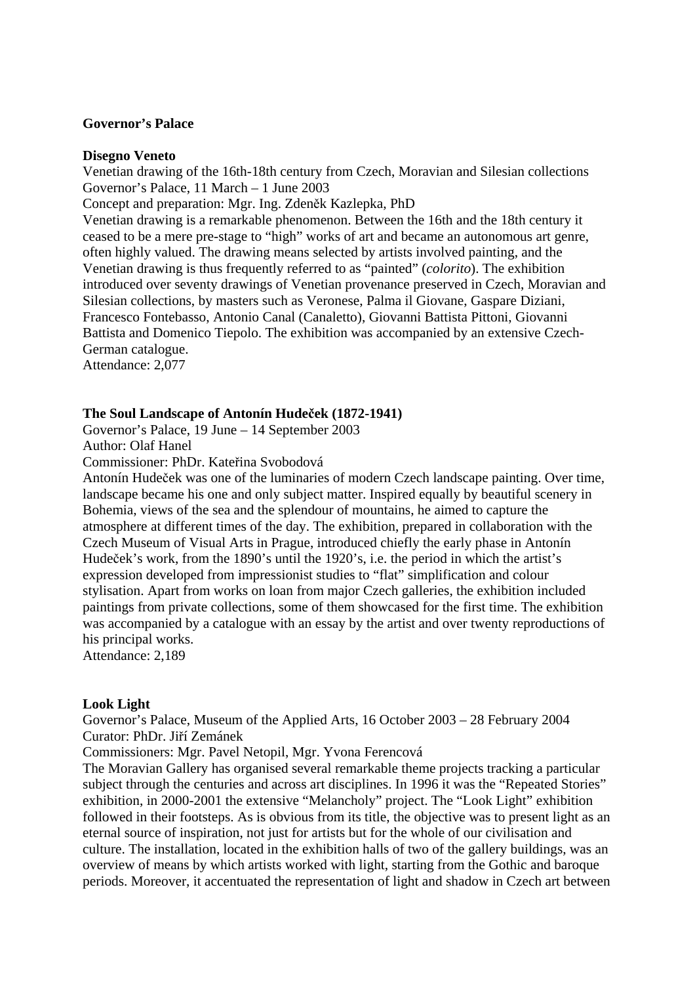### **Governor's Palace**

#### **Disegno Veneto**

Venetian drawing of the 16th-18th century from Czech, Moravian and Silesian collections Governor's Palace, 11 March – 1 June 2003

Concept and preparation: Mgr. Ing. Zdeněk Kazlepka, PhD

Venetian drawing is a remarkable phenomenon. Between the 16th and the 18th century it ceased to be a mere pre-stage to "high" works of art and became an autonomous art genre, often highly valued. The drawing means selected by artists involved painting, and the Venetian drawing is thus frequently referred to as "painted" (*colorito*). The exhibition introduced over seventy drawings of Venetian provenance preserved in Czech, Moravian and Silesian collections, by masters such as Veronese, Palma il Giovane, Gaspare Diziani, Francesco Fontebasso, Antonio Canal (Canaletto), Giovanni Battista Pittoni, Giovanni Battista and Domenico Tiepolo. The exhibition was accompanied by an extensive Czech-German catalogue.

Attendance: 2,077

#### **The Soul Landscape of Antonín Hudeček (1872-1941)**

Governor's Palace, 19 June – 14 September 2003 Author: Olaf Hanel

Commissioner: PhDr. Kateřina Svobodová

Antonín Hudeček was one of the luminaries of modern Czech landscape painting. Over time, landscape became his one and only subject matter. Inspired equally by beautiful scenery in Bohemia, views of the sea and the splendour of mountains, he aimed to capture the atmosphere at different times of the day. The exhibition, prepared in collaboration with the Czech Museum of Visual Arts in Prague, introduced chiefly the early phase in Antonín Hudeček's work, from the 1890's until the 1920's, i.e. the period in which the artist's expression developed from impressionist studies to "flat" simplification and colour stylisation. Apart from works on loan from major Czech galleries, the exhibition included paintings from private collections, some of them showcased for the first time. The exhibition was accompanied by a catalogue with an essay by the artist and over twenty reproductions of his principal works.

Attendance: 2,189

#### **Look Light**

Governor's Palace, Museum of the Applied Arts, 16 October 2003 – 28 February 2004 Curator: PhDr. Jiří Zemánek

Commissioners: Mgr. Pavel Netopil, Mgr. Yvona Ferencová

The Moravian Gallery has organised several remarkable theme projects tracking a particular subject through the centuries and across art disciplines. In 1996 it was the "Repeated Stories" exhibition, in 2000-2001 the extensive "Melancholy" project. The "Look Light" exhibition followed in their footsteps. As is obvious from its title, the objective was to present light as an eternal source of inspiration, not just for artists but for the whole of our civilisation and culture. The installation, located in the exhibition halls of two of the gallery buildings, was an overview of means by which artists worked with light, starting from the Gothic and baroque periods. Moreover, it accentuated the representation of light and shadow in Czech art between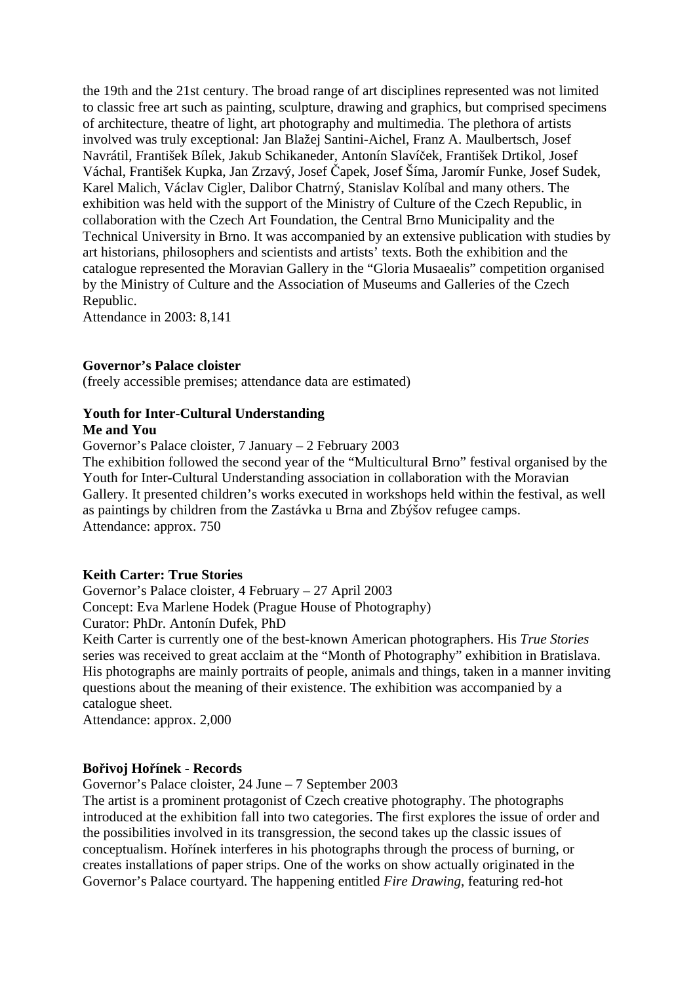the 19th and the 21st century. The broad range of art disciplines represented was not limited to classic free art such as painting, sculpture, drawing and graphics, but comprised specimens of architecture, theatre of light, art photography and multimedia. The plethora of artists involved was truly exceptional: Jan Blažej Santini-Aichel, Franz A. Maulbertsch, Josef Navrátil, František Bílek, Jakub Schikaneder, Antonín Slavíček, František Drtikol, Josef Váchal, František Kupka, Jan Zrzavý, Josef Čapek, Josef Šíma, Jaromír Funke, Josef Sudek, Karel Malich, Václav Cigler, Dalibor Chatrný, Stanislav Kolíbal and many others. The exhibition was held with the support of the Ministry of Culture of the Czech Republic, in collaboration with the Czech Art Foundation, the Central Brno Municipality and the Technical University in Brno. It was accompanied by an extensive publication with studies by art historians, philosophers and scientists and artists' texts. Both the exhibition and the catalogue represented the Moravian Gallery in the "Gloria Musaealis" competition organised by the Ministry of Culture and the Association of Museums and Galleries of the Czech Republic.

Attendance in 2003: 8,141

# **Governor's Palace cloister**

(freely accessible premises; attendance data are estimated)

# **Youth for Inter-Cultural Understanding**

### **Me and You**

Governor's Palace cloister, 7 January – 2 February 2003

The exhibition followed the second year of the "Multicultural Brno" festival organised by the Youth for Inter-Cultural Understanding association in collaboration with the Moravian Gallery. It presented children's works executed in workshops held within the festival, as well as paintings by children from the Zastávka u Brna and Zbýšov refugee camps. Attendance: approx. 750

### **Keith Carter: True Stories**

Governor's Palace cloister, 4 February – 27 April 2003 Concept: Eva Marlene Hodek (Prague House of Photography)

Curator: PhDr. Antonín Dufek, PhD

Keith Carter is currently one of the best-known American photographers. His *True Stories* series was received to great acclaim at the "Month of Photography" exhibition in Bratislava. His photographs are mainly portraits of people, animals and things, taken in a manner inviting questions about the meaning of their existence. The exhibition was accompanied by a catalogue sheet.

Attendance: approx. 2,000

#### **Bořivoj Hořínek - Records**

Governor's Palace cloister, 24 June – 7 September 2003

The artist is a prominent protagonist of Czech creative photography. The photographs introduced at the exhibition fall into two categories. The first explores the issue of order and the possibilities involved in its transgression, the second takes up the classic issues of conceptualism. Hořínek interferes in his photographs through the process of burning, or creates installations of paper strips. One of the works on show actually originated in the Governor's Palace courtyard. The happening entitled *Fire Drawing*, featuring red-hot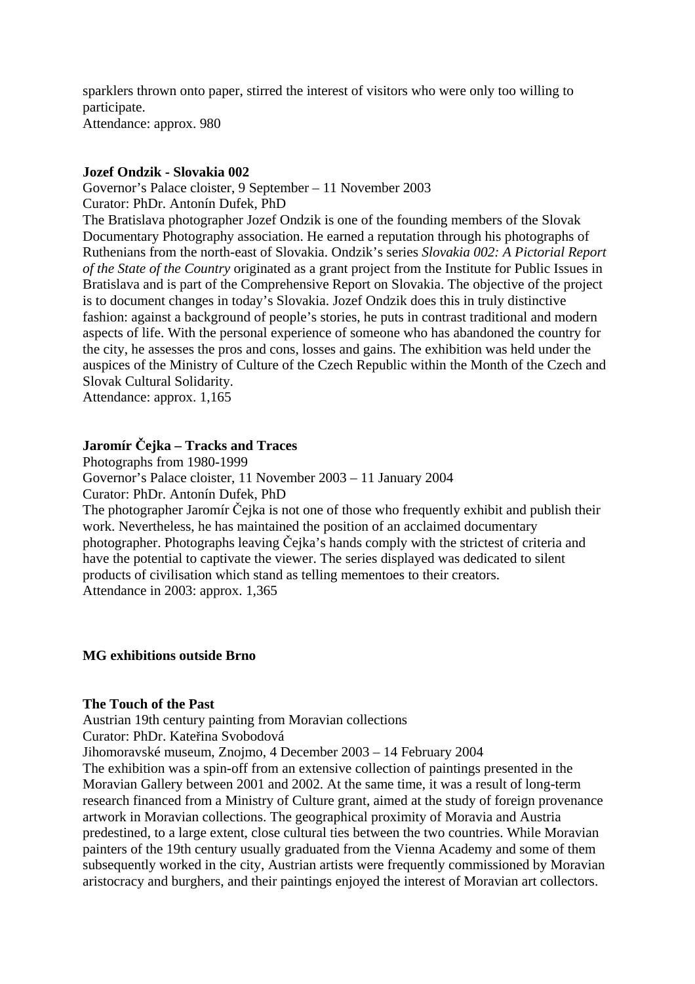sparklers thrown onto paper, stirred the interest of visitors who were only too willing to participate. Attendance: approx. 980

# **Jozef Ondzik - Slovakia 002**

Governor's Palace cloister, 9 September – 11 November 2003 Curator: PhDr. Antonín Dufek, PhD

The Bratislava photographer Jozef Ondzik is one of the founding members of the Slovak Documentary Photography association. He earned a reputation through his photographs of Ruthenians from the north-east of Slovakia. Ondzik's series *Slovakia 002: A Pictorial Report of the State of the Country* originated as a grant project from the Institute for Public Issues in Bratislava and is part of the Comprehensive Report on Slovakia. The objective of the project is to document changes in today's Slovakia. Jozef Ondzik does this in truly distinctive fashion: against a background of people's stories, he puts in contrast traditional and modern aspects of life. With the personal experience of someone who has abandoned the country for the city, he assesses the pros and cons, losses and gains. The exhibition was held under the auspices of the Ministry of Culture of the Czech Republic within the Month of the Czech and Slovak Cultural Solidarity.

Attendance: approx. 1,165

# **Jaromír Čejka – Tracks and Traces**

Photographs from 1980-1999

Governor's Palace cloister, 11 November 2003 – 11 January 2004 Curator: PhDr. Antonín Dufek, PhD

The photographer Jaromír Čejka is not one of those who frequently exhibit and publish their work. Nevertheless, he has maintained the position of an acclaimed documentary photographer. Photographs leaving Čejka's hands comply with the strictest of criteria and have the potential to captivate the viewer. The series displayed was dedicated to silent products of civilisation which stand as telling mementoes to their creators. Attendance in 2003: approx. 1,365

# **MG exhibitions outside Brno**

#### **The Touch of the Past**

Austrian 19th century painting from Moravian collections Curator: PhDr. Kateřina Svobodová

Jihomoravské museum, Znojmo, 4 December 2003 – 14 February 2004

The exhibition was a spin-off from an extensive collection of paintings presented in the Moravian Gallery between 2001 and 2002. At the same time, it was a result of long-term research financed from a Ministry of Culture grant, aimed at the study of foreign provenance artwork in Moravian collections. The geographical proximity of Moravia and Austria predestined, to a large extent, close cultural ties between the two countries. While Moravian painters of the 19th century usually graduated from the Vienna Academy and some of them subsequently worked in the city. Austrian artists were frequently commissioned by Moravian aristocracy and burghers, and their paintings enjoyed the interest of Moravian art collectors.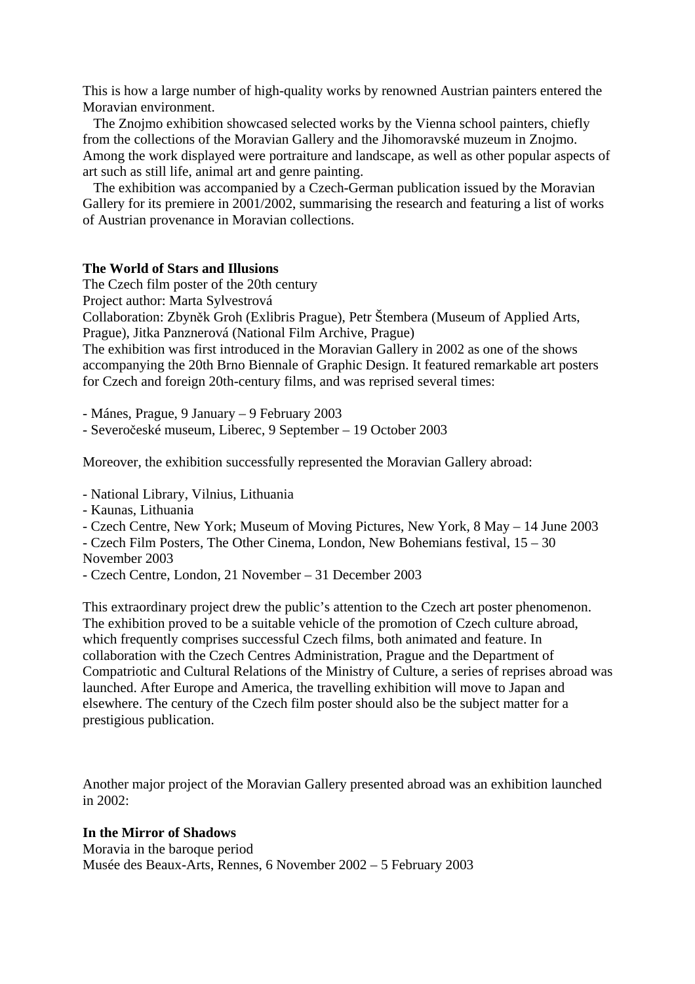This is how a large number of high-quality works by renowned Austrian painters entered the Moravian environment.

 The Znojmo exhibition showcased selected works by the Vienna school painters, chiefly from the collections of the Moravian Gallery and the Jihomoravské muzeum in Znojmo. Among the work displayed were portraiture and landscape, as well as other popular aspects of art such as still life, animal art and genre painting.

 The exhibition was accompanied by a Czech-German publication issued by the Moravian Gallery for its premiere in 2001/2002, summarising the research and featuring a list of works of Austrian provenance in Moravian collections.

#### **The World of Stars and Illusions**

The Czech film poster of the 20th century

Project author: Marta Sylvestrová

Collaboration: Zbyněk Groh (Exlibris Prague), Petr Štembera (Museum of Applied Arts, Prague), Jitka Panznerová (National Film Archive, Prague)

The exhibition was first introduced in the Moravian Gallery in 2002 as one of the shows accompanying the 20th Brno Biennale of Graphic Design. It featured remarkable art posters for Czech and foreign 20th-century films, and was reprised several times:

- Mánes, Prague, 9 January – 9 February 2003

- Severočeské museum, Liberec, 9 September – 19 October 2003

Moreover, the exhibition successfully represented the Moravian Gallery abroad:

- National Library, Vilnius, Lithuania

- Kaunas, Lithuania
- Czech Centre, New York; Museum of Moving Pictures, New York, 8 May 14 June 2003

- Czech Film Posters, The Other Cinema, London, New Bohemians festival, 15 – 30 November 2003

- Czech Centre, London, 21 November – 31 December 2003

This extraordinary project drew the public's attention to the Czech art poster phenomenon. The exhibition proved to be a suitable vehicle of the promotion of Czech culture abroad, which frequently comprises successful Czech films, both animated and feature. In collaboration with the Czech Centres Administration, Prague and the Department of Compatriotic and Cultural Relations of the Ministry of Culture, a series of reprises abroad was launched. After Europe and America, the travelling exhibition will move to Japan and elsewhere. The century of the Czech film poster should also be the subject matter for a prestigious publication.

Another major project of the Moravian Gallery presented abroad was an exhibition launched in  $2002$ :

#### **In the Mirror of Shadows**

Moravia in the baroque period Musée des Beaux-Arts, Rennes, 6 November 2002 – 5 February 2003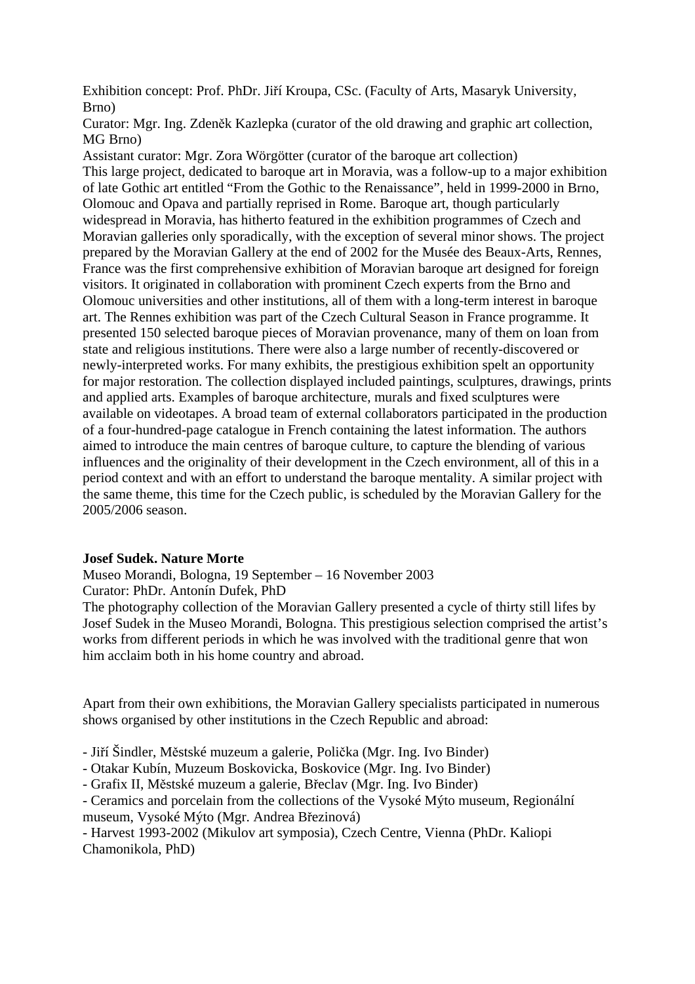Exhibition concept: Prof. PhDr. Jiří Kroupa, CSc. (Faculty of Arts, Masaryk University, Brno)

Curator: Mgr. Ing. Zdeněk Kazlepka (curator of the old drawing and graphic art collection, MG Brno)

Assistant curator: Mgr. Zora Wörgötter (curator of the baroque art collection) This large project, dedicated to baroque art in Moravia, was a follow-up to a major exhibition of late Gothic art entitled "From the Gothic to the Renaissance", held in 1999-2000 in Brno, Olomouc and Opava and partially reprised in Rome. Baroque art, though particularly widespread in Moravia, has hitherto featured in the exhibition programmes of Czech and Moravian galleries only sporadically, with the exception of several minor shows. The project prepared by the Moravian Gallery at the end of 2002 for the Musée des Beaux-Arts, Rennes, France was the first comprehensive exhibition of Moravian baroque art designed for foreign visitors. It originated in collaboration with prominent Czech experts from the Brno and Olomouc universities and other institutions, all of them with a long-term interest in baroque art. The Rennes exhibition was part of the Czech Cultural Season in France programme. It presented 150 selected baroque pieces of Moravian provenance, many of them on loan from state and religious institutions. There were also a large number of recently-discovered or newly-interpreted works. For many exhibits, the prestigious exhibition spelt an opportunity for major restoration. The collection displayed included paintings, sculptures, drawings, prints and applied arts. Examples of baroque architecture, murals and fixed sculptures were available on videotapes. A broad team of external collaborators participated in the production of a four-hundred-page catalogue in French containing the latest information. The authors aimed to introduce the main centres of baroque culture, to capture the blending of various influences and the originality of their development in the Czech environment, all of this in a period context and with an effort to understand the baroque mentality. A similar project with the same theme, this time for the Czech public, is scheduled by the Moravian Gallery for the 2005/2006 season.

# **Josef Sudek. Nature Morte**

Museo Morandi, Bologna, 19 September – 16 November 2003 Curator: PhDr. Antonín Dufek, PhD

The photography collection of the Moravian Gallery presented a cycle of thirty still lifes by Josef Sudek in the Museo Morandi, Bologna. This prestigious selection comprised the artist's works from different periods in which he was involved with the traditional genre that won him acclaim both in his home country and abroad.

Apart from their own exhibitions, the Moravian Gallery specialists participated in numerous shows organised by other institutions in the Czech Republic and abroad:

- Jiří Šindler, Městské muzeum a galerie, Polička (Mgr. Ing. Ivo Binder)

- Otakar Kubín, Muzeum Boskovicka, Boskovice (Mgr. Ing. Ivo Binder)

- Grafix II, Městské muzeum a galerie, Břeclav (Mgr. Ing. Ivo Binder)

- Ceramics and porcelain from the collections of the Vysoké Mýto museum, Regionální museum, Vysoké Mýto (Mgr. Andrea Březinová)

- Harvest 1993-2002 (Mikulov art symposia), Czech Centre, Vienna (PhDr. Kaliopi Chamonikola, PhD)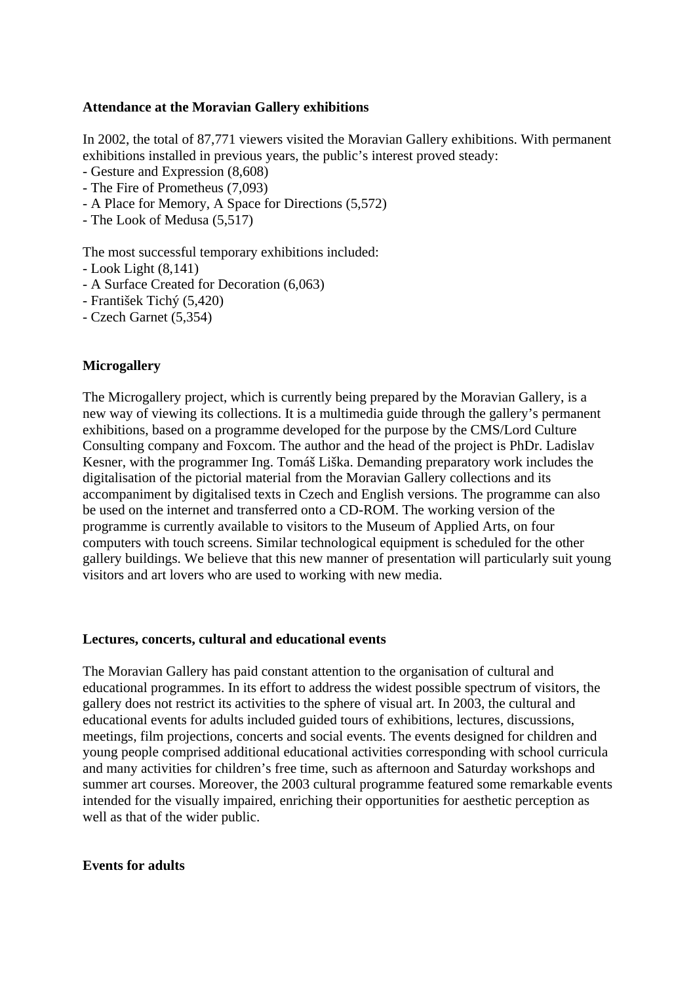# **Attendance at the Moravian Gallery exhibitions**

In 2002, the total of 87,771 viewers visited the Moravian Gallery exhibitions. With permanent exhibitions installed in previous years, the public's interest proved steady:

- Gesture and Expression (8,608)
- The Fire of Prometheus (7,093)
- A Place for Memory, A Space for Directions (5,572)
- The Look of Medusa (5,517)

The most successful temporary exhibitions included:

- Look Light (8,141)
- A Surface Created for Decoration (6,063)
- František Tichý (5,420)
- Czech Garnet (5,354)

# **Microgallery**

The Microgallery project, which is currently being prepared by the Moravian Gallery, is a new way of viewing its collections. It is a multimedia guide through the gallery's permanent exhibitions, based on a programme developed for the purpose by the CMS/Lord Culture Consulting company and Foxcom. The author and the head of the project is PhDr. Ladislav Kesner, with the programmer Ing. Tomáš Liška. Demanding preparatory work includes the digitalisation of the pictorial material from the Moravian Gallery collections and its accompaniment by digitalised texts in Czech and English versions. The programme can also be used on the internet and transferred onto a CD-ROM. The working version of the programme is currently available to visitors to the Museum of Applied Arts, on four computers with touch screens. Similar technological equipment is scheduled for the other gallery buildings. We believe that this new manner of presentation will particularly suit young visitors and art lovers who are used to working with new media.

# **Lectures, concerts, cultural and educational events**

The Moravian Gallery has paid constant attention to the organisation of cultural and educational programmes. In its effort to address the widest possible spectrum of visitors, the gallery does not restrict its activities to the sphere of visual art. In 2003, the cultural and educational events for adults included guided tours of exhibitions, lectures, discussions, meetings, film projections, concerts and social events. The events designed for children and young people comprised additional educational activities corresponding with school curricula and many activities for children's free time, such as afternoon and Saturday workshops and summer art courses. Moreover, the 2003 cultural programme featured some remarkable events intended for the visually impaired, enriching their opportunities for aesthetic perception as well as that of the wider public.

### **Events for adults**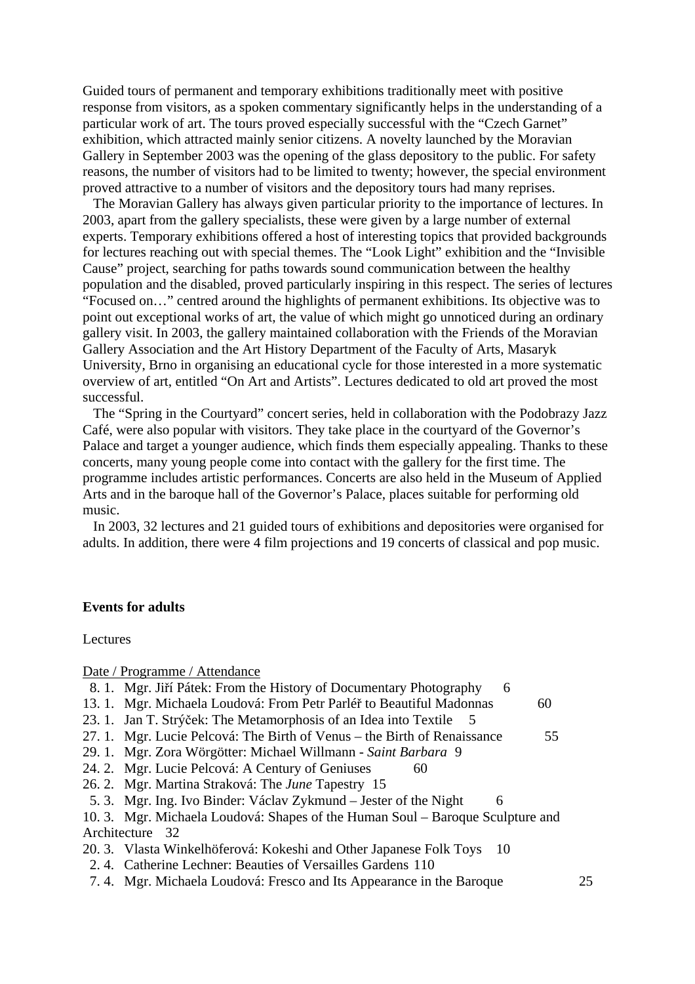Guided tours of permanent and temporary exhibitions traditionally meet with positive response from visitors, as a spoken commentary significantly helps in the understanding of a particular work of art. The tours proved especially successful with the "Czech Garnet" exhibition, which attracted mainly senior citizens. A novelty launched by the Moravian Gallery in September 2003 was the opening of the glass depository to the public. For safety reasons, the number of visitors had to be limited to twenty; however, the special environment proved attractive to a number of visitors and the depository tours had many reprises.

 The Moravian Gallery has always given particular priority to the importance of lectures. In 2003, apart from the gallery specialists, these were given by a large number of external experts. Temporary exhibitions offered a host of interesting topics that provided backgrounds for lectures reaching out with special themes. The "Look Light" exhibition and the "Invisible Cause" project, searching for paths towards sound communication between the healthy population and the disabled, proved particularly inspiring in this respect. The series of lectures "Focused on…" centred around the highlights of permanent exhibitions. Its objective was to point out exceptional works of art, the value of which might go unnoticed during an ordinary gallery visit. In 2003, the gallery maintained collaboration with the Friends of the Moravian Gallery Association and the Art History Department of the Faculty of Arts, Masaryk University, Brno in organising an educational cycle for those interested in a more systematic overview of art, entitled "On Art and Artists". Lectures dedicated to old art proved the most successful.

 The "Spring in the Courtyard" concert series, held in collaboration with the Podobrazy Jazz Café, were also popular with visitors. They take place in the courtyard of the Governor's Palace and target a younger audience, which finds them especially appealing. Thanks to these concerts, many young people come into contact with the gallery for the first time. The programme includes artistic performances. Concerts are also held in the Museum of Applied Arts and in the baroque hall of the Governor's Palace, places suitable for performing old music.

 In 2003, 32 lectures and 21 guided tours of exhibitions and depositories were organised for adults. In addition, there were 4 film projections and 19 concerts of classical and pop music.

#### **Events for adults**

Lectures

Date / Programme / Attendance

|  |  | 8. 1. Mgr. Jiří Pátek: From the History of Documentary Photography |  |  |  |
|--|--|--------------------------------------------------------------------|--|--|--|
|--|--|--------------------------------------------------------------------|--|--|--|

- 13. 1. Mgr. Michaela Loudová: From Petr Parléř to Beautiful Madonnas 60
- 23. 1. Jan T. Strýček: The Metamorphosis of an Idea into Textile 5
- 27. 1. Mgr. Lucie Pelcová: The Birth of Venus the Birth of Renaissance 55
- 29. 1. Mgr. Zora Wörgötter: Michael Willmann *Saint Barbara* 9
- 24. 2. Mgr. Lucie Pelcová: A Century of Geniuses 60
- 26. 2. Mgr. Martina Straková: The *June* Tapestry 15
- 5. 3. Mgr. Ing. Ivo Binder: Václav Zykmund Jester of the Night 6

10. 3. Mgr. Michaela Loudová: Shapes of the Human Soul – Baroque Sculpture and Architecture 32

- 20. 3. Vlasta Winkelhöferová: Kokeshi and Other Japanese Folk Toys 10
	- 2. 4. Catherine Lechner: Beauties of Versailles Gardens 110
- 7. 4. Mgr. Michaela Loudová: Fresco and Its Appearance in the Baroque 25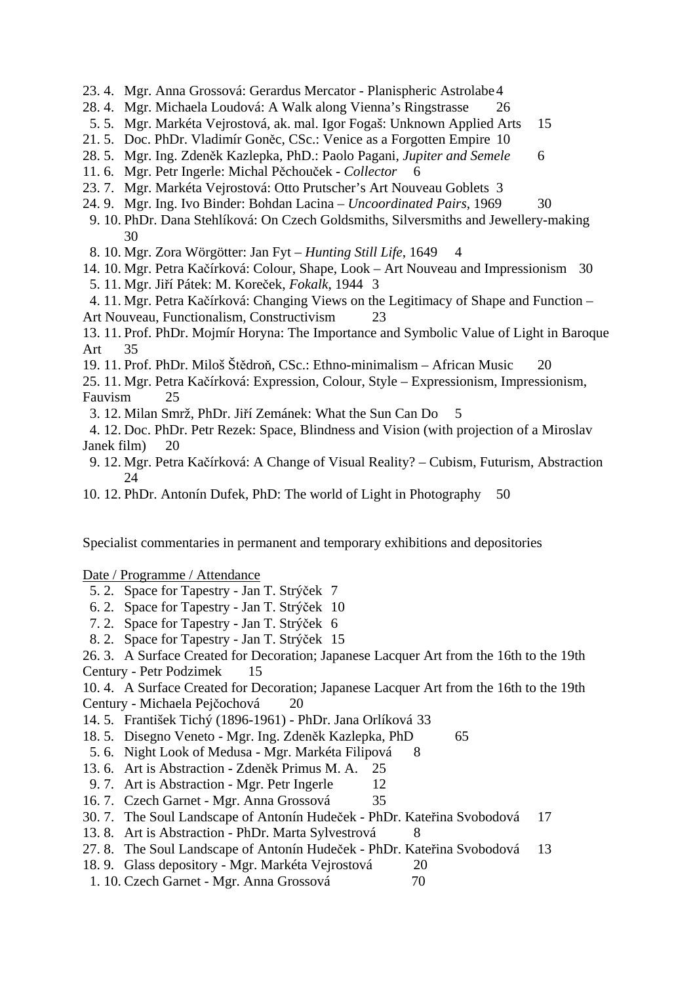- 23. 4. Mgr. Anna Grossová: Gerardus Mercator Planispheric Astrolabe 4
- 28. 4. Mgr. Michaela Loudová: A Walk along Vienna's Ringstrasse 26
- 5. 5. Mgr. Markéta Vejrostová, ak. mal. Igor Fogaš: Unknown Applied Arts 15
- 21. 5. Doc. PhDr. Vladimír Goněc, CSc.: Venice as a Forgotten Empire 10
- 28. 5. Mgr. Ing. Zdeněk Kazlepka, PhD.: Paolo Pagani, *Jupiter and Semele* 6
- 11. 6. Mgr. Petr Ingerle: Michal Pěchouček *Collector* 6
- 23. 7. Mgr. Markéta Vejrostová: Otto Prutscher's Art Nouveau Goblets 3
- 24. 9. Mgr. Ing. Ivo Binder: Bohdan Lacina *Uncoordinated Pairs*, 1969 30
- 9. 10. PhDr. Dana Stehlíková: On Czech Goldsmiths, Silversmiths and Jewellery-making 30
- 8. 10. Mgr. Zora Wörgötter: Jan Fyt *Hunting Still Life*, 1649 4
- 14. 10. Mgr. Petra Kačírková: Colour, Shape, Look Art Nouveau and Impressionism 30
- 5. 11. Mgr. Jiří Pátek: M. Koreček, *Fokalk*, 1944 3
- 4. 11. Mgr. Petra Kačírková: Changing Views on the Legitimacy of Shape and Function Art Nouveau, Functionalism, Constructivism 23
- 13. 11. Prof. PhDr. Mojmír Horyna: The Importance and Symbolic Value of Light in Baroque Art 35
- 19. 11. Prof. PhDr. Miloš Štědroň, CSc.: Ethno-minimalism African Music 20
- 25. 11. Mgr. Petra Kačírková: Expression, Colour, Style Expressionism, Impressionism, Fauvism 25
- 3. 12. Milan Smrž, PhDr. Jiří Zemánek: What the Sun Can Do 5
- 4. 12. Doc. PhDr. Petr Rezek: Space, Blindness and Vision (with projection of a Miroslav Janek film) 20
- 9. 12. Mgr. Petra Kačírková: A Change of Visual Reality? Cubism, Futurism, Abstraction 24
- 10. 12. PhDr. Antonín Dufek, PhD: The world of Light in Photography 50

Specialist commentaries in permanent and temporary exhibitions and depositories

Date / Programme / Attendance

- 5. 2. Space for Tapestry Jan T. Strýček 7
- 6. 2. Space for Tapestry Jan T. Strýček 10
- 7. 2. Space for Tapestry Jan T. Strýček 6
- 8. 2. Space for Tapestry Jan T. Strýček 15

# 26. 3. A Surface Created for Decoration; Japanese Lacquer Art from the 16th to the 19th

Century - Petr Podzimek 15

10. 4. A Surface Created for Decoration; Japanese Lacquer Art from the 16th to the 19th Century - Michaela Pejčochová 20

- 14. 5. František Tichý (1896-1961) PhDr. Jana Orlíková 33
- 18. 5. Disegno Veneto Mgr. Ing. Zdeněk Kazlepka, PhD 65
- 5. 6. Night Look of Medusa Mgr. Markéta Filipová 8
- 13. 6. Art is Abstraction Zdeněk Primus M. A. 25
- 9. 7. Art is Abstraction Mgr. Petr Ingerle 12
- 16. 7. Czech Garnet Mgr. Anna Grossová 35
- 30. 7. The Soul Landscape of Antonín Hudeček PhDr. Kateřina Svobodová 17
- 13. 8. Art is Abstraction PhDr. Marta Sylvestrová 8
- 27. 8. The Soul Landscape of Antonín Hudeček PhDr. Kateřina Svobodová 13
- 18. 9. Glass depository Mgr. Markéta Vejrostová 20
- 1. 10. Czech Garnet Mgr. Anna Grossová 70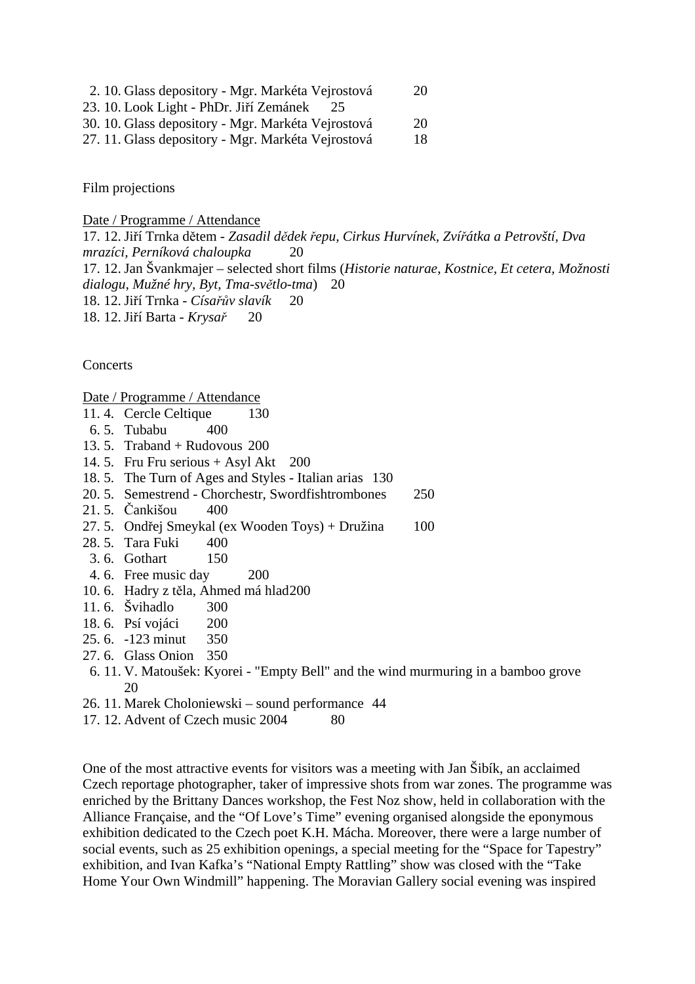- 2. 10. Glass depository Mgr. Markéta Vejrostová 20
- 23. 10. Look Light PhDr. Jiří Zemánek 25
- 30. 10. Glass depository Mgr. Markéta Vejrostová 20
- 27. 11. Glass depository Mgr. Markéta Vejrostová 18

Film projections

Date / Programme / Attendance

17. 12. Jiří Trnka dětem - *Zasadil dědek řepu, Cirkus Hurvínek, Zvířátka a Petrovští, Dva mrazíci, Perníková chaloupka* 20 17. 12. Jan Švankmajer – selected short films (*Historie naturae*, *Kostnice, Et cetera, Možnosti dialogu, Mužné hry, Byt, Tma-světlo-tma*) 20 18. 12. Jiří Trnka - *Císařův slavík* 20 18. 12. Jiří Barta - *Krysař* 20

**Concerts** 

Date / Programme / Attendance

- 11. 4. Cercle Celtique 130
- 6. 5. Tubabu 400
- 13. 5. Traband + Rudovous 200
- 14. 5. Fru Fru serious + Asyl Akt 200
- 18. 5. The Turn of Ages and Styles Italian arias 130
- 20. 5. Semestrend Chorchestr, Swordfishtrombones 250
- 21. 5. Čankišou 400
- 27. 5. Ondřej Smeykal (ex Wooden Toys) + Družina 100
- 28. 5. Tara Fuki 400
- 3. 6. Gothart 150
- 4. 6. Free music day 200
- 10. 6. Hadry z těla, Ahmed má hlad 200
- 11. 6. Švihadlo 300
- 18. 6. Psí vojáci 200
- 25. 6. -123 minut 350
- 27. 6. Glass Onion 350
- 6. 11. V. Matoušek: Kyorei "Empty Bell" and the wind murmuring in a bamboo grove 20
- 26. 11. Marek Choloniewski sound performance 44
- 17. 12. Advent of Czech music 2004 80

One of the most attractive events for visitors was a meeting with Jan Šibík, an acclaimed Czech reportage photographer, taker of impressive shots from war zones. The programme was enriched by the Brittany Dances workshop, the Fest Noz show, held in collaboration with the Alliance Française, and the "Of Love's Time" evening organised alongside the eponymous exhibition dedicated to the Czech poet K.H. Mácha. Moreover, there were a large number of social events, such as 25 exhibition openings, a special meeting for the "Space for Tapestry" exhibition, and Ivan Kafka's "National Empty Rattling" show was closed with the "Take Home Your Own Windmill" happening. The Moravian Gallery social evening was inspired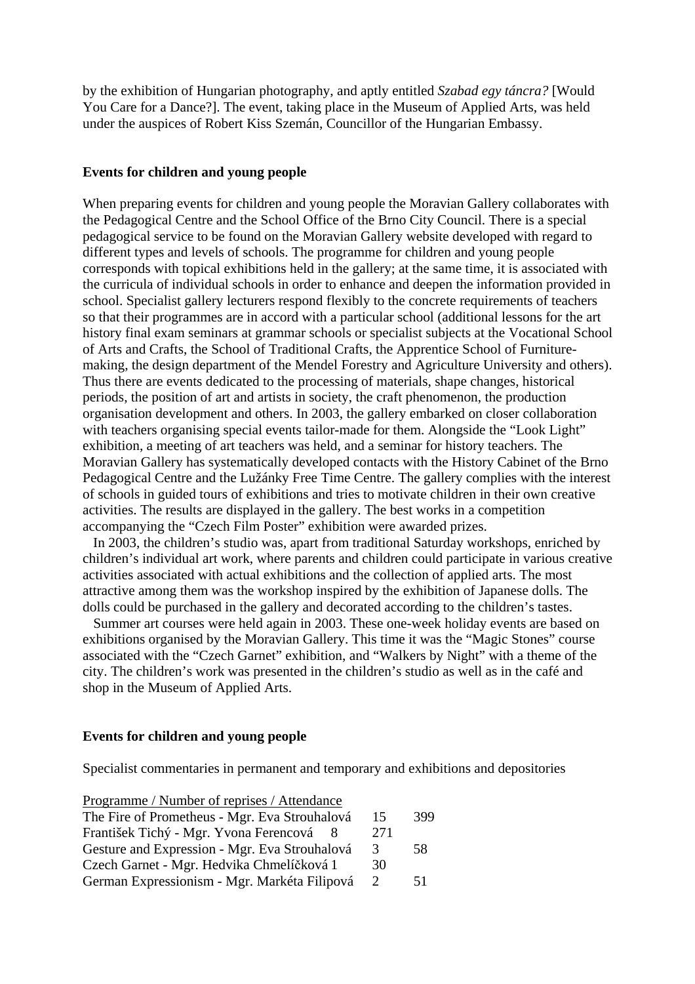by the exhibition of Hungarian photography, and aptly entitled *Szabad egy táncra?* [Would You Care for a Dance?]. The event, taking place in the Museum of Applied Arts, was held under the auspices of Robert Kiss Szemán, Councillor of the Hungarian Embassy.

#### **Events for children and young people**

When preparing events for children and young people the Moravian Gallery collaborates with the Pedagogical Centre and the School Office of the Brno City Council. There is a special pedagogical service to be found on the Moravian Gallery website developed with regard to different types and levels of schools. The programme for children and young people corresponds with topical exhibitions held in the gallery; at the same time, it is associated with the curricula of individual schools in order to enhance and deepen the information provided in school. Specialist gallery lecturers respond flexibly to the concrete requirements of teachers so that their programmes are in accord with a particular school (additional lessons for the art history final exam seminars at grammar schools or specialist subjects at the Vocational School of Arts and Crafts, the School of Traditional Crafts, the Apprentice School of Furnituremaking, the design department of the Mendel Forestry and Agriculture University and others). Thus there are events dedicated to the processing of materials, shape changes, historical periods, the position of art and artists in society, the craft phenomenon, the production organisation development and others. In 2003, the gallery embarked on closer collaboration with teachers organising special events tailor-made for them. Alongside the "Look Light" exhibition, a meeting of art teachers was held, and a seminar for history teachers. The Moravian Gallery has systematically developed contacts with the History Cabinet of the Brno Pedagogical Centre and the Lužánky Free Time Centre. The gallery complies with the interest of schools in guided tours of exhibitions and tries to motivate children in their own creative activities. The results are displayed in the gallery. The best works in a competition accompanying the "Czech Film Poster" exhibition were awarded prizes.

 In 2003, the children's studio was, apart from traditional Saturday workshops, enriched by children's individual art work, where parents and children could participate in various creative activities associated with actual exhibitions and the collection of applied arts. The most attractive among them was the workshop inspired by the exhibition of Japanese dolls. The dolls could be purchased in the gallery and decorated according to the children's tastes.

 Summer art courses were held again in 2003. These one-week holiday events are based on exhibitions organised by the Moravian Gallery. This time it was the "Magic Stones" course associated with the "Czech Garnet" exhibition, and "Walkers by Night" with a theme of the city. The children's work was presented in the children's studio as well as in the café and shop in the Museum of Applied Arts.

# **Events for children and young people**

Specialist commentaries in permanent and temporary and exhibitions and depositories

| Programme / Number of reprises / Attendance   |               |     |
|-----------------------------------------------|---------------|-----|
| The Fire of Prometheus - Mgr. Eva Strouhalová | 15            | 399 |
| František Tichý - Mgr. Yvona Ferencová        | 271           |     |
| Gesture and Expression - Mgr. Eva Strouhalová | 3             | 58  |
| Czech Garnet - Mgr. Hedvika Chmelíčková 1     | 30            |     |
| German Expressionism - Mgr. Markéta Filipová  | $\mathcal{L}$ | 51  |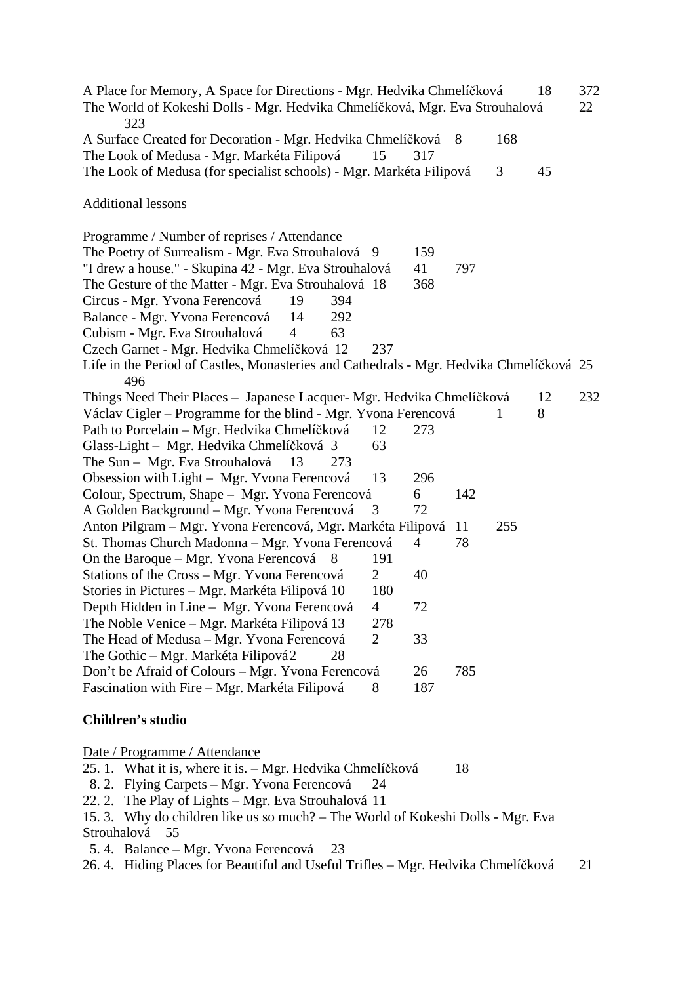A Place for Memory, A Space for Directions - Mgr. Hedvika Chmelíčková 18 372 The World of Kokeshi Dolls - Mgr. Hedvika Chmelíčková, Mgr. Eva Strouhalová 22 323 A Surface Created for Decoration - Mgr. Hedvika Chmelíčková 8 168 The Look of Medusa - Mgr. Markéta Filipová 15 317 The Look of Medusa (for specialist schools) - Mgr. Markéta Filipová 3 45 Additional lessons Programme / Number of reprises / Attendance The Poetry of Surrealism - Mgr. Eva Strouhalová 9 159 "I drew a house." - Skupina 42 - Mgr. Eva Strouhalová 41 797 The Gesture of the Matter - Mgr. Eva Strouhalová 18 368 Circus - Mgr. Yvona Ferencová 19 394 Balance - Mgr. Yvona Ferencová 14 292 Cubism - Mgr. Eva Strouhalová 4 63 Czech Garnet - Mgr. Hedvika Chmelíčková 12 237 Life in the Period of Castles, Monasteries and Cathedrals - Mgr. Hedvika Chmelíčková 25 496 Things Need Their Places – Japanese Lacquer- Mgr. Hedvika Chmelíčková 12 232 Václav Cigler – Programme for the blind - Mgr. Yvona Ferencová 18 Path to Porcelain – Mgr. Hedvika Chmelíčková 12 273 Glass-Light – Mgr. Hedvika Chmelíčková 3 63 The Sun – Mgr. Eva Strouhalová 13 273 Obsession with Light – Mgr. Yvona Ferencová 13 296 Colour, Spectrum, Shape – Mgr. Yvona Ferencová 6 142 A Golden Background – Mgr. Yvona Ferencová 3 72 Anton Pilgram – Mgr. Yvona Ferencová, Mgr. Markéta Filipová 11 255 St. Thomas Church Madonna – Mgr. Yvona Ferencová 4 78 On the Baroque – Mgr. Yvona Ferencová 8 191 Stations of the Cross – Mgr. Yvona Ferencová 2 40 Stories in Pictures – Mgr. Markéta Filipová 10 180 Depth Hidden in Line – Mgr. Yvona Ferencová 4 72 The Noble Venice – Mgr. Markéta Filipová 13 278 The Head of Medusa – Mgr. Yvona Ferencová 2 33 The Gothic – Mgr. Markéta Filipová 2 28 Don't be Afraid of Colours – Mgr. Yvona Ferencová 26 785 Fascination with Fire – Mgr. Markéta Filipová 8 187

# **Children's studio**

Date / Programme / Attendance

- 25. 1. What it is, where it is. Mgr. Hedvika Chmelíčková 18
- 8. 2. Flying Carpets Mgr. Yvona Ferencová 24
- 22. 2. The Play of Lights Mgr. Eva Strouhalová 11
- 15. 3. Why do children like us so much? The World of Kokeshi Dolls Mgr. Eva Strouhalová 55
- 5. 4. Balance Mgr. Yvona Ferencová 23
- 26. 4. Hiding Places for Beautiful and Useful Trifles Mgr. Hedvika Chmelíčková 21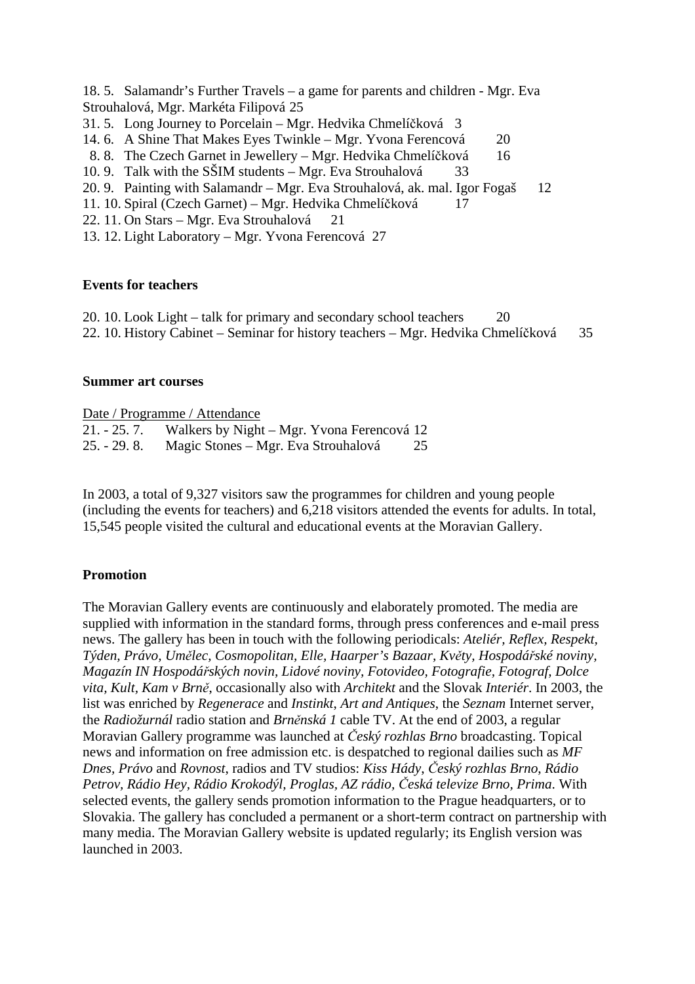18. 5. Salamandr's Further Travels – a game for parents and children - Mgr. Eva Strouhalová, Mgr. Markéta Filipová 25

- 31. 5. Long Journey to Porcelain Mgr. Hedvika Chmelíčková 3
- 14. 6. A Shine That Makes Eyes Twinkle Mgr. Yvona Ferencová 20
- 8. 8. The Czech Garnet in Jewellery Mgr. Hedvika Chmelíčková 16
- 10. 9. Talk with the SŠIM students Mgr. Eva Strouhalová 33
- 20. 9. Painting with Salamandr Mgr. Eva Strouhalová, ak. mal. Igor Fogaš 12
- 11. 10. Spiral (Czech Garnet) Mgr. Hedvika Chmelíčková 17
- 22. 11. On Stars Mgr. Eva Strouhalová 21
- 13. 12. Light Laboratory Mgr. Yvona Ferencová 27

# **Events for teachers**

20. 10. Look Light – talk for primary and secondary school teachers 20 22. 10. History Cabinet – Seminar for history teachers – Mgr. Hedvika Chmelíčková 35

# **Summer art courses**

|               | Date / Programme / Attendance                           |    |
|---------------|---------------------------------------------------------|----|
|               | 21. - 25. 7. Walkers by Night – Mgr. Yvona Ferencová 12 |    |
| $25. - 29.8.$ | Magic Stones – Mgr. Eva Strouhalová                     | 25 |

In 2003, a total of 9,327 visitors saw the programmes for children and young people (including the events for teachers) and 6,218 visitors attended the events for adults. In total, 15,545 people visited the cultural and educational events at the Moravian Gallery.

# **Promotion**

The Moravian Gallery events are continuously and elaborately promoted. The media are supplied with information in the standard forms, through press conferences and e-mail press news. The gallery has been in touch with the following periodicals: *Ateliér, Reflex, Respekt, Týden, Právo, Umělec, Cosmopolitan, Elle, Haarper's Bazaar, Květy, Hospodářské noviny, Magazín IN Hospodářských novin, Lidové noviny, Fotovideo, Fotografie, Fotograf, Dolce vita, Kult, Kam v Brně*, occasionally also with *Architekt* and the Slovak *Interiér*. In 2003, the list was enriched by *Regenerace* and *Instinkt*, *Art and Antiques*, the *Seznam* Internet server, the *Radiožurnál* radio station and *Brněnská 1* cable TV. At the end of 2003, a regular Moravian Gallery programme was launched at *Český rozhlas Brno* broadcasting. Topical news and information on free admission etc. is despatched to regional dailies such as *MF Dnes, Právo* and *Rovnost*, radios and TV studios: *Kiss Hády*, *Český rozhlas Brno*, *Rádio Petrov, Rádio Hey, Rádio Krokodýl, Proglas, AZ rádio, Česká televize Brno, Prima*. With selected events, the gallery sends promotion information to the Prague headquarters, or to Slovakia. The gallery has concluded a permanent or a short-term contract on partnership with many media. The Moravian Gallery website is updated regularly; its English version was launched in 2003.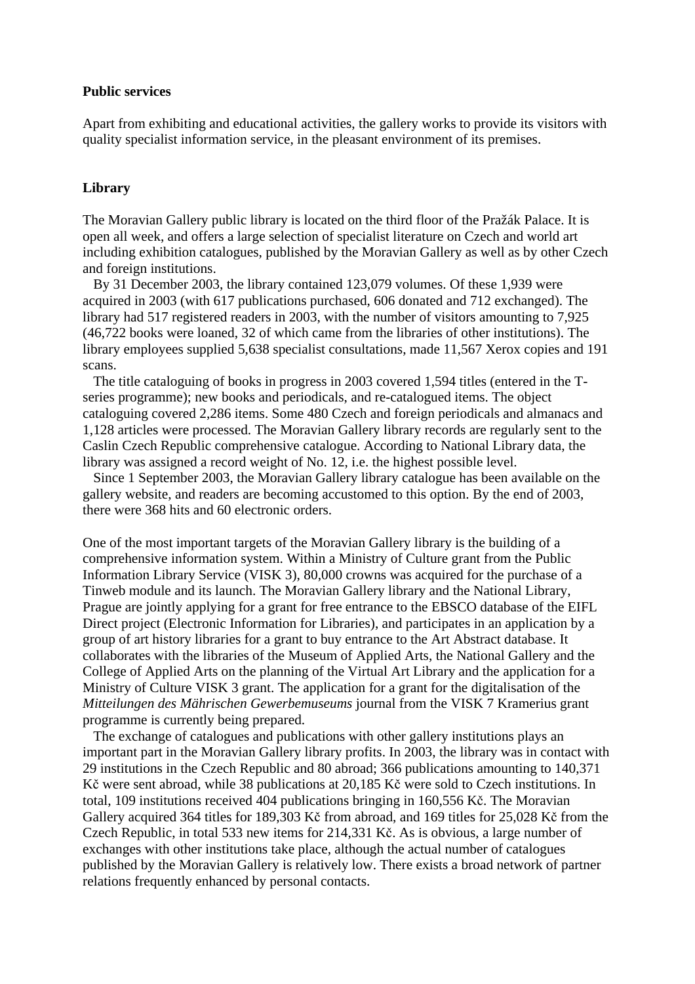#### **Public services**

Apart from exhibiting and educational activities, the gallery works to provide its visitors with quality specialist information service, in the pleasant environment of its premises.

# **Library**

The Moravian Gallery public library is located on the third floor of the Pražák Palace. It is open all week, and offers a large selection of specialist literature on Czech and world art including exhibition catalogues, published by the Moravian Gallery as well as by other Czech and foreign institutions.

 By 31 December 2003, the library contained 123,079 volumes. Of these 1,939 were acquired in 2003 (with 617 publications purchased, 606 donated and 712 exchanged). The library had 517 registered readers in 2003, with the number of visitors amounting to 7,925 (46,722 books were loaned, 32 of which came from the libraries of other institutions). The library employees supplied 5,638 specialist consultations, made 11,567 Xerox copies and 191 scans.

 The title cataloguing of books in progress in 2003 covered 1,594 titles (entered in the Tseries programme); new books and periodicals, and re-catalogued items. The object cataloguing covered 2,286 items. Some 480 Czech and foreign periodicals and almanacs and 1,128 articles were processed. The Moravian Gallery library records are regularly sent to the Caslin Czech Republic comprehensive catalogue. According to National Library data, the library was assigned a record weight of No. 12, i.e. the highest possible level.

 Since 1 September 2003, the Moravian Gallery library catalogue has been available on the gallery website, and readers are becoming accustomed to this option. By the end of 2003, there were 368 hits and 60 electronic orders.

One of the most important targets of the Moravian Gallery library is the building of a comprehensive information system. Within a Ministry of Culture grant from the Public Information Library Service (VISK 3), 80,000 crowns was acquired for the purchase of a Tinweb module and its launch. The Moravian Gallery library and the National Library, Prague are jointly applying for a grant for free entrance to the EBSCO database of the EIFL Direct project (Electronic Information for Libraries), and participates in an application by a group of art history libraries for a grant to buy entrance to the Art Abstract database. It collaborates with the libraries of the Museum of Applied Arts, the National Gallery and the College of Applied Arts on the planning of the Virtual Art Library and the application for a Ministry of Culture VISK 3 grant. The application for a grant for the digitalisation of the *Mitteilungen des Mährischen Gewerbemuseums* journal from the VISK 7 Kramerius grant programme is currently being prepared.

 The exchange of catalogues and publications with other gallery institutions plays an important part in the Moravian Gallery library profits. In 2003, the library was in contact with 29 institutions in the Czech Republic and 80 abroad; 366 publications amounting to 140,371 Kč were sent abroad, while 38 publications at 20,185 Kč were sold to Czech institutions. In total, 109 institutions received 404 publications bringing in 160,556 Kč. The Moravian Gallery acquired 364 titles for 189,303 Kč from abroad, and 169 titles for 25,028 Kč from the Czech Republic, in total 533 new items for 214,331 Kč. As is obvious, a large number of exchanges with other institutions take place, although the actual number of catalogues published by the Moravian Gallery is relatively low. There exists a broad network of partner relations frequently enhanced by personal contacts.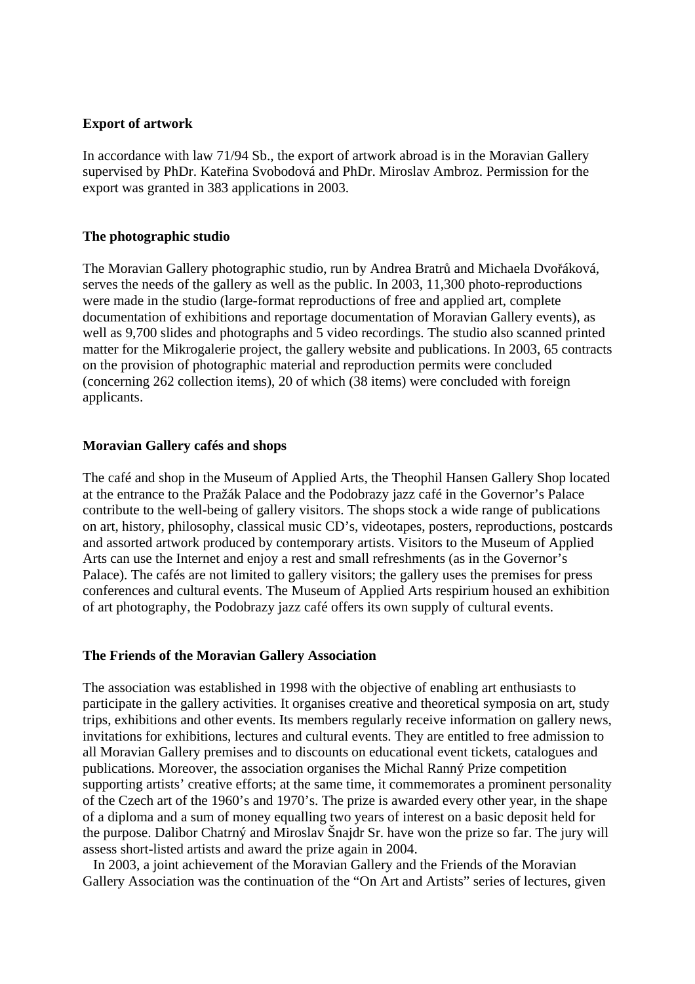# **Export of artwork**

In accordance with law 71/94 Sb., the export of artwork abroad is in the Moravian Gallery supervised by PhDr. Kateřina Svobodová and PhDr. Miroslav Ambroz. Permission for the export was granted in 383 applications in 2003.

# **The photographic studio**

The Moravian Gallery photographic studio, run by Andrea Bratrů and Michaela Dvořáková, serves the needs of the gallery as well as the public. In 2003, 11,300 photo-reproductions were made in the studio (large-format reproductions of free and applied art, complete documentation of exhibitions and reportage documentation of Moravian Gallery events), as well as 9,700 slides and photographs and 5 video recordings. The studio also scanned printed matter for the Mikrogalerie project, the gallery website and publications. In 2003, 65 contracts on the provision of photographic material and reproduction permits were concluded (concerning 262 collection items), 20 of which (38 items) were concluded with foreign applicants.

# **Moravian Gallery cafés and shops**

The café and shop in the Museum of Applied Arts, the Theophil Hansen Gallery Shop located at the entrance to the Pražák Palace and the Podobrazy jazz café in the Governor's Palace contribute to the well-being of gallery visitors. The shops stock a wide range of publications on art, history, philosophy, classical music CD's, videotapes, posters, reproductions, postcards and assorted artwork produced by contemporary artists. Visitors to the Museum of Applied Arts can use the Internet and enjoy a rest and small refreshments (as in the Governor's Palace). The cafés are not limited to gallery visitors; the gallery uses the premises for press conferences and cultural events. The Museum of Applied Arts respirium housed an exhibition of art photography, the Podobrazy jazz café offers its own supply of cultural events.

# **The Friends of the Moravian Gallery Association**

The association was established in 1998 with the objective of enabling art enthusiasts to participate in the gallery activities. It organises creative and theoretical symposia on art, study trips, exhibitions and other events. Its members regularly receive information on gallery news, invitations for exhibitions, lectures and cultural events. They are entitled to free admission to all Moravian Gallery premises and to discounts on educational event tickets, catalogues and publications. Moreover, the association organises the Michal Ranný Prize competition supporting artists' creative efforts; at the same time, it commemorates a prominent personality of the Czech art of the 1960's and 1970's. The prize is awarded every other year, in the shape of a diploma and a sum of money equalling two years of interest on a basic deposit held for the purpose. Dalibor Chatrný and Miroslav Šnajdr Sr. have won the prize so far. The jury will assess short-listed artists and award the prize again in 2004.

 In 2003, a joint achievement of the Moravian Gallery and the Friends of the Moravian Gallery Association was the continuation of the "On Art and Artists" series of lectures, given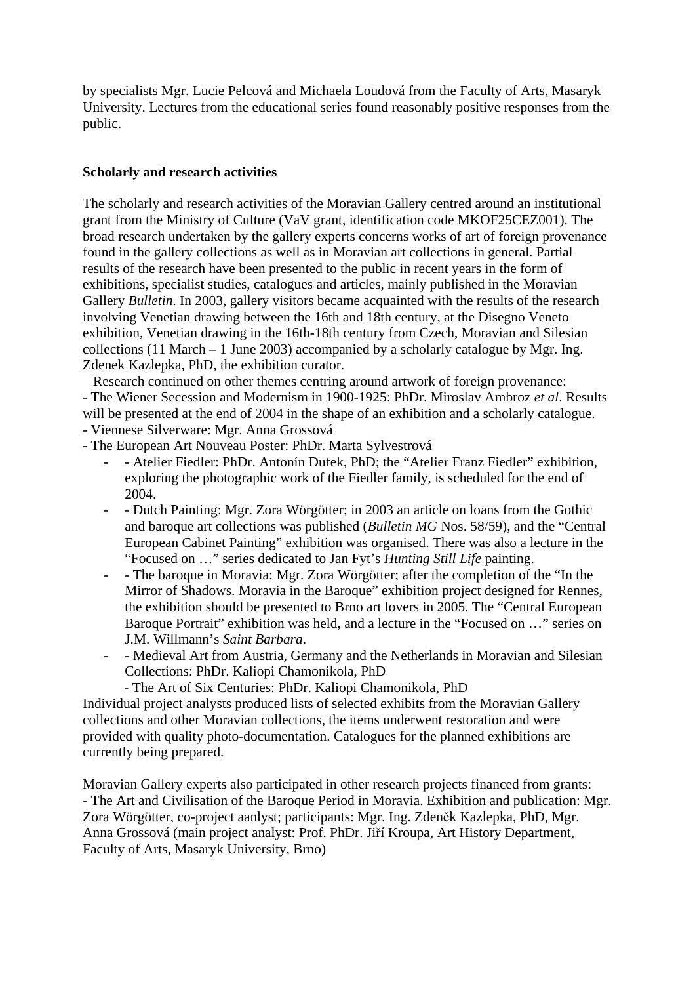by specialists Mgr. Lucie Pelcová and Michaela Loudová from the Faculty of Arts, Masaryk University. Lectures from the educational series found reasonably positive responses from the public.

# **Scholarly and research activities**

The scholarly and research activities of the Moravian Gallery centred around an institutional grant from the Ministry of Culture (VaV grant, identification code MKOF25CEZ001). The broad research undertaken by the gallery experts concerns works of art of foreign provenance found in the gallery collections as well as in Moravian art collections in general. Partial results of the research have been presented to the public in recent years in the form of exhibitions, specialist studies, catalogues and articles, mainly published in the Moravian Gallery *Bulletin*. In 2003, gallery visitors became acquainted with the results of the research involving Venetian drawing between the 16th and 18th century, at the Disegno Veneto exhibition, Venetian drawing in the 16th-18th century from Czech, Moravian and Silesian collections (11 March – 1 June 2003) accompanied by a scholarly catalogue by Mgr. Ing. Zdenek Kazlepka, PhD, the exhibition curator.

Research continued on other themes centring around artwork of foreign provenance:

- The Wiener Secession and Modernism in 1900-1925: PhDr. Miroslav Ambroz *et al*. Results will be presented at the end of 2004 in the shape of an exhibition and a scholarly catalogue.

- Viennese Silverware: Mgr. Anna Grossová
- The European Art Nouveau Poster: PhDr. Marta Sylvestrová
	- - Atelier Fiedler: PhDr. Antonín Dufek, PhD; the "Atelier Franz Fiedler" exhibition, exploring the photographic work of the Fiedler family, is scheduled for the end of 2004.
	- - Dutch Painting: Mgr. Zora Wörgötter; in 2003 an article on loans from the Gothic and baroque art collections was published (*Bulletin MG* Nos. 58/59), and the "Central European Cabinet Painting" exhibition was organised. There was also a lecture in the "Focused on …" series dedicated to Jan Fyt's *Hunting Still Life* painting.
	- - The baroque in Moravia: Mgr. Zora Wörgötter; after the completion of the "In the Mirror of Shadows. Moravia in the Baroque" exhibition project designed for Rennes, the exhibition should be presented to Brno art lovers in 2005. The "Central European Baroque Portrait" exhibition was held, and a lecture in the "Focused on …" series on J.M. Willmann's *Saint Barbara*.
	- Medieval Art from Austria, Germany and the Netherlands in Moravian and Silesian Collections: PhDr. Kaliopi Chamonikola, PhD
		- The Art of Six Centuries: PhDr. Kaliopi Chamonikola, PhD

Individual project analysts produced lists of selected exhibits from the Moravian Gallery collections and other Moravian collections, the items underwent restoration and were provided with quality photo-documentation. Catalogues for the planned exhibitions are currently being prepared.

Moravian Gallery experts also participated in other research projects financed from grants: - The Art and Civilisation of the Baroque Period in Moravia. Exhibition and publication: Mgr. Zora Wörgötter, co-project aanlyst; participants: Mgr. Ing. Zdeněk Kazlepka, PhD, Mgr. Anna Grossová (main project analyst: Prof. PhDr. Jiří Kroupa, Art History Department, Faculty of Arts, Masaryk University, Brno)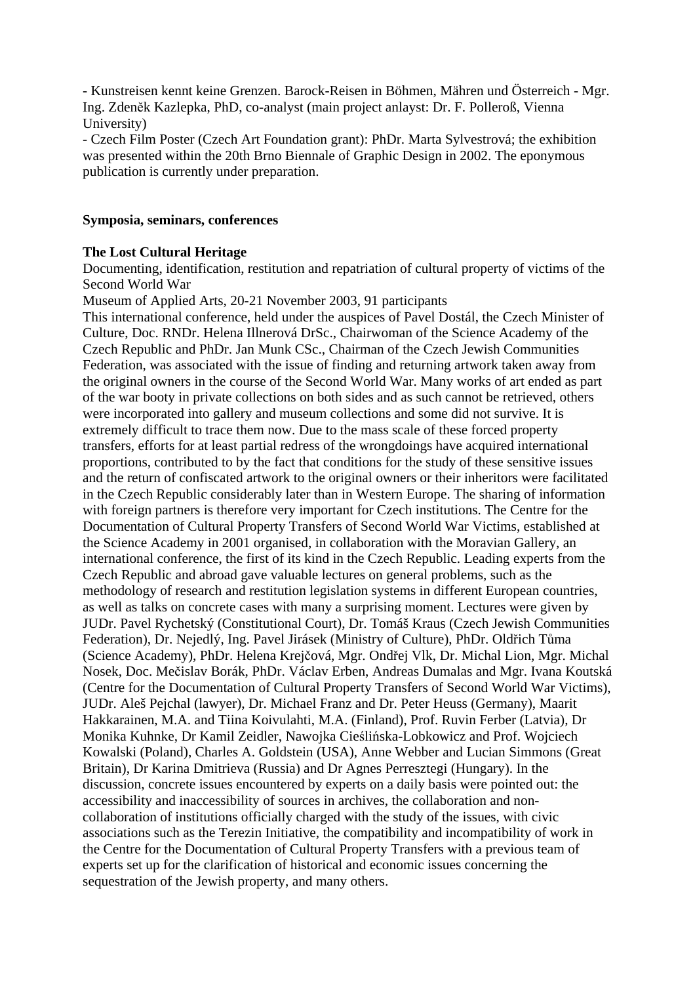- Kunstreisen kennt keine Grenzen. Barock-Reisen in Böhmen, Mähren und Österreich - Mgr. Ing. Zdeněk Kazlepka, PhD, co-analyst (main project anlayst: Dr. F. Polleroß, Vienna University)

- Czech Film Poster (Czech Art Foundation grant): PhDr. Marta Sylvestrová; the exhibition was presented within the 20th Brno Biennale of Graphic Design in 2002. The eponymous publication is currently under preparation.

### **Symposia, seminars, conferences**

# **The Lost Cultural Heritage**

Documenting, identification, restitution and repatriation of cultural property of victims of the Second World War

Museum of Applied Arts, 20-21 November 2003, 91 participants

This international conference, held under the auspices of Pavel Dostál, the Czech Minister of Culture, Doc. RNDr. Helena Illnerová DrSc., Chairwoman of the Science Academy of the Czech Republic and PhDr. Jan Munk CSc., Chairman of the Czech Jewish Communities Federation, was associated with the issue of finding and returning artwork taken away from the original owners in the course of the Second World War. Many works of art ended as part of the war booty in private collections on both sides and as such cannot be retrieved, others were incorporated into gallery and museum collections and some did not survive. It is extremely difficult to trace them now. Due to the mass scale of these forced property transfers, efforts for at least partial redress of the wrongdoings have acquired international proportions, contributed to by the fact that conditions for the study of these sensitive issues and the return of confiscated artwork to the original owners or their inheritors were facilitated in the Czech Republic considerably later than in Western Europe. The sharing of information with foreign partners is therefore very important for Czech institutions. The Centre for the Documentation of Cultural Property Transfers of Second World War Victims, established at the Science Academy in 2001 organised, in collaboration with the Moravian Gallery, an international conference, the first of its kind in the Czech Republic. Leading experts from the Czech Republic and abroad gave valuable lectures on general problems, such as the methodology of research and restitution legislation systems in different European countries, as well as talks on concrete cases with many a surprising moment. Lectures were given by JUDr. Pavel Rychetský (Constitutional Court), Dr. Tomáš Kraus (Czech Jewish Communities Federation), Dr. Nejedlý, Ing. Pavel Jirásek (Ministry of Culture), PhDr. Oldřich Tůma (Science Academy), PhDr. Helena Krejčová, Mgr. Ondřej Vlk, Dr. Michal Lion, Mgr. Michal Nosek, Doc. Mečislav Borák, PhDr. Václav Erben, Andreas Dumalas and Mgr. Ivana Koutská (Centre for the Documentation of Cultural Property Transfers of Second World War Victims), JUDr. Aleš Pejchal (lawyer), Dr. Michael Franz and Dr. Peter Heuss (Germany), Maarit Hakkarainen, M.A. and Tiina Koivulahti, M.A. (Finland), Prof. Ruvin Ferber (Latvia), Dr Monika Kuhnke, Dr Kamil Zeidler, Nawojka Cieślińska-Lobkowicz and Prof. Wojciech Kowalski (Poland), Charles A. Goldstein (USA), Anne Webber and Lucian Simmons (Great Britain), Dr Karina Dmitrieva (Russia) and Dr Agnes Perresztegi (Hungary). In the discussion, concrete issues encountered by experts on a daily basis were pointed out: the accessibility and inaccessibility of sources in archives, the collaboration and noncollaboration of institutions officially charged with the study of the issues, with civic associations such as the Terezin Initiative, the compatibility and incompatibility of work in the Centre for the Documentation of Cultural Property Transfers with a previous team of experts set up for the clarification of historical and economic issues concerning the sequestration of the Jewish property, and many others.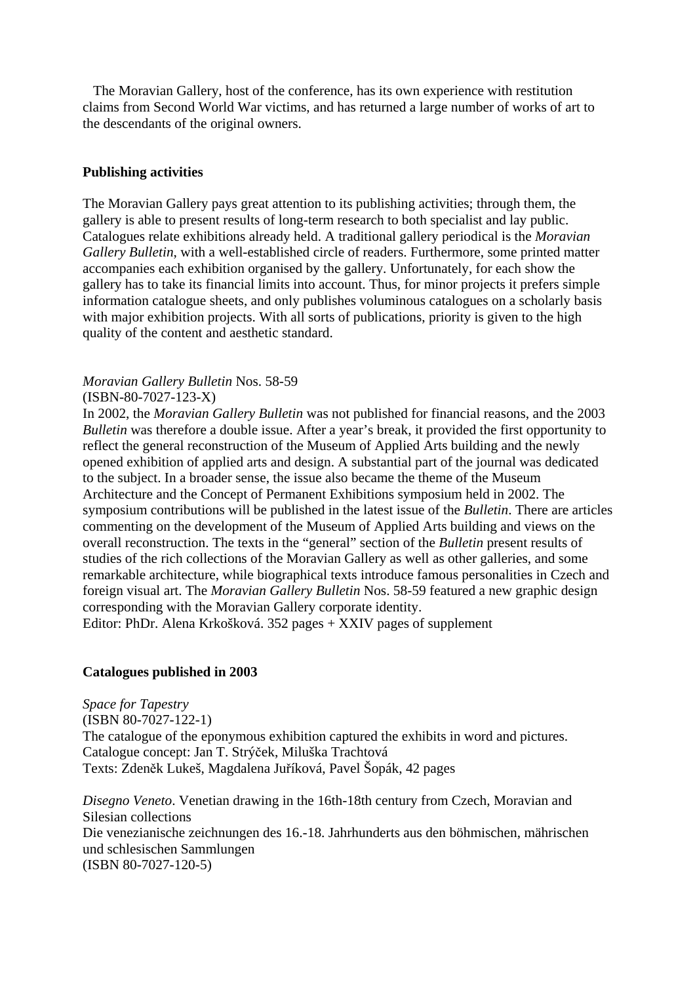The Moravian Gallery, host of the conference, has its own experience with restitution claims from Second World War victims, and has returned a large number of works of art to the descendants of the original owners.

# **Publishing activities**

The Moravian Gallery pays great attention to its publishing activities; through them, the gallery is able to present results of long-term research to both specialist and lay public. Catalogues relate exhibitions already held. A traditional gallery periodical is the *Moravian Gallery Bulletin*, with a well-established circle of readers. Furthermore, some printed matter accompanies each exhibition organised by the gallery. Unfortunately, for each show the gallery has to take its financial limits into account. Thus, for minor projects it prefers simple information catalogue sheets, and only publishes voluminous catalogues on a scholarly basis with major exhibition projects. With all sorts of publications, priority is given to the high quality of the content and aesthetic standard.

*Moravian Gallery Bulletin* Nos. 58-59

(ISBN-80-7027-123-X)

In 2002, the *Moravian Gallery Bulletin* was not published for financial reasons, and the 2003 *Bulletin* was therefore a double issue. After a year's break, it provided the first opportunity to reflect the general reconstruction of the Museum of Applied Arts building and the newly opened exhibition of applied arts and design. A substantial part of the journal was dedicated to the subject. In a broader sense, the issue also became the theme of the Museum Architecture and the Concept of Permanent Exhibitions symposium held in 2002. The symposium contributions will be published in the latest issue of the *Bulletin*. There are articles commenting on the development of the Museum of Applied Arts building and views on the overall reconstruction. The texts in the "general" section of the *Bulletin* present results of studies of the rich collections of the Moravian Gallery as well as other galleries, and some remarkable architecture, while biographical texts introduce famous personalities in Czech and foreign visual art. The *Moravian Gallery Bulletin* Nos. 58-59 featured a new graphic design corresponding with the Moravian Gallery corporate identity. Editor: PhDr. Alena Krkošková. 352 pages + XXIV pages of supplement

**Catalogues published in 2003** 

*Space for Tapestry*  (ISBN 80-7027-122-1) The catalogue of the eponymous exhibition captured the exhibits in word and pictures. Catalogue concept: Jan T. Strýček, Miluška Trachtová Texts: Zdeněk Lukeš, Magdalena Juříková, Pavel Šopák, 42 pages

*Disegno Veneto*. Venetian drawing in the 16th-18th century from Czech, Moravian and Silesian collections Die venezianische zeichnungen des 16.-18. Jahrhunderts aus den böhmischen, mährischen und schlesischen Sammlungen (ISBN 80-7027-120-5)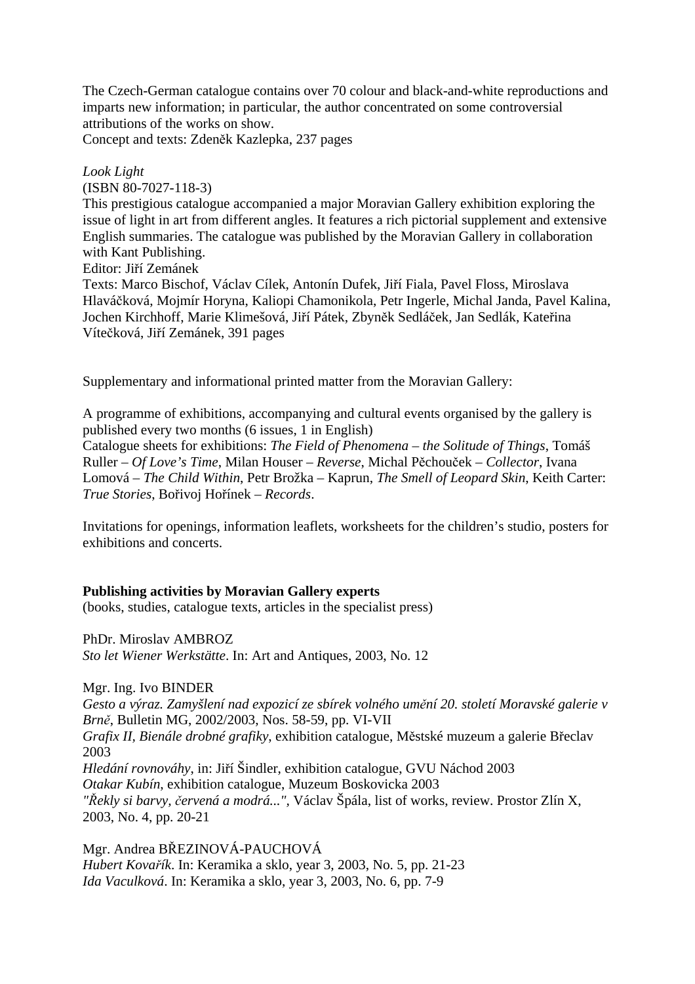The Czech-German catalogue contains over 70 colour and black-and-white reproductions and imparts new information; in particular, the author concentrated on some controversial attributions of the works on show.

Concept and texts: Zdeněk Kazlepka, 237 pages

### *Look Light*

(ISBN 80-7027-118-3)

This prestigious catalogue accompanied a major Moravian Gallery exhibition exploring the issue of light in art from different angles. It features a rich pictorial supplement and extensive English summaries. The catalogue was published by the Moravian Gallery in collaboration with Kant Publishing.

Editor: Jiří Zemánek

Texts: Marco Bischof, Václav Cílek, Antonín Dufek, Jiří Fiala, Pavel Floss, Miroslava Hlaváčková, Mojmír Horyna, Kaliopi Chamonikola, Petr Ingerle, Michal Janda, Pavel Kalina, Jochen Kirchhoff, Marie Klimešová, Jiří Pátek, Zbyněk Sedláček, Jan Sedlák, Kateřina Vítečková, Jiří Zemánek, 391 pages

Supplementary and informational printed matter from the Moravian Gallery:

A programme of exhibitions, accompanying and cultural events organised by the gallery is published every two months (6 issues, 1 in English)

Catalogue sheets for exhibitions: *The Field of Phenomena – the Solitude of Things*, Tomáš Ruller – *Of Love's Time*, Milan Houser – *Reverse*, Michal Pěchouček – *Collector*, Ivana Lomová – *The Child Within*, Petr Brožka – Kaprun, *The Smell of Leopard Skin*, Keith Carter: *True Stories*, Bořivoj Hořínek – *Records*.

Invitations for openings, information leaflets, worksheets for the children's studio, posters for exhibitions and concerts.

# **Publishing activities by Moravian Gallery experts**

(books, studies, catalogue texts, articles in the specialist press)

PhDr. Miroslav AMBROZ *Sto let Wiener Werkstätte*. In: Art and Antiques, 2003, No. 12

Mgr. Ing. Ivo BINDER *Gesto a výraz. Zamyšlení nad expozicí ze sbírek volného umění 20. století Moravské galerie v Brně*, Bulletin MG, 2002/2003, Nos. 58-59, pp. VI-VII *Grafix II, Bienále drobné grafiky*, exhibition catalogue, Městské muzeum a galerie Břeclav 2003 *Hledání rovnováhy*, in: Jiří Šindler, exhibition catalogue, GVU Náchod 2003 *Otakar Kubín*, exhibition catalogue, Muzeum Boskovicka 2003 *"Řekly si barvy, červená a modrá...",* Václav Špála, list of works, review. Prostor Zlín X, 2003, No. 4, pp. 20-21

Mgr. Andrea BŘEZINOVÁ-PAUCHOVÁ *Hubert Kovařík*. In: Keramika a sklo, year 3, 2003, No. 5, pp. 21-23 *Ida Vaculková*. In: Keramika a sklo, year 3, 2003, No. 6, pp. 7-9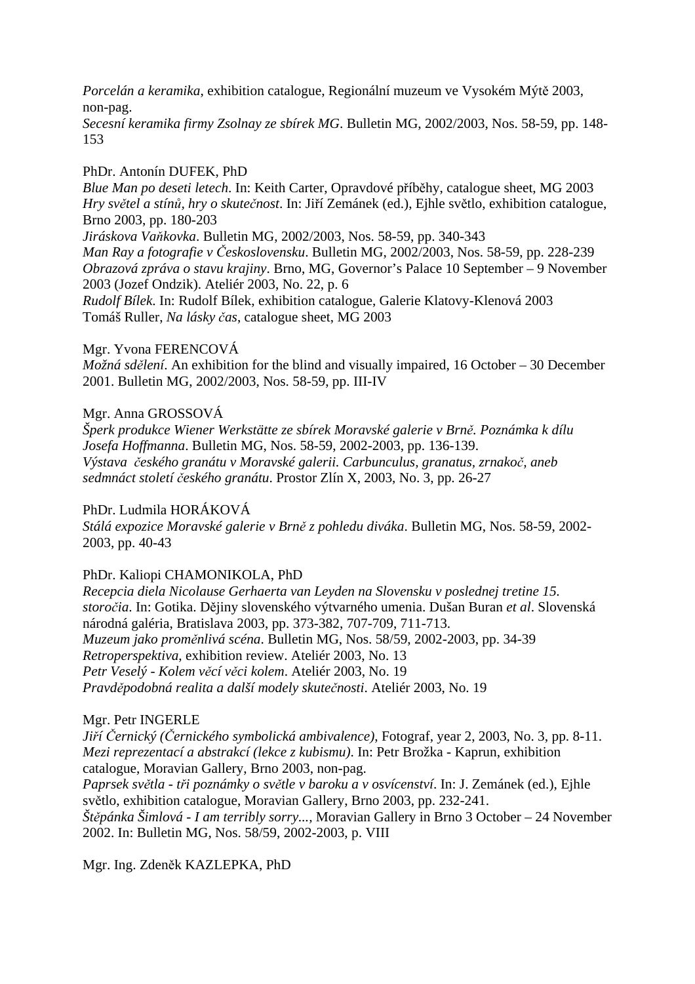*Porcelán a keramika*, exhibition catalogue, Regionální muzeum ve Vysokém Mýtě 2003, non-pag.

*Secesní keramika firmy Zsolnay ze sbírek MG*. Bulletin MG, 2002/2003, Nos. 58-59, pp. 148- 153

# PhDr. Antonín DUFEK, PhD

*Blue Man po deseti letech*. In: Keith Carter, Opravdové příběhy, catalogue sheet, MG 2003 *Hry světel a stínů, hry o skutečnost*. In: Jiří Zemánek (ed.), Ejhle světlo, exhibition catalogue, Brno 2003, pp. 180-203

*Jiráskova Vaňkovka*. Bulletin MG, 2002/2003, Nos. 58-59, pp. 340-343

*Man Ray a fotografie v Československu*. Bulletin MG, 2002/2003, Nos. 58-59, pp. 228-239 *Obrazová zpráva o stavu krajiny*. Brno, MG, Governor's Palace 10 September – 9 November 2003 (Jozef Ondzik). Ateliér 2003, No. 22, p. 6

*Rudolf Bílek*. In: Rudolf Bílek, exhibition catalogue, Galerie Klatovy-Klenová 2003 Tomáš Ruller, *Na lásky čas*, catalogue sheet, MG 2003

# Mgr. Yvona FERENCOVÁ

*Možná sdělení*. An exhibition for the blind and visually impaired, 16 October – 30 December 2001. Bulletin MG, 2002/2003, Nos. 58-59, pp. III-IV

# Mgr. Anna GROSSOVÁ

*Šperk produkce Wiener Werkstätte ze sbírek Moravské galerie v Brně. Poznámka k dílu Josefa Hoffmanna*. Bulletin MG, Nos. 58-59, 2002-2003, pp. 136-139. *Výstava českého granátu v Moravské galerii. Carbunculus, granatus, zrnakoč, aneb sedmnáct století českého granátu*. Prostor Zlín X, 2003, No. 3, pp. 26-27

# PhDr. Ludmila HORÁKOVÁ

*Stálá expozice Moravské galerie v Brně z pohledu diváka*. Bulletin MG, Nos. 58-59, 2002- 2003, pp. 40-43

# PhDr. Kaliopi CHAMONIKOLA, PhD

*Recepcia diela Nicolause Gerhaerta van Leyden na Slovensku v poslednej tretine 15. storočia*. In: Gotika. Dějiny slovenského výtvarného umenia. Dušan Buran *et al*. Slovenská národná galéria, Bratislava 2003, pp. 373-382, 707-709, 711-713. *Muzeum jako proměnlivá scéna*. Bulletin MG, Nos. 58/59, 2002-2003, pp. 34-39 *Retroperspektiva*, exhibition review. Ateliér 2003, No. 13 *Petr Veselý - Kolem věcí věci kolem*. Ateliér 2003, No. 19 *Pravděpodobná realita a další modely skutečnosti*. Ateliér 2003, No. 19

# Mgr. Petr INGERLE

*Jiří Černický (Černického symbolická ambivalence)*, Fotograf, year 2, 2003, No. 3, pp. 8-11. *Mezi reprezentací a abstrakcí (lekce z kubismu)*. In: Petr Brožka - Kaprun, exhibition catalogue, Moravian Gallery, Brno 2003, non-pag.

*Paprsek světla - tři poznámky o světle v baroku a v osvícenství*. In: J. Zemánek (ed.), Ejhle světlo, exhibition catalogue, Moravian Gallery, Brno 2003, pp. 232-241. *Štěpánka Šimlová - I am terribly sorry...,* Moravian Gallery in Brno 3 October – 24 November

2002. In: Bulletin MG, Nos. 58/59, 2002-2003, p. VIII

Mgr. Ing. Zdeněk KAZLEPKA, PhD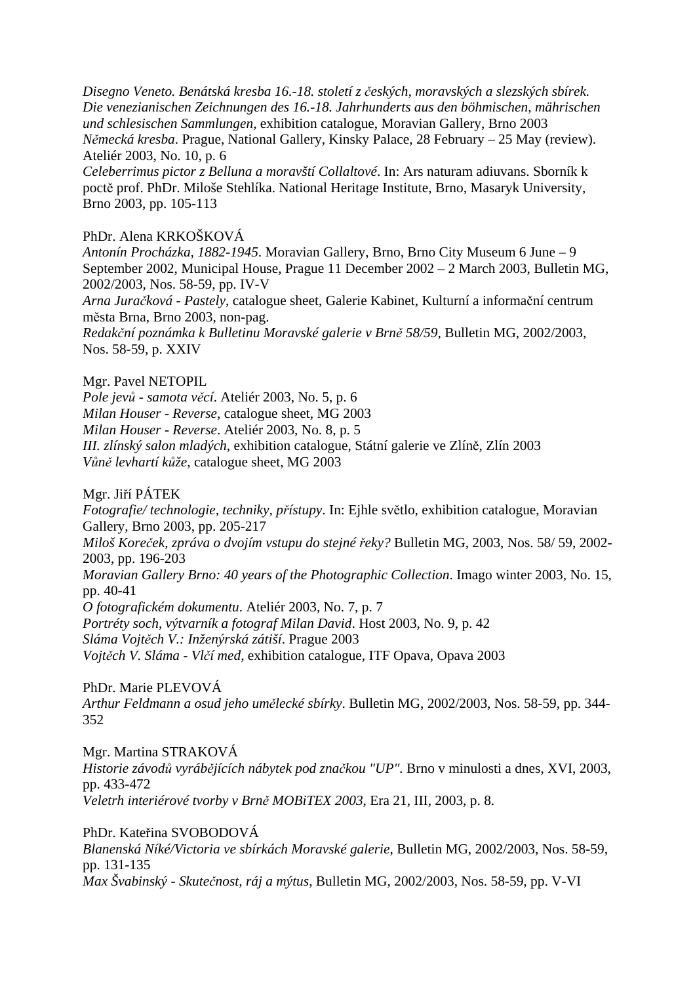*Disegno Veneto. Benátská kresba 16.-18. století z českých, moravských a slezských sbírek. Die venezianischen Zeichnungen des 16.-18. Jahrhunderts aus den böhmischen, mährischen und schlesischen Sammlungen*, exhibition catalogue, Moravian Gallery, Brno 2003 *Německá kresba*. Prague, National Gallery, Kinsky Palace, 28 February – 25 May (review). Ateliér 2003, No. 10, p. 6

*Celeberrimus pictor z Belluna a moravští Collaltové*. In: Ars naturam adiuvans. Sborník k poctě prof. PhDr. Miloše Stehlíka. National Heritage Institute, Brno, Masaryk University, Brno 2003, pp. 105-113

# PhDr. Alena KRKOŠKOVÁ

*Antonín Procházka, 1882-1945*. Moravian Gallery, Brno, Brno City Museum 6 June – 9 September 2002, Municipal House, Prague 11 December 2002 – 2 March 2003, Bulletin MG, 2002/2003, Nos. 58-59, pp. IV-V

*Arna Juračková - Pastely*, catalogue sheet, Galerie Kabinet, Kulturní a informační centrum města Brna, Brno 2003, non-pag.

*Redakční poznámka k Bulletinu Moravské galerie v Brně 58/59*, Bulletin MG, 2002/2003, Nos. 58-59, p. XXIV

# Mgr. Pavel NETOPIL

*Pole jevů - samota věcí*. Ateliér 2003, No. 5, p. 6

*Milan Houser - Reverse*, catalogue sheet, MG 2003

*Milan Houser - Reverse*. Ateliér 2003, No. 8, p. 5

*III. zlínský salon mladých*, exhibition catalogue, Státní galerie ve Zlíně, Zlín 2003 *Vůně levhartí kůže*, catalogue sheet, MG 2003

Mgr. Jiří PÁTEK

*Fotografie/ technologie, techniky, přístupy*. In: Ejhle světlo, exhibition catalogue, Moravian Gallery, Brno 2003, pp. 205-217

*Miloš Koreček, zpráva o dvojím vstupu do stejné řeky?* Bulletin MG, 2003, Nos. 58/ 59, 2002- 2003, pp. 196-203

*Moravian Gallery Brno: 40 years of the Photographic Collection*. Imago winter 2003, No. 15, pp. 40-41

*O fotografickém dokumentu*. Ateliér 2003, No. 7, p. 7

*Portréty soch, výtvarník a fotograf Milan David*. Host 2003, No. 9, p. 42

*Sláma Vojtěch V.: Inženýrská zátiší*. Prague 2003

*Vojtěch V. Sláma - Vlčí med*, exhibition catalogue, ITF Opava, Opava 2003

# PhDr. Marie PLEVOVÁ

*Arthur Feldmann a osud jeho umělecké sbírky*. Bulletin MG, 2002/2003, Nos. 58-59, pp. 344- 352

Mgr. Martina STRAKOVÁ

*Historie závodů vyrábějících nábytek pod značkou "UP".* Brno v minulosti a dnes, XVI, 2003, pp. 433-472 *Veletrh interiérové tvorby v Brně MOBiTEX 2003*, Era 21, III, 2003, p. 8.

# PhDr. Kateřina SVOBODOVÁ

*Blanenská Níké/Victoria ve sbírkách Moravské galerie*, Bulletin MG, 2002/2003, Nos. 58-59, pp. 131-135

*Max Švabinský - Skutečnost, ráj a mýtus*, Bulletin MG, 2002/2003, Nos. 58-59, pp. V-VI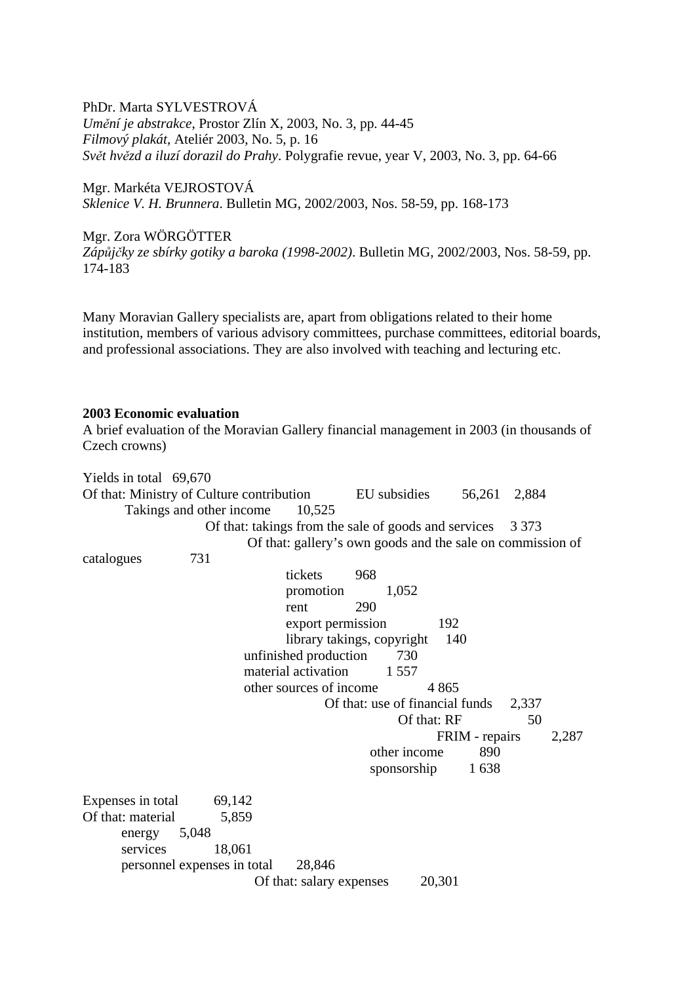PhDr. Marta SYLVESTROVÁ *Umění je abstrakce*, Prostor Zlín X, 2003, No. 3, pp. 44-45 *Filmový plakát*, Ateliér 2003, No. 5, p. 16 *Svět hvězd a iluzí dorazil do Prahy*. Polygrafie revue, year V, 2003, No. 3, pp. 64-66

Mgr. Markéta VEJROSTOVÁ *Sklenice V. H. Brunnera*. Bulletin MG, 2002/2003, Nos. 58-59, pp. 168-173

### Mgr. Zora WÖRGÖTTER

*Zápůjčky ze sbírky gotiky a baroka (1998-2002)*. Bulletin MG, 2002/2003, Nos. 58-59, pp. 174-183

Many Moravian Gallery specialists are, apart from obligations related to their home institution, members of various advisory committees, purchase committees, editorial boards, and professional associations. They are also involved with teaching and lecturing etc.

### **2003 Economic evaluation**

A brief evaluation of the Moravian Gallery financial management in 2003 (in thousands of Czech crowns)

Yields in total 69,670 Of that: Ministry of Culture contribution EU subsidies 56,261 2,884 Takings and other income 10,525 Of that: takings from the sale of goods and services 3 373 Of that: gallery's own goods and the sale on commission of catalogues 731 tickets 968 promotion 1,052 rent 290 export permission 192 library takings, copyright 140 unfinished production 730 material activation 1 557 other sources of income 4 865 Of that: use of financial funds 2,337 Of that:  $RF$  50 FRIM - repairs 2.287 other income 890 sponsorship 1 638 Expenses in total 69,142 Of that: material 5,859 energy 5,048 services 18,061 personnel expenses in total 28,846 Of that: salary expenses 20,301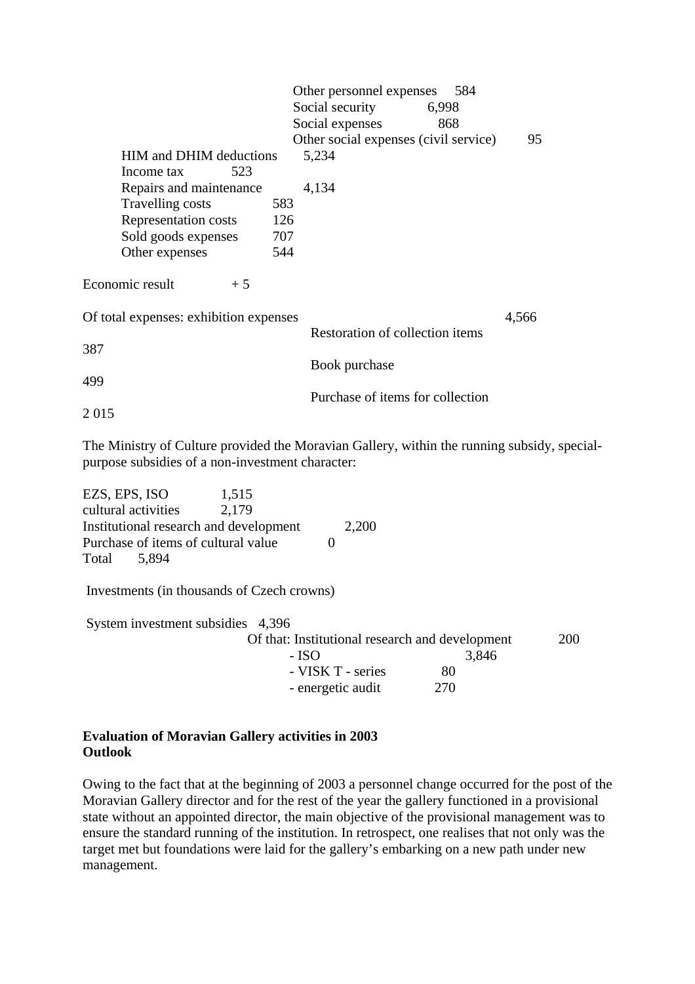|                                        |     | Other personnel expenses<br>584       |       |
|----------------------------------------|-----|---------------------------------------|-------|
|                                        |     | Social security<br>6,998              |       |
|                                        |     | Social expenses<br>868                |       |
|                                        |     | Other social expenses (civil service) | 95    |
| <b>HIM and DHIM deductions</b>         |     | 5,234                                 |       |
| 523<br>Income tax                      |     |                                       |       |
| Repairs and maintenance                |     | 4,134                                 |       |
| Travelling costs                       | 583 |                                       |       |
| Representation costs                   | 126 |                                       |       |
| Sold goods expenses                    | 707 |                                       |       |
| Other expenses                         | 544 |                                       |       |
| Economic result<br>$+5$                |     |                                       |       |
| Of total expenses: exhibition expenses |     |                                       | 4,566 |
|                                        |     | Restoration of collection items       |       |
| 387                                    |     |                                       |       |
|                                        |     | Book purchase                         |       |
| 499                                    |     |                                       |       |
|                                        |     | Purchase of items for collection      |       |
| 2015                                   |     |                                       |       |

The Ministry of Culture provided the Moravian Gallery, within the running subsidy, specialpurpose subsidies of a non-investment character:

| EZS, EPS, ISO                              | 1,515 |                                                 |       |            |
|--------------------------------------------|-------|-------------------------------------------------|-------|------------|
| cultural activities                        | 2,179 |                                                 |       |            |
| Institutional research and development     |       | 2,200                                           |       |            |
| Purchase of items of cultural value        |       |                                                 |       |            |
| Total<br>5,894                             |       |                                                 |       |            |
| Investments (in thousands of Czech crowns) |       |                                                 |       |            |
| System investment subsidies 4,396          |       |                                                 |       |            |
|                                            |       | Of that: Institutional research and development |       | <b>200</b> |
|                                            | - ISO |                                                 | 3,846 |            |
|                                            |       | - VISK T - series                               | 80    |            |
|                                            |       | - energetic audit                               | 270   |            |
|                                            |       |                                                 |       |            |

# **Evaluation of Moravian Gallery activities in 2003 Outlook**

Owing to the fact that at the beginning of 2003 a personnel change occurred for the post of the Moravian Gallery director and for the rest of the year the gallery functioned in a provisional state without an appointed director, the main objective of the provisional management was to ensure the standard running of the institution. In retrospect, one realises that not only was the target met but foundations were laid for the gallery's embarking on a new path under new management.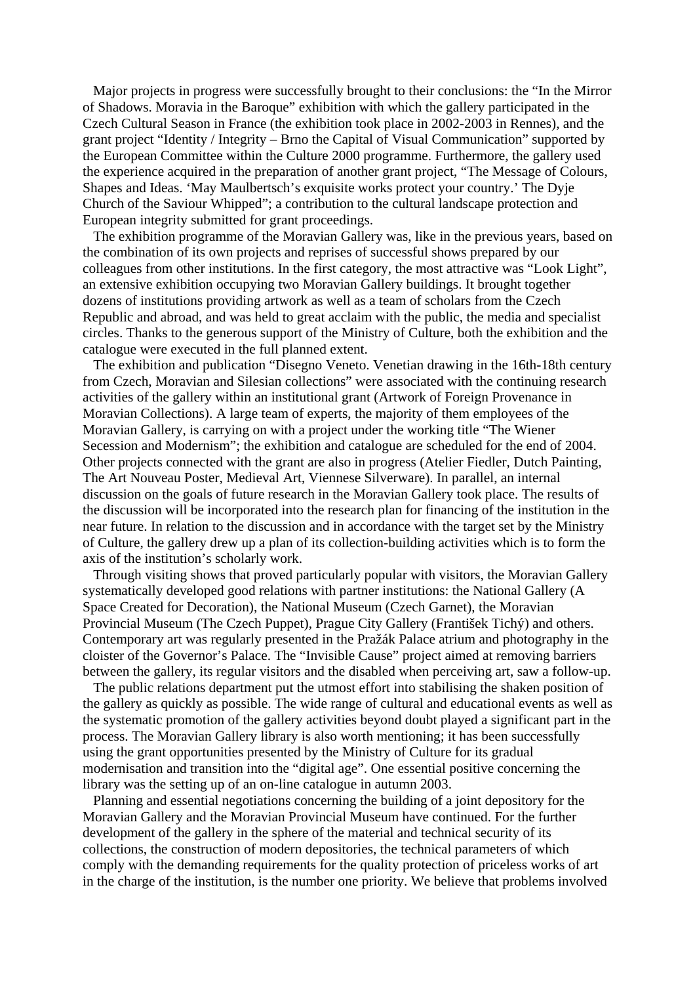Major projects in progress were successfully brought to their conclusions: the "In the Mirror of Shadows. Moravia in the Baroque" exhibition with which the gallery participated in the Czech Cultural Season in France (the exhibition took place in 2002-2003 in Rennes), and the grant project "Identity / Integrity – Brno the Capital of Visual Communication" supported by the European Committee within the Culture 2000 programme. Furthermore, the gallery used the experience acquired in the preparation of another grant project, "The Message of Colours, Shapes and Ideas. 'May Maulbertsch's exquisite works protect your country.' The Dyje Church of the Saviour Whipped"; a contribution to the cultural landscape protection and European integrity submitted for grant proceedings.

 The exhibition programme of the Moravian Gallery was, like in the previous years, based on the combination of its own projects and reprises of successful shows prepared by our colleagues from other institutions. In the first category, the most attractive was "Look Light", an extensive exhibition occupying two Moravian Gallery buildings. It brought together dozens of institutions providing artwork as well as a team of scholars from the Czech Republic and abroad, and was held to great acclaim with the public, the media and specialist circles. Thanks to the generous support of the Ministry of Culture, both the exhibition and the catalogue were executed in the full planned extent.

 The exhibition and publication "Disegno Veneto. Venetian drawing in the 16th-18th century from Czech, Moravian and Silesian collections" were associated with the continuing research activities of the gallery within an institutional grant (Artwork of Foreign Provenance in Moravian Collections). A large team of experts, the majority of them employees of the Moravian Gallery, is carrying on with a project under the working title "The Wiener Secession and Modernism"; the exhibition and catalogue are scheduled for the end of 2004. Other projects connected with the grant are also in progress (Atelier Fiedler, Dutch Painting, The Art Nouveau Poster, Medieval Art, Viennese Silverware). In parallel, an internal discussion on the goals of future research in the Moravian Gallery took place. The results of the discussion will be incorporated into the research plan for financing of the institution in the near future. In relation to the discussion and in accordance with the target set by the Ministry of Culture, the gallery drew up a plan of its collection-building activities which is to form the axis of the institution's scholarly work.

 Through visiting shows that proved particularly popular with visitors, the Moravian Gallery systematically developed good relations with partner institutions: the National Gallery (A Space Created for Decoration), the National Museum (Czech Garnet), the Moravian Provincial Museum (The Czech Puppet), Prague City Gallery (František Tichý) and others. Contemporary art was regularly presented in the Pražák Palace atrium and photography in the cloister of the Governor's Palace. The "Invisible Cause" project aimed at removing barriers between the gallery, its regular visitors and the disabled when perceiving art, saw a follow-up.

 The public relations department put the utmost effort into stabilising the shaken position of the gallery as quickly as possible. The wide range of cultural and educational events as well as the systematic promotion of the gallery activities beyond doubt played a significant part in the process. The Moravian Gallery library is also worth mentioning; it has been successfully using the grant opportunities presented by the Ministry of Culture for its gradual modernisation and transition into the "digital age". One essential positive concerning the library was the setting up of an on-line catalogue in autumn 2003.

 Planning and essential negotiations concerning the building of a joint depository for the Moravian Gallery and the Moravian Provincial Museum have continued. For the further development of the gallery in the sphere of the material and technical security of its collections, the construction of modern depositories, the technical parameters of which comply with the demanding requirements for the quality protection of priceless works of art in the charge of the institution, is the number one priority. We believe that problems involved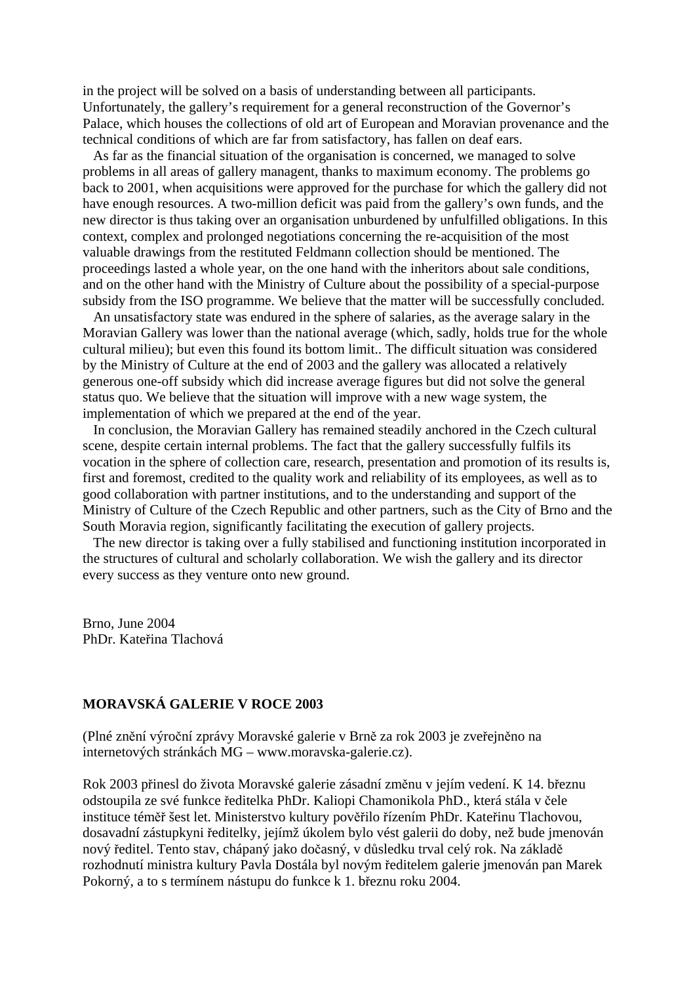in the project will be solved on a basis of understanding between all participants. Unfortunately, the gallery's requirement for a general reconstruction of the Governor's Palace, which houses the collections of old art of European and Moravian provenance and the technical conditions of which are far from satisfactory, has fallen on deaf ears.

 As far as the financial situation of the organisation is concerned, we managed to solve problems in all areas of gallery managent, thanks to maximum economy. The problems go back to 2001, when acquisitions were approved for the purchase for which the gallery did not have enough resources. A two-million deficit was paid from the gallery's own funds, and the new director is thus taking over an organisation unburdened by unfulfilled obligations. In this context, complex and prolonged negotiations concerning the re-acquisition of the most valuable drawings from the restituted Feldmann collection should be mentioned. The proceedings lasted a whole year, on the one hand with the inheritors about sale conditions, and on the other hand with the Ministry of Culture about the possibility of a special-purpose subsidy from the ISO programme. We believe that the matter will be successfully concluded.

 An unsatisfactory state was endured in the sphere of salaries, as the average salary in the Moravian Gallery was lower than the national average (which, sadly, holds true for the whole cultural milieu); but even this found its bottom limit.. The difficult situation was considered by the Ministry of Culture at the end of 2003 and the gallery was allocated a relatively generous one-off subsidy which did increase average figures but did not solve the general status quo. We believe that the situation will improve with a new wage system, the implementation of which we prepared at the end of the year.

 In conclusion, the Moravian Gallery has remained steadily anchored in the Czech cultural scene, despite certain internal problems. The fact that the gallery successfully fulfils its vocation in the sphere of collection care, research, presentation and promotion of its results is, first and foremost, credited to the quality work and reliability of its employees, as well as to good collaboration with partner institutions, and to the understanding and support of the Ministry of Culture of the Czech Republic and other partners, such as the City of Brno and the South Moravia region, significantly facilitating the execution of gallery projects.

 The new director is taking over a fully stabilised and functioning institution incorporated in the structures of cultural and scholarly collaboration. We wish the gallery and its director every success as they venture onto new ground.

Brno, June 2004 PhDr. Kateřina Tlachová

# **MORAVSKÁ GALERIE V ROCE 2003**

(Plné znění výroční zprávy Moravské galerie v Brně za rok 2003 je zveřejněno na internetových stránkách MG – www.moravska-galerie.cz).

Rok 2003 přinesl do života Moravské galerie zásadní změnu v jejím vedení. K 14. březnu odstoupila ze své funkce ředitelka PhDr. Kaliopi Chamonikola PhD., která stála v čele instituce téměř šest let. Ministerstvo kultury pověřilo řízením PhDr. Kateřinu Tlachovou, dosavadní zástupkyni ředitelky, jejímž úkolem bylo vést galerii do doby, než bude jmenován nový ředitel. Tento stav, chápaný jako dočasný, v důsledku trval celý rok. Na základě rozhodnutí ministra kultury Pavla Dostála byl novým ředitelem galerie jmenován pan Marek Pokorný, a to s termínem nástupu do funkce k 1. březnu roku 2004.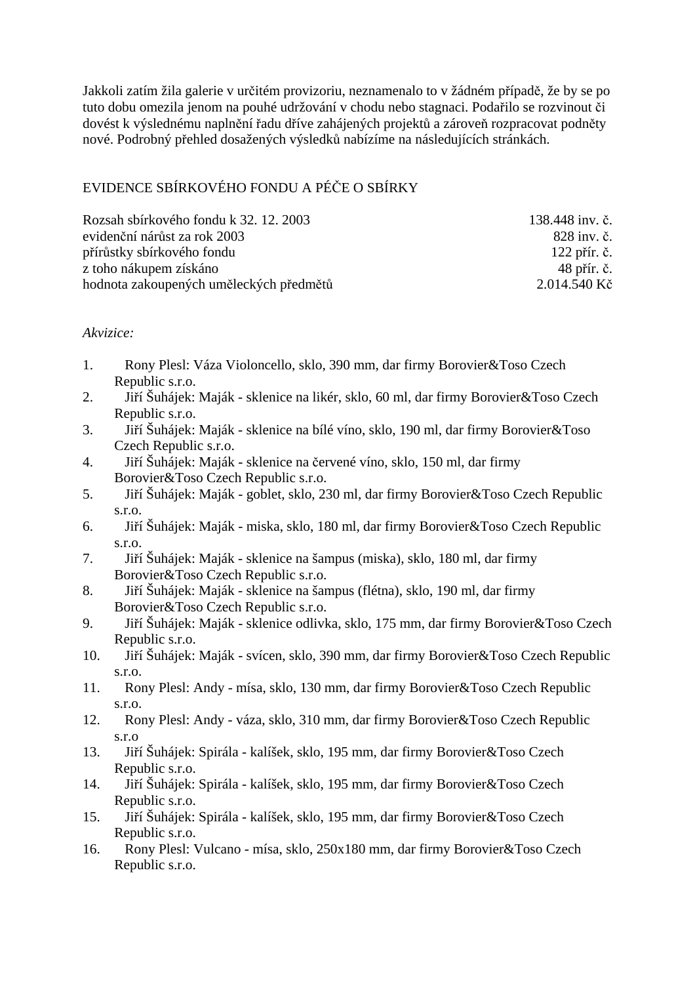Jakkoli zatím žila galerie v určitém provizoriu, neznamenalo to v žádném případě, že by se po tuto dobu omezila jenom na pouhé udržování v chodu nebo stagnaci. Podařilo se rozvinout či dovést k výslednému naplnění řadu dříve zahájených projektů a zároveň rozpracovat podněty nové. Podrobný přehled dosažených výsledků nabízíme na následujících stránkách.

# EVIDENCE SBÍRKOVÉHO FONDU A PÉČE O SBÍRKY

| Rozsah sbírkového fondu k 32. 12. 2003  | 138.448 inv. č. |
|-----------------------------------------|-----------------|
| evidenční nárůst za rok 2003            | 828 inv. č.     |
| přírůstky sbírkového fondu              | $122$ přír. č.  |
| z toho nákupem získáno                  | 48 přír. č.     |
| hodnota zakoupených uměleckých předmětů | 2.014.540 Kč    |

# *Akvizice:*

- 1. Rony Plesl: Váza Violoncello, sklo, 390 mm, dar firmy Borovier&Toso Czech Republic s.r.o.
- 2. Jiří Šuhájek: Maják sklenice na likér, sklo, 60 ml, dar firmy Borovier&Toso Czech Republic s.r.o.
- 3. Jiří Šuhájek: Maják sklenice na bílé víno, sklo, 190 ml, dar firmy Borovier&Toso Czech Republic s.r.o.
- 4. Jiří Šuhájek: Maják sklenice na červené víno, sklo, 150 ml, dar firmy Borovier&Toso Czech Republic s.r.o.
- 5. Jiří Šuhájek: Maják goblet, sklo, 230 ml, dar firmy Borovier&Toso Czech Republic s.r.o.
- 6. Jiří Šuhájek: Maják miska, sklo, 180 ml, dar firmy Borovier&Toso Czech Republic s.r.o.
- 7. Jiří Šuhájek: Maják sklenice na šampus (miska), sklo, 180 ml, dar firmy Borovier&Toso Czech Republic s.r.o.
- 8. Jiří Šuhájek: Maják sklenice na šampus (flétna), sklo, 190 ml, dar firmy Borovier&Toso Czech Republic s.r.o.
- 9. Jiří Šuhájek: Maják sklenice odlivka, sklo, 175 mm, dar firmy Borovier&Toso Czech Republic s.r.o.
- 10. Jiří Šuhájek: Maják svícen, sklo, 390 mm, dar firmy Borovier&Toso Czech Republic s.r.o.
- 11. Rony Plesl: Andy mísa, sklo, 130 mm, dar firmy Borovier&Toso Czech Republic s.r.o.
- 12. Rony Plesl: Andy váza, sklo, 310 mm, dar firmy Borovier&Toso Czech Republic s.r.o
- 13. Jiří Šuhájek: Spirála kalíšek, sklo, 195 mm, dar firmy Borovier&Toso Czech Republic s.r.o.
- 14. Jiří Šuhájek: Spirála kalíšek, sklo, 195 mm, dar firmy Borovier&Toso Czech Republic s.r.o.
- 15. Jiří Šuhájek: Spirála kalíšek, sklo, 195 mm, dar firmy Borovier&Toso Czech Republic s.r.o.
- 16. Rony Plesl: Vulcano mísa, sklo, 250x180 mm, dar firmy Borovier&Toso Czech Republic s.r.o.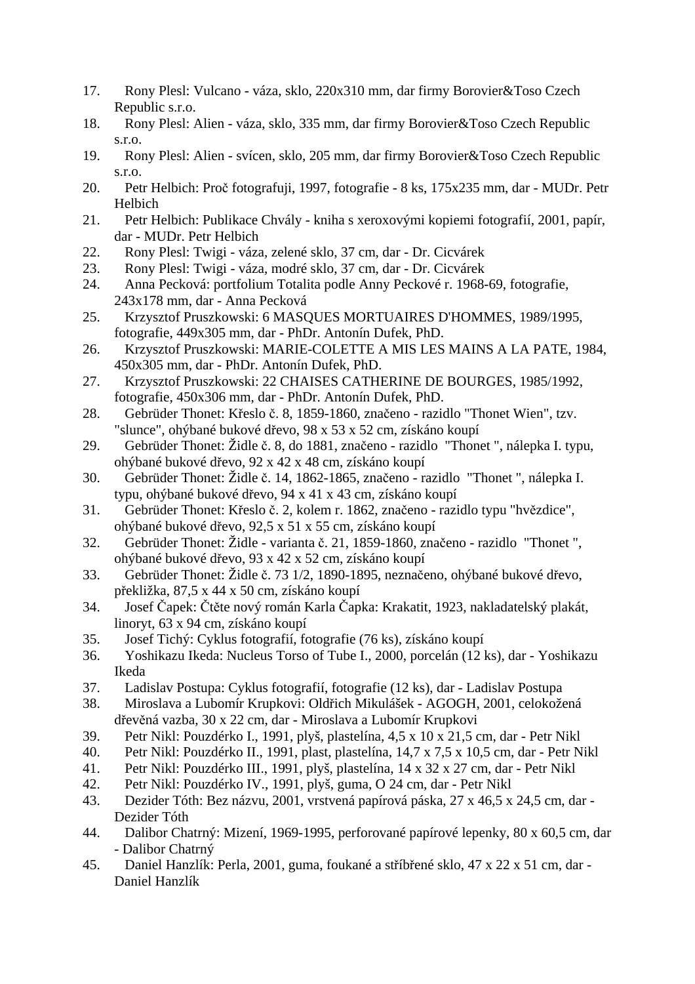- 17. Rony Plesl: Vulcano váza, sklo, 220x310 mm, dar firmy Borovier&Toso Czech Republic s.r.o.
- 18. Rony Plesl: Alien váza, sklo, 335 mm, dar firmy Borovier&Toso Czech Republic s.r.o.
- 19. Rony Plesl: Alien svícen, sklo, 205 mm, dar firmy Borovier&Toso Czech Republic s.r.o.
- 20. Petr Helbich: Proč fotografuji, 1997, fotografie 8 ks, 175x235 mm, dar MUDr. Petr Helbich
- 21. Petr Helbich: Publikace Chvály kniha s xeroxovými kopiemi fotografií, 2001, papír, dar - MUDr. Petr Helbich
- 22. Rony Plesl: Twigi váza, zelené sklo, 37 cm, dar Dr. Cicvárek
- 23. Rony Plesl: Twigi váza, modré sklo, 37 cm, dar Dr. Cicvárek
- 24. Anna Pecková: portfolium Totalita podle Anny Peckové r. 1968-69, fotografie, 243x178 mm, dar - Anna Pecková
- 25. Krzysztof Pruszkowski: 6 MASQUES MORTUAIRES D'HOMMES, 1989/1995, fotografie, 449x305 mm, dar - PhDr. Antonín Dufek, PhD.
- 26. Krzysztof Pruszkowski: MARIE-COLETTE A MIS LES MAINS A LA PATE, 1984, 450x305 mm, dar - PhDr. Antonín Dufek, PhD.
- 27. Krzysztof Pruszkowski: 22 CHAISES CATHERINE DE BOURGES, 1985/1992, fotografie, 450x306 mm, dar - PhDr. Antonín Dufek, PhD.
- 28. Gebrüder Thonet: Křeslo č. 8, 1859-1860, značeno razidlo "Thonet Wien", tzv. "slunce", ohýbané bukové dřevo, 98 x 53 x 52 cm, získáno koupí
- 29. Gebrüder Thonet: Židle č. 8, do 1881, značeno razidlo "Thonet ", nálepka I. typu, ohýbané bukové dřevo, 92 x 42 x 48 cm, získáno koupí
- 30. Gebrüder Thonet: Židle č. 14, 1862-1865, značeno razidlo "Thonet ", nálepka I. typu, ohýbané bukové dřevo, 94 x 41 x 43 cm, získáno koupí
- 31. Gebrüder Thonet: Křeslo č. 2, kolem r. 1862, značeno razidlo typu "hvězdice", ohýbané bukové dřevo, 92,5 x 51 x 55 cm, získáno koupí
- 32. Gebrüder Thonet: Židle varianta č. 21, 1859-1860, značeno razidlo "Thonet ", ohýbané bukové dřevo, 93 x 42 x 52 cm, získáno koupí
- 33. Gebrüder Thonet: Židle č. 73 1/2, 1890-1895, neznačeno, ohýbané bukové dřevo, překližka, 87,5 x 44 x 50 cm, získáno koupí
- 34. Josef Čapek: Čtěte nový román Karla Čapka: Krakatit, 1923, nakladatelský plakát, linoryt, 63 x 94 cm, získáno koupí
- 35. Josef Tichý: Cyklus fotografií, fotografie (76 ks), získáno koupí
- 36. Yoshikazu Ikeda: Nucleus Torso of Tube I., 2000, porcelán (12 ks), dar Yoshikazu Ikeda
- 37. Ladislav Postupa: Cyklus fotografií, fotografie (12 ks), dar Ladislav Postupa
- 38. Miroslava a Lubomír Krupkovi: Oldřich Mikulášek AGOGH, 2001, celokožená dřevěná vazba, 30 x 22 cm, dar - Miroslava a Lubomír Krupkovi
- 39. Petr Nikl: Pouzdérko I., 1991, plyš, plastelína, 4,5 x 10 x 21,5 cm, dar Petr Nikl
- 40. Petr Nikl: Pouzdérko II., 1991, plast, plastelína, 14,7 x 7,5 x 10,5 cm, dar Petr Nikl
- 41. Petr Nikl: Pouzdérko III., 1991, plyš, plastelína, 14 x 32 x 27 cm, dar Petr Nikl
- 42. Petr Nikl: Pouzdérko IV., 1991, plyš, guma, O 24 cm, dar Petr Nikl
- 43. Dezider Tóth: Bez názvu, 2001, vrstvená papírová páska, 27 x 46,5 x 24,5 cm, dar Dezider Tóth
- 44. Dalibor Chatrný: Mizení, 1969-1995, perforované papírové lepenky, 80 x 60,5 cm, dar - Dalibor Chatrný
- 45. Daniel Hanzlík: Perla, 2001, guma, foukané a stříbřené sklo, 47 x 22 x 51 cm, dar Daniel Hanzlík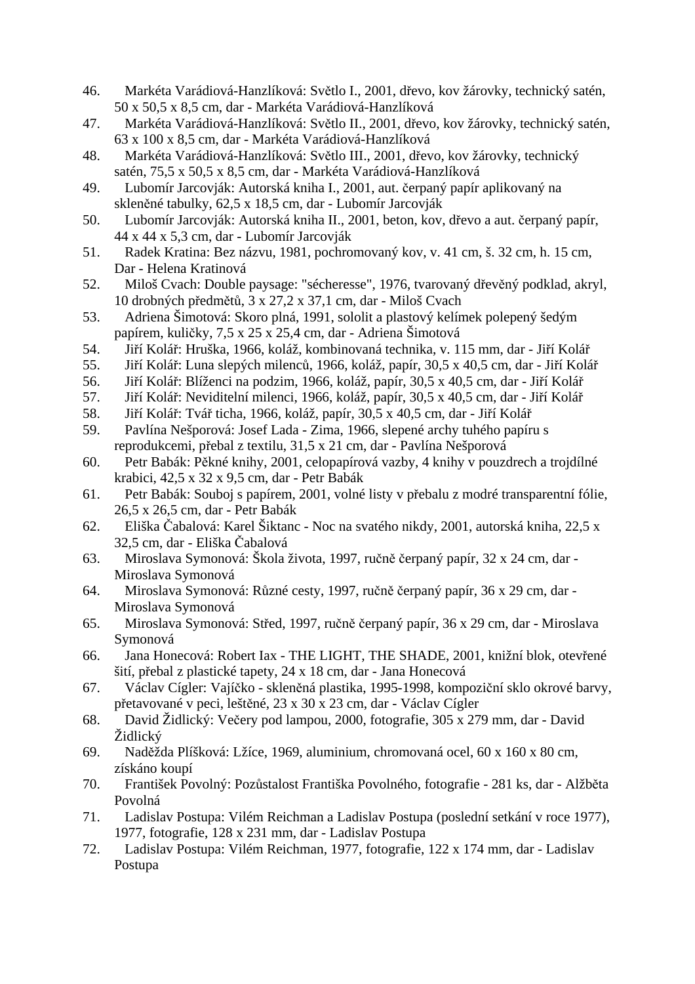- 46. Markéta Varádiová-Hanzlíková: Světlo I., 2001, dřevo, kov žárovky, technický satén, 50 x 50,5 x 8,5 cm, dar - Markéta Varádiová-Hanzlíková
- 47. Markéta Varádiová-Hanzlíková: Světlo II., 2001, dřevo, kov žárovky, technický satén, 63 x 100 x 8,5 cm, dar - Markéta Varádiová-Hanzlíková
- 48. Markéta Varádiová-Hanzlíková: Světlo III., 2001, dřevo, kov žárovky, technický satén, 75,5 x 50,5 x 8,5 cm, dar - Markéta Varádiová-Hanzlíková
- 49. Lubomír Jarcovják: Autorská kniha I., 2001, aut. čerpaný papír aplikovaný na skleněné tabulky, 62,5 x 18,5 cm, dar - Lubomír Jarcovják
- 50. Lubomír Jarcovják: Autorská kniha II., 2001, beton, kov, dřevo a aut. čerpaný papír, 44 x 44 x 5,3 cm, dar - Lubomír Jarcovják
- 51. Radek Kratina: Bez názvu, 1981, pochromovaný kov, v. 41 cm, š. 32 cm, h. 15 cm, Dar - Helena Kratinová
- 52. Miloš Cvach: Double paysage: "sécheresse", 1976, tvarovaný dřevěný podklad, akryl, 10 drobných předmětů, 3 x 27,2 x 37,1 cm, dar - Miloš Cvach
- 53. Adriena Šimotová: Skoro plná, 1991, sololit a plastový kelímek polepený šedým papírem, kuličky, 7,5 x 25 x 25,4 cm, dar - Adriena Šimotová
- 54. Jiří Kolář: Hruška, 1966, koláž, kombinovaná technika, v. 115 mm, dar Jiří Kolář
- 55. Jiří Kolář: Luna slepých milenců, 1966, koláž, papír, 30,5 x 40,5 cm, dar Jiří Kolář
- 56. Jiří Kolář: Blíženci na podzim, 1966, koláž, papír, 30,5 x 40,5 cm, dar Jiří Kolář
- 57. Jiří Kolář: Neviditelní milenci, 1966, koláž, papír, 30,5 x 40,5 cm, dar Jiří Kolář
- 58. Jiří Kolář: Tvář ticha, 1966, koláž, papír, 30,5 x 40,5 cm, dar Jiří Kolář
- 59. Pavlína Nešporová: Josef Lada Zima, 1966, slepené archy tuhého papíru s reprodukcemi, přebal z textilu, 31,5 x 21 cm, dar - Pavlína Nešporová
- 60. Petr Babák: Pěkné knihy, 2001, celopapírová vazby, 4 knihy v pouzdrech a trojdílné krabici, 42,5 x 32 x 9,5 cm, dar - Petr Babák
- 61. Petr Babák: Souboj s papírem, 2001, volné listy v přebalu z modré transparentní fólie, 26,5 x 26,5 cm, dar - Petr Babák
- 62. Eliška Čabalová: Karel Šiktanc Noc na svatého nikdy, 2001, autorská kniha, 22,5 x 32,5 cm, dar - Eliška Čabalová
- 63. Miroslava Symonová: Škola života, 1997, ručně čerpaný papír, 32 x 24 cm, dar Miroslava Symonová
- 64. Miroslava Symonová: Různé cesty, 1997, ručně čerpaný papír, 36 x 29 cm, dar Miroslava Symonová
- 65. Miroslava Symonová: Střed, 1997, ručně čerpaný papír, 36 x 29 cm, dar Miroslava Symonová
- 66. Jana Honecová: Robert Iax THE LIGHT, THE SHADE, 2001, knižní blok, otevřené šití, přebal z plastické tapety, 24 x 18 cm, dar - Jana Honecová
- 67. Václav Cígler: Vajíčko skleněná plastika, 1995-1998, kompoziční sklo okrové barvy, přetavované v peci, leštěné, 23 x 30 x 23 cm, dar - Václav Cígler
- 68. David Židlický: Večery pod lampou, 2000, fotografie, 305 x 279 mm, dar David Židlický
- 69. Naděžda Plíšková: Lžíce, 1969, aluminium, chromovaná ocel, 60 x 160 x 80 cm, získáno koupí
- 70. František Povolný: Pozůstalost Františka Povolného, fotografie 281 ks, dar Alžběta Povolná
- 71. Ladislav Postupa: Vilém Reichman a Ladislav Postupa (poslední setkání v roce 1977), 1977, fotografie, 128 x 231 mm, dar - Ladislav Postupa
- 72. Ladislav Postupa: Vilém Reichman, 1977, fotografie, 122 x 174 mm, dar Ladislav Postupa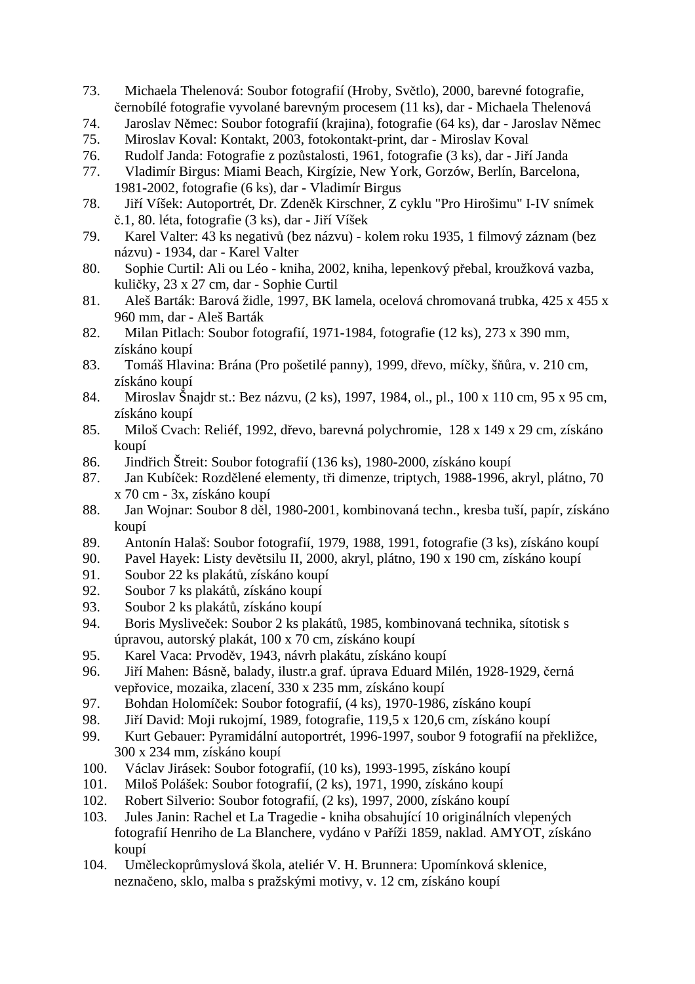- 73. Michaela Thelenová: Soubor fotografií (Hroby, Světlo), 2000, barevné fotografie, černobílé fotografie vyvolané barevným procesem (11 ks), dar - Michaela Thelenová
- 74. Jaroslav Němec: Soubor fotografií (krajina), fotografie (64 ks), dar Jaroslav Němec
- 75. Miroslav Koval: Kontakt, 2003, fotokontakt-print, dar Miroslav Koval
- 76. Rudolf Janda: Fotografie z pozůstalosti, 1961, fotografie (3 ks), dar Jiří Janda
- 77. Vladimír Birgus: Miami Beach, Kirgízie, New York, Gorzów, Berlín, Barcelona, 1981-2002, fotografie (6 ks), dar - Vladimír Birgus
- 78. Jiří Víšek: Autoportrét, Dr. Zdeněk Kirschner, Z cyklu "Pro Hirošimu" I-IV snímek č.1, 80. léta, fotografie (3 ks), dar - Jiří Víšek
- 79. Karel Valter: 43 ks negativů (bez názvu) kolem roku 1935, 1 filmový záznam (bez názvu) - 1934, dar - Karel Valter
- 80. Sophie Curtil: Ali ou Léo kniha, 2002, kniha, lepenkový přebal, kroužková vazba, kuličky, 23 x 27 cm, dar - Sophie Curtil
- 81. Aleš Barták: Barová židle, 1997, BK lamela, ocelová chromovaná trubka, 425 x 455 x 960 mm, dar - Aleš Barták
- 82. Milan Pitlach: Soubor fotografií, 1971-1984, fotografie (12 ks), 273 x 390 mm, získáno koupí
- 83. Tomáš Hlavina: Brána (Pro pošetilé panny), 1999, dřevo, míčky, šňůra, v. 210 cm, získáno koupí
- 84. Miroslav Šnajdr st.: Bez názvu, (2 ks), 1997, 1984, ol., pl., 100 x 110 cm, 95 x 95 cm, získáno koupí
- 85. Miloš Cvach: Reliéf, 1992, dřevo, barevná polychromie, 128 x 149 x 29 cm, získáno koupí
- 86. Jindřich Štreit: Soubor fotografií (136 ks), 1980-2000, získáno koupí
- 87. Jan Kubíček: Rozdělené elementy, tři dimenze, triptych, 1988-1996, akryl, plátno, 70 x 70 cm - 3x, získáno koupí
- 88. Jan Wojnar: Soubor 8 děl, 1980-2001, kombinovaná techn., kresba tuší, papír, získáno koupí
- 89. Antonín Halaš: Soubor fotografií, 1979, 1988, 1991, fotografie (3 ks), získáno koupí
- 90. Pavel Hayek: Listy devětsilu II, 2000, akryl, plátno, 190 x 190 cm, získáno koupí
- 91. Soubor 22 ks plakátů, získáno koupí
- 92. Soubor 7 ks plakátů, získáno koupí
- 93. Soubor 2 ks plakátů, získáno koupí
- 94. Boris Mysliveček: Soubor 2 ks plakátů, 1985, kombinovaná technika, sítotisk s úpravou, autorský plakát, 100 x 70 cm, získáno koupí
- 95. Karel Vaca: Prvoděv, 1943, návrh plakátu, získáno koupí
- 96. Jiří Mahen: Básně, balady, ilustr.a graf. úprava Eduard Milén, 1928-1929, černá vepřovice, mozaika, zlacení, 330 x 235 mm, získáno koupí
- 97. Bohdan Holomíček: Soubor fotografií, (4 ks), 1970-1986, získáno koupí
- 98. Jiří David: Moji rukojmí, 1989, fotografie, 119,5 x 120,6 cm, získáno koupí
- 99. Kurt Gebauer: Pyramidální autoportrét, 1996-1997, soubor 9 fotografií na překližce, 300 x 234 mm, získáno koupí
- 100. Václav Jirásek: Soubor fotografií, (10 ks), 1993-1995, získáno koupí
- 101. Miloš Polášek: Soubor fotografií, (2 ks), 1971, 1990, získáno koupí
- 102. Robert Silverio: Soubor fotografií, (2 ks), 1997, 2000, získáno koupí
- 103. Jules Janin: Rachel et La Tragedie kniha obsahující 10 originálních vlepených fotografií Henriho de La Blanchere, vydáno v Paříži 1859, naklad. AMYOT, získáno koupí
- 104. Uměleckoprůmyslová škola, ateliér V. H. Brunnera: Upomínková sklenice, neznačeno, sklo, malba s pražskými motivy, v. 12 cm, získáno koupí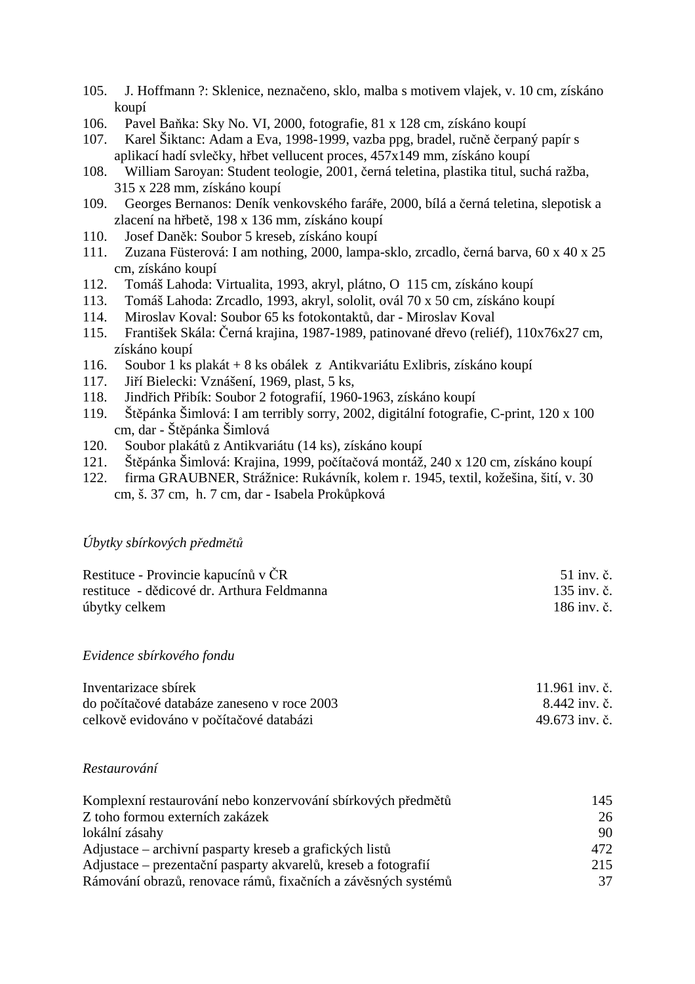- 105. J. Hoffmann ?: Sklenice, neznačeno, sklo, malba s motivem vlajek, v. 10 cm, získáno koupí
- 106. Pavel Baňka: Sky No. VI, 2000, fotografie, 81 x 128 cm, získáno koupí
- 107. Karel Šiktanc: Adam a Eva, 1998-1999, vazba ppg, bradel, ručně čerpaný papír s aplikací hadí svlečky, hřbet vellucent proces, 457x149 mm, získáno koupí
- 108. William Saroyan: Student teologie, 2001, černá teletina, plastika titul, suchá ražba, 315 x 228 mm, získáno koupí
- 109. Georges Bernanos: Deník venkovského faráře, 2000, bílá a černá teletina, slepotisk a zlacení na hřbetě, 198 x 136 mm, získáno koupí
- 110. Josef Daněk: Soubor 5 kreseb, získáno koupí
- 111. Zuzana Füsterová: I am nothing, 2000, lampa-sklo, zrcadlo, černá barva, 60 x 40 x 25 cm, získáno koupí
- 112. Tomáš Lahoda: Virtualita, 1993, akryl, plátno, O 115 cm, získáno koupí
- 113. Tomáš Lahoda: Zrcadlo, 1993, akryl, sololit, ovál 70 x 50 cm, získáno koupí
- 114. Miroslav Koval: Soubor 65 ks fotokontaktů, dar Miroslav Koval
- 115. František Skála: Černá krajina, 1987-1989, patinované dřevo (reliéf), 110x76x27 cm, získáno koupí
- 116. Soubor 1 ks plakát + 8 ks obálek z Antikvariátu Exlibris, získáno koupí
- 117. Jiří Bielecki: Vznášení, 1969, plast, 5 ks,
- 118. Jindřich Přibík: Soubor 2 fotografií, 1960-1963, získáno koupí
- 119. Štěpánka Šimlová: I am terribly sorry, 2002, digitální fotografie, C-print, 120 x 100 cm, dar - Štěpánka Šimlová
- 120. Soubor plakátů z Antikvariátu (14 ks), získáno koupí
- 121. Štěpánka Šimlová: Krajina, 1999, počítačová montáž, 240 x 120 cm, získáno koupí
- 122. firma GRAUBNER, Strážnice: Rukávník, kolem r. 1945, textil, kožešina, šití, v. 30 cm, š. 37 cm, h. 7 cm, dar - Isabela Prokůpková

#### *Úbytky sbírkových předmětů*

| Restituce - Provincie kapucínů v ČR        | 51 inv. č.  |
|--------------------------------------------|-------------|
| restituce - dědicové dr. Arthura Feldmanna | 135 inv. č. |
| úbytky celkem                              | 186 inv. č. |

#### *Evidence sbírkového fondu*

| Inventarizace sbírek                        | 11.961 inv. č. |
|---------------------------------------------|----------------|
| do počítačové databáze zaneseno v roce 2003 | 8.442 inv. č.  |
| celkově evidováno v počítačové databázi     | 49.673 inv. č. |

#### *Restaurování*

| Komplexní restaurování nebo konzervování sbírkových předmětů   | 145             |
|----------------------------------------------------------------|-----------------|
| Z toho formou externích zakázek                                | 26              |
| lokální zásahy                                                 | 90              |
| Adjustace – archivní pasparty kreseb a grafických listů        | 472             |
| Adjustace – prezentační pasparty akvarelů, kreseb a fotografií | 215             |
| Rámování obrazů, renovace rámů, fixačních a závěsných systémů  | 37 <sub>1</sub> |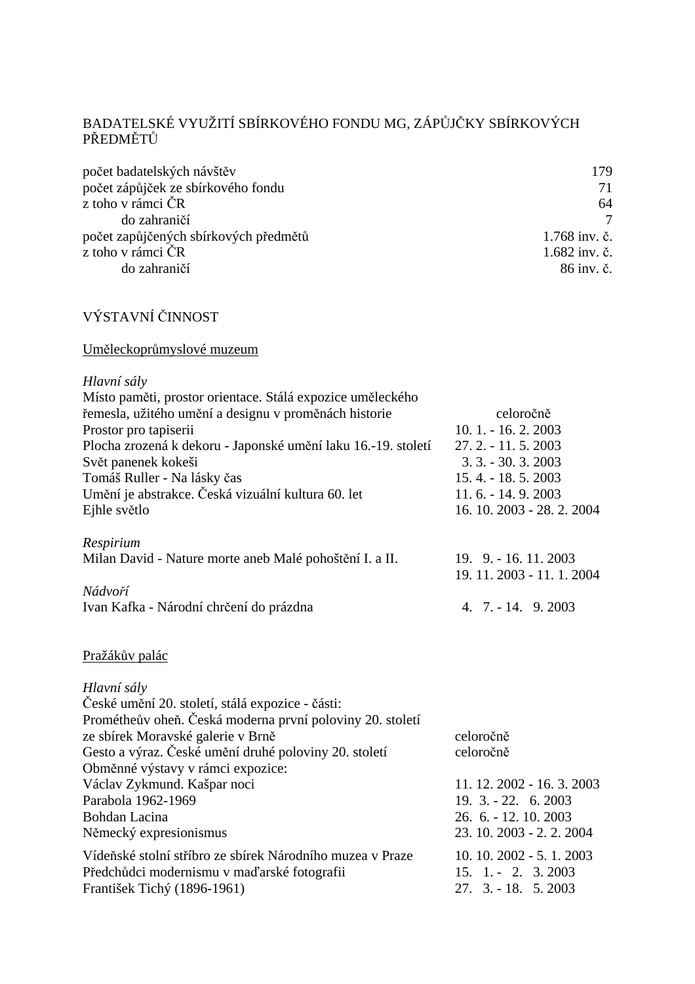# BADATELSKÉ VYUŽITÍ SBÍRKOVÉHO FONDU MG, ZÁPŮJČKY SBÍRKOVÝCH PŘEDMĚTŮ

| počet badatelských návštěv            | 179           |
|---------------------------------------|---------------|
| počet zápůjček ze sbírkového fondu    | 71            |
| z toho v rámci ČR                     | 64            |
| do zahraničí                          | $\tau$        |
| počet zapůjčených sbírkových předmětů | 1.768 inv. č. |
| z toho v rámci ČR                     | 1.682 inv. č. |
| do zahraničí                          | 86 inv. č.    |
|                                       |               |

# VÝSTAVNÍ ČINNOST

# Uměleckoprůmyslové muzeum

| Hlavní sály                                                   |                            |
|---------------------------------------------------------------|----------------------------|
| Místo paměti, prostor orientace. Stálá expozice uměleckého    |                            |
| řemesla, užitého umění a designu v proměnách historie         | celoročně                  |
| Prostor pro tapiserii                                         | $10.1 - 16.2$ , $2003$     |
| Plocha zrozená k dekoru - Japonské umění laku 16.-19. století | $27.2 - 11.5$ , 2003       |
| Svět panenek kokeši                                           | $3.3 - 30.3$ . 2003        |
| Tomáš Ruller - Na lásky čas                                   | 15.4. - 18.5.2003          |
| Umění je abstrakce. Česká vizuální kultura 60. let            | $11.6. - 14.9.2003$        |
| Ejhle světlo                                                  | 16. 10. 2003 - 28. 2. 2004 |
| Respirium                                                     |                            |
| Milan David - Nature morte aneb Malé pohoštění I. a II.       | $19.$ $9. - 16. 11. 2003$  |
|                                                               | 19. 11. 2003 - 11. 1. 2004 |
| Nádvoří                                                       |                            |
| Ivan Kafka - Národní chrčení do prázdna                       | 4. $7. - 14. 9.2003$       |

# Pražákův palác

| Hlavní sály                                               |                            |
|-----------------------------------------------------------|----------------------------|
| České umění 20. století, stálá expozice - části:          |                            |
| Prométheův oheň. Česká moderna první poloviny 20. století |                            |
| ze sbírek Moravské galerie v Brně                         | celoročně                  |
| Gesto a výraz. České umění druhé poloviny 20. století     | celoročně                  |
| Obměnné výstavy v rámci expozice:                         |                            |
| Václav Zykmund. Kašpar noci                               | 11. 12. 2002 - 16. 3. 2003 |
| Parabola 1962-1969                                        | $19.3 - 22.62003$          |
| Bohdan Lacina                                             | 26. 6. - 12. 10. 2003      |
| Německý expresionismus                                    | 23. 10. 2003 - 2. 2. 2004  |
| Vídeňské stolní stříbro ze sbírek Národního muzea v Praze | $10.10.2002 - 5.1.2003$    |
| Předchůdci modernismu v maďarské fotografii               | $15. 1. - 2. 3.2003$       |
| František Tichý (1896-1961)                               | $27.$ 3. $-18.$ 5. 2003    |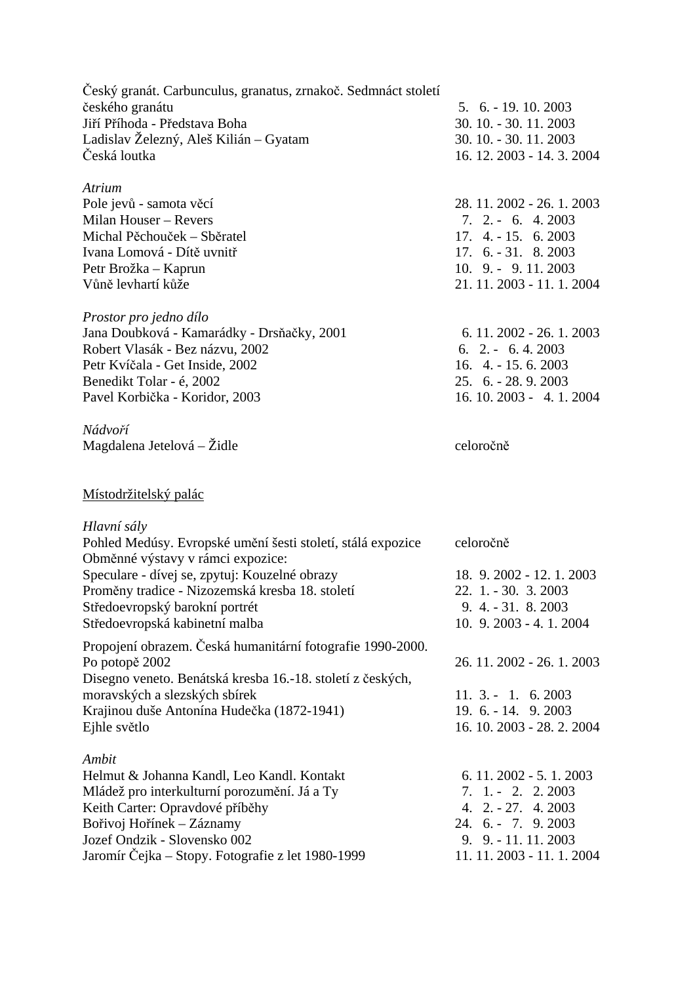Český granát. Carbunculus, granatus, zrnakoč. Sedmnáct století českého granátu 5. 6. - 19. 10. 2003 Jiří Příhoda - Představa Boha 30. 10. - 30. 11. 2003 Ladislav Železný, Aleš Kilián – Gyatam 30. 10. - 30. 11. 2003 Česká loutka 16. 12. 2003 - 14. 3. 2004 *Atrium* Pole jevů - samota věcí 28. 11. 2002 - 26. 1. 2003 Milan Houser – Revers 7. 2. - 6. 4. 2003 Michal Pěchouček – Sběratel 17. 4. - 15. 6. 2003 Ivana Lomová - Dítě uvnitř 17. 6. - 31. 8. 2003 Petr Brožka – Kaprun 10. 9. - 9. 11. 2003 Vůně levhartí kůže 21. 11. 2003 - 11. 1. 2004 *Prostor pro jedno dílo*  Jana Doubková - Kamarádky - Drsňačky, 2001 6. 11. 2002 - 26. 1. 2003 Robert Vlasák - Bez názvu, 2002 6. 2. - 6. 4. 2003 Petr Kvíčala - Get Inside, 2002 16. 4. - 15. 6. 2003<br>Benedikt Tolar - é. 2002 25. 6. - 28. 9. 2003 Benedikt Tolar - é, 2002. Pavel Korbička - Koridor, 2003 16. 10. 2003 - 4. 1. 2004 *Nádvoří*  Magdalena Jetelová – Židle celoročně Místodržitelský palác *Hlavní sály*  Pohled Medúsy. Evropské umění šesti století, stálá expozice celoročně Obměnné výstavy v rámci expozice: Speculare - dívej se, zpytuj: Kouzelné obrazy 18. 9. 2002 - 12. 1. 2003 Proměny tradice - Nizozemská kresba 18. století 22. 1. - 30. 3. 2003 Středoevropský barokní portrét 9. 4. - 31. 8. 2003 Středoevropská kabinetní malba 10. 9. 2003 - 4. 1. 2004 Propojení obrazem. Česká humanitární fotografie 1990-2000. Po potopě 2002 26. 11. 2002 - 26. 1. 2003 Disegno veneto. Benátská kresba 16.-18. století z českých, moravských a slezských sbírek 11. 3. - 1. 6. 2003 Krajinou duše Antonína Hudečka (1872-1941) 19. 6. - 14. 9. 2003 Ejhle světlo 16. 10. 2003 - 28. 2. 2004 *Ambit*  Helmut & Johanna Kandl, Leo Kandl. Kontakt 6. 11. 2002 - 5. 1. 2003 Mládež pro interkulturní porozumění. Já a Ty 7. 1. - 2. 2. 2003 Keith Carter: Opravdové příběhy 4. 2. - 27. 4. 2003 Bořivoj Hořínek – Záznamy 24. 6. - 7. 9. 2003 Jozef Ondzik - Slovensko 002 9. 9. - 11. 11. 2003 Jaromír Čejka – Stopy. Fotografie z let 1980-1999 11. 11. 2003 - 11. 1. 2004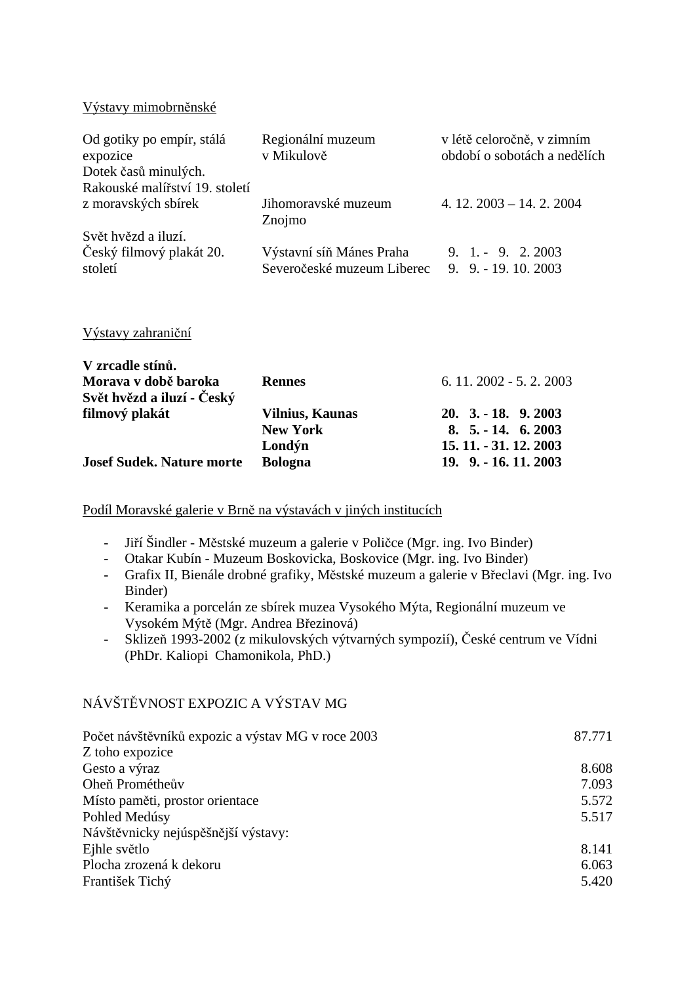Výstavy mimobrněnské

| Od gotiky po empír, stálá<br>expozice<br>Dotek časů minulých. | Regionální muzeum<br>v Mikulově | v létě celoročně, v zimním<br>období o sobotách a nedělích |
|---------------------------------------------------------------|---------------------------------|------------------------------------------------------------|
| Rakouské malířství 19. století                                |                                 |                                                            |
| z moravských sbírek                                           | Jihomoravské muzeum<br>Znojmo   | 4. $12.2003 - 14.2.2004$                                   |
| Svět hvězd a iluzí.                                           |                                 |                                                            |
| Český filmový plakát 20.                                      | Výstavní síň Mánes Praha        | $9. 1. - 9. 2.2003$                                        |
| století                                                       | Severočeské muzeum Liberec      | $9.9. - 19.10.2003$                                        |
|                                                               |                                 |                                                            |

Výstavy zahraniční

| V zrcadle stínů.                 |                        |                                    |
|----------------------------------|------------------------|------------------------------------|
| Morava v době baroka             | <b>Rennes</b>          | $6.11.2002 - 5.2.2003$             |
| Svět hvězd a iluzí - Český       |                        |                                    |
| filmový plakát                   | <b>Vilnius, Kaunas</b> | $20. \, 3. - 18. \, 9. \, 2003$    |
|                                  | <b>New York</b>        | $8.5 - 14.62003$                   |
|                                  | Londýn                 | 15. 11. - 31. 12. 2003             |
| <b>Josef Sudek. Nature morte</b> | <b>Bologna</b>         | $19. \, 9. \, -16. \, 11. \, 2003$ |

Podíl Moravské galerie v Brně na výstavách v jiných institucích

- Jiří Šindler Městské muzeum a galerie v Poličce (Mgr. ing. Ivo Binder)
- Otakar Kubín Muzeum Boskovicka, Boskovice (Mgr. ing. Ivo Binder)
- Grafix II, Bienále drobné grafiky, Městské muzeum a galerie v Břeclavi (Mgr. ing. Ivo Binder)
- Keramika a porcelán ze sbírek muzea Vysokého Mýta, Regionální muzeum ve Vysokém Mýtě (Mgr. Andrea Březinová)
- Sklizeň 1993-2002 (z mikulovských výtvarných sympozií), České centrum ve Vídni (PhDr. Kaliopi Chamonikola, PhD.)

# NÁVŠTĚVNOST EXPOZIC A VÝSTAV MG

| Počet návštěvníků expozic a výstav MG v roce 2003 | 87.771 |
|---------------------------------------------------|--------|
| Z toho expozice                                   |        |
| Gesto a výraz                                     | 8.608  |
| Oheň Prométheův                                   | 7.093  |
| Místo paměti, prostor orientace                   | 5.572  |
| Pohled Medúsy                                     | 5.517  |
| Návštěvnicky nejúspěšnější výstavy:               |        |
| Ejhle světlo                                      | 8.141  |
| Plocha zrozená k dekoru                           | 6.063  |
| František Tichý                                   | 5.420  |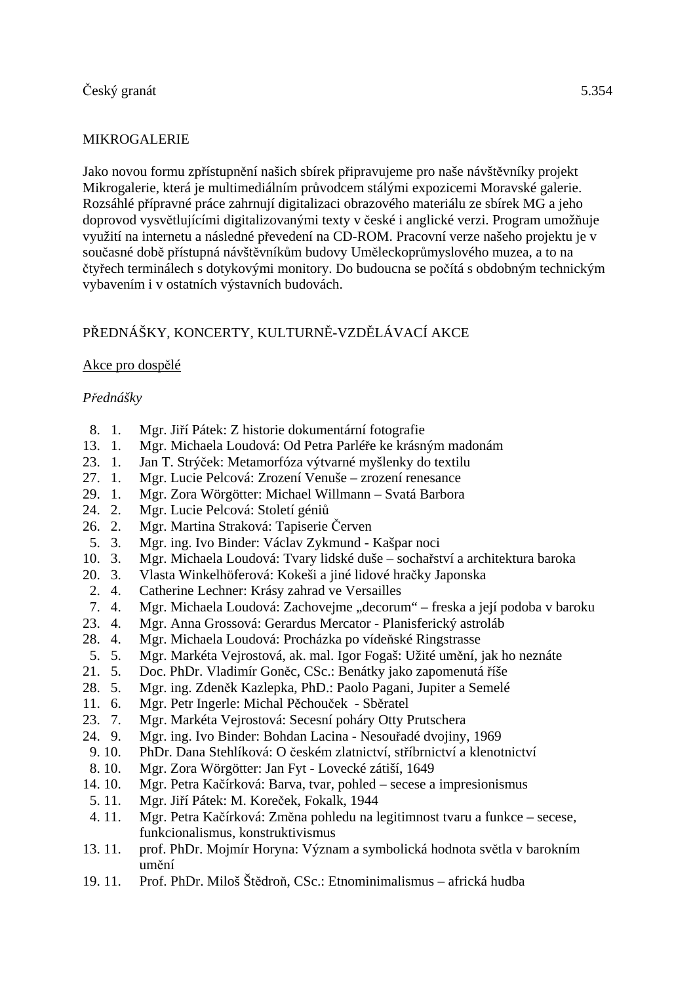# MIKROGALERIE

Jako novou formu zpřístupnění našich sbírek připravujeme pro naše návštěvníky projekt Mikrogalerie, která je multimediálním průvodcem stálými expozicemi Moravské galerie. Rozsáhlé přípravné práce zahrnují digitalizaci obrazového materiálu ze sbírek MG a jeho doprovod vysvětlujícími digitalizovanými texty v české i anglické verzi. Program umožňuje využití na internetu a následné převedení na CD-ROM. Pracovní verze našeho projektu je v současné době přístupná návštěvníkům budovy Uměleckoprůmyslového muzea, a to na čtyřech terminálech s dotykovými monitory. Do budoucna se počítá s obdobným technickým vybavením i v ostatních výstavních budovách.

# PŘEDNÁŠKY, KONCERTY, KULTURNĚ-VZDĚLÁVACÍ AKCE

# Akce pro dospělé

# *Přednášky*

- 8. 1. Mgr. Jiří Pátek: Z historie dokumentární fotografie
- 13. 1. Mgr. Michaela Loudová: Od Petra Parléře ke krásným madonám
- 23. 1. Jan T. Strýček: Metamorfóza výtvarné myšlenky do textilu
- 27. 1. Mgr. Lucie Pelcová: Zrození Venuše zrození renesance
- 29. 1. Mgr. Zora Wörgötter: Michael Willmann Svatá Barbora
- 24. 2. Mgr. Lucie Pelcová: Století géniů
- 26. 2. Mgr. Martina Straková: Tapiserie Červen
- 5. 3. Mgr. ing. Ivo Binder: Václav Zykmund Kašpar noci
- 10. 3. Mgr. Michaela Loudová: Tvary lidské duše sochařství a architektura baroka
- 20. 3. Vlasta Winkelhöferová: Kokeši a jiné lidové hračky Japonska
- 2. 4. Catherine Lechner: Krásy zahrad ve Versailles
- 7. 4. Mgr. Michaela Loudová: Zachovejme "decorum" freska a její podoba v baroku
- 23. 4. Mgr. Anna Grossová: Gerardus Mercator Planisferický astroláb
- 28. 4. Mgr. Michaela Loudová: Procházka po vídeňské Ringstrasse
- 5. 5. Mgr. Markéta Vejrostová, ak. mal. Igor Fogaš: Užité umění, jak ho neznáte
- 21. 5. Doc. PhDr. Vladimír Goněc, CSc.: Benátky jako zapomenutá říše
- 28. 5. Mgr. ing. Zdeněk Kazlepka, PhD.: Paolo Pagani, Jupiter a Semelé
- 11. 6. Mgr. Petr Ingerle: Michal Pěchouček Sběratel
- 23. 7. Mgr. Markéta Vejrostová: Secesní poháry Otty Prutschera<br>24. 9. Mgr. ing. Ivo Binder: Bohdan Lacina Nesouřadé dvojiny.
- 24. 9. Mgr. ing. Ivo Binder: Bohdan Lacina Nesouřadé dvojiny, 1969
- 9. 10. PhDr. Dana Stehlíková: O českém zlatnictví, stříbrnictví a klenotnictví
- 8. 10. Mgr. Zora Wörgötter: Jan Fyt Lovecké zátiší, 1649
- 14. 10. Mgr. Petra Kačírková: Barva, tvar, pohled secese a impresionismus
- 5. 11. Mgr. Jiří Pátek: M. Koreček, Fokalk, 1944
- 4. 11. Mgr. Petra Kačírková: Změna pohledu na legitimnost tvaru a funkce secese, funkcionalismus, konstruktivismus
- 13. 11. prof. PhDr. Mojmír Horyna: Význam a symbolická hodnota světla v barokním umění
- 19. 11. Prof. PhDr. Miloš Štědroň, CSc.: Etnominimalismus africká hudba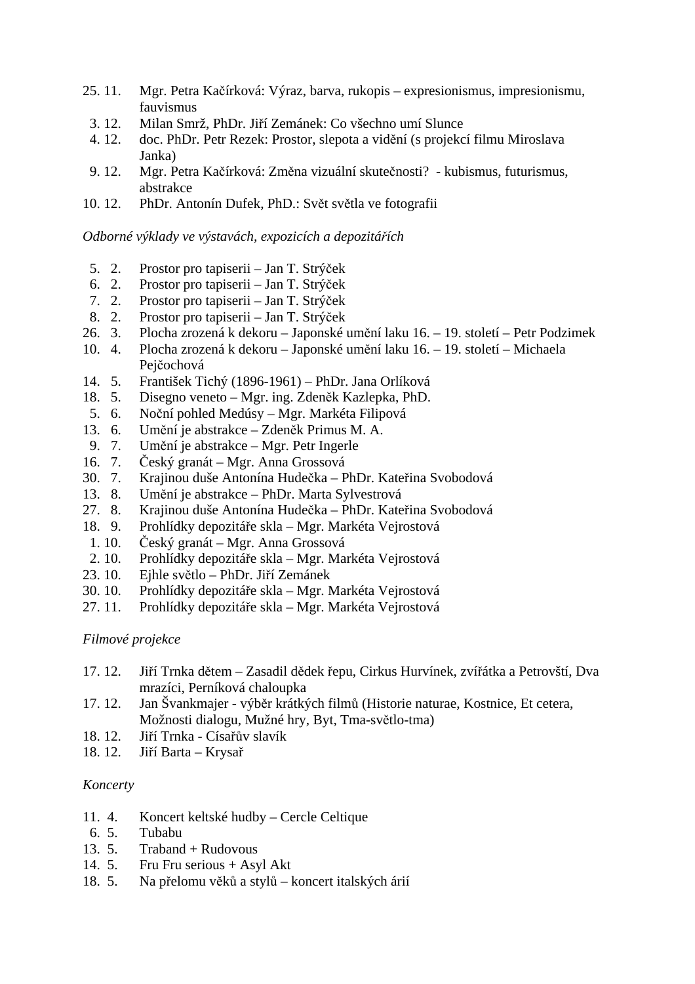- 25. 11. Mgr. Petra Kačírková: Výraz, barva, rukopis expresionismus, impresionismu, fauvismus
	- 3. 12. Milan Smrž, PhDr. Jiří Zemánek: Co všechno umí Slunce
- 4. 12. doc. PhDr. Petr Rezek: Prostor, slepota a vidění (s projekcí filmu Miroslava Janka)
- 9. 12. Mgr. Petra Kačírková: Změna vizuální skutečnosti? kubismus, futurismus, abstrakce
- 10. 12. PhDr. Antonín Dufek, PhD.: Svět světla ve fotografii

### *Odborné výklady ve výstavách, expozicích a depozitářích*

- 5. 2. Prostor pro tapiserii Jan T. Strýček
- 6. 2. Prostor pro tapiserii Jan T. Strýček
- 7. 2. Prostor pro tapiserii Jan T. Strýček
- 8. 2. Prostor pro tapiserii Jan T. Strýček
- 26. 3. Plocha zrozená k dekoru Japonské umění laku 16. 19. století Petr Podzimek
- 10. 4. Plocha zrozená k dekoru Japonské umění laku 16. 19. století Michaela Pejčochová
- 14. 5. František Tichý (1896-1961) PhDr. Jana Orlíková
- 18. 5. Disegno veneto Mgr. ing. Zdeněk Kazlepka, PhD.
- 5. 6. Noční pohled Medúsy Mgr. Markéta Filipová
- 13. 6. Umění je abstrakce Zdeněk Primus M. A.
- 9. 7. Umění je abstrakce Mgr. Petr Ingerle
- 16. 7. Český granát Mgr. Anna Grossová
- 30. 7. Krajinou duše Antonína Hudečka PhDr. Kateřina Svobodová
- 13. 8. Umění je abstrakce PhDr. Marta Sylvestrová
- 27. 8. Krajinou duše Antonína Hudečka PhDr. Kateřina Svobodová
- 18. 9. Prohlídky depozitáře skla Mgr. Markéta Vejrostová
- 1. 10. Český granát Mgr. Anna Grossová
- 2. 10. Prohlídky depozitáře skla Mgr. Markéta Vejrostová
- 23. 10. Ejhle světlo PhDr. Jiří Zemánek
- 30. 10. Prohlídky depozitáře skla Mgr. Markéta Vejrostová
- 27. 11. Prohlídky depozitáře skla Mgr. Markéta Vejrostová

# *Filmové projekce*

- 17. 12. Jiří Trnka dětem Zasadil dědek řepu, Cirkus Hurvínek, zvířátka a Petrovští, Dva mrazíci, Perníková chaloupka
- 17. 12. Jan Švankmajer výběr krátkých filmů (Historie naturae, Kostnice, Et cetera, Možnosti dialogu, Mužné hry, Byt, Tma-světlo-tma)
- 18. 12. Jiří Trnka Císařův slavík
- 18. 12. Jiří Barta Krysař

#### *Koncerty*

- 11. 4. Koncert keltské hudby Cercle Celtique
- 6. 5. Tubabu
- 13. 5. Traband + Rudovous
- 14. 5. Fru Fru serious + Asyl Akt
- 18. 5. Na přelomu věků a stylů koncert italských árií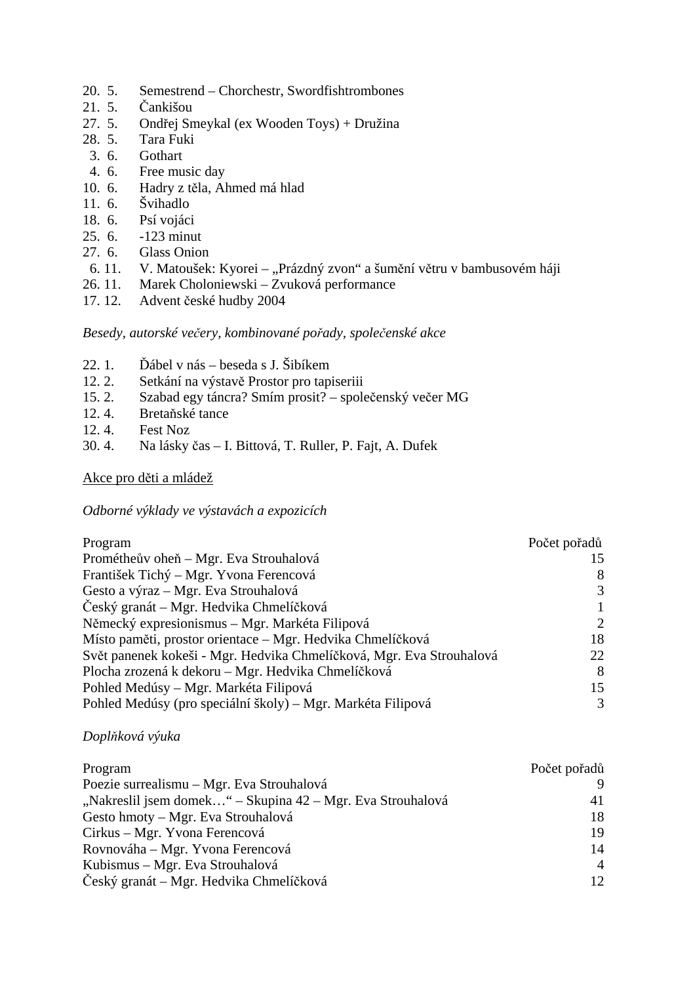- 20. 5. Semestrend Chorchestr, Swordfishtrombones
- 21. 5. Čankišou
- 27. 5. Ondřej Smeykal (ex Wooden Toys) + Družina
- 28. 5. Tara Fuki
- 3. 6. Gothart
- 4. 6. Free music day
- 10. 6. Hadry z těla, Ahmed má hlad
- 11. 6. Švihadlo
- 18. 6. Psí vojáci
- 25. 6. -123 minut
- 27. 6. Glass Onion
- 6. 11. V. Matoušek: Kyorei "Prázdný zvon" a šumění větru v bambusovém háji
- 26. 11. Marek Choloniewski Zvuková performance
- 17. 12. Advent české hudby 2004

# *Besedy, autorské večery, kombinované pořady, společenské akce*

- 22. 1. Ďábel v nás beseda s J. Šibíkem<br>12. 2. Setkání na výstavě Prostor pro tapi
- Setkání na výstavě Prostor pro tapiseriii
- 15. 2. Szabad egy táncra? Smím prosit? společenský večer MG
- 12. 4. Bretaňské tance
- 12. 4. Fest Noz
- 30. 4. Na lásky čas I. Bittová, T. Ruller, P. Fajt, A. Dufek

# Akce pro děti a mládež

# *Odborné výklady ve výstavách a expozicích*

| Program                                                              | Počet pořadů  |
|----------------------------------------------------------------------|---------------|
| Prométheův oheň – Mgr. Eva Strouhalová                               |               |
| František Tichý – Mgr. Yvona Ferencová                               |               |
| Gesto a výraz – Mgr. Eva Strouhalová                                 | 3             |
| Český granát – Mgr. Hedvika Chmelíčková                              |               |
| Německý expresionismus – Mgr. Markéta Filipová                       | $\mathcal{L}$ |
| Místo paměti, prostor orientace – Mgr. Hedvika Chmelíčková           | 18            |
| Svět panenek kokeši - Mgr. Hedvika Chmelíčková, Mgr. Eva Strouhalová | 22            |
| Plocha zrozená k dekoru – Mgr. Hedvika Chmelíčková                   | 8             |
| Pohled Medúsy – Mgr. Markéta Filipová                                | 15            |
| Pohled Medúsy (pro speciální školy) – Mgr. Markéta Filipová          | 3             |

# *Doplňková výuka*

| Program                                                    | Počet pořadů   |
|------------------------------------------------------------|----------------|
| Poezie surrealismu – Mgr. Eva Strouhalová                  |                |
| "Nakreslil jsem domek" – Skupina 42 – Mgr. Eva Strouhalová | 41             |
| Gesto hmoty – Mgr. Eva Strouhalová                         | 18             |
| Cirkus – Mgr. Yvona Ferencová                              | 19             |
| Rovnováha – Mgr. Yvona Ferencová                           | 14             |
| Kubismus – Mgr. Eva Strouhalová                            | $\overline{4}$ |
| Český granát – Mgr. Hedvika Chmelíčková                    | 12             |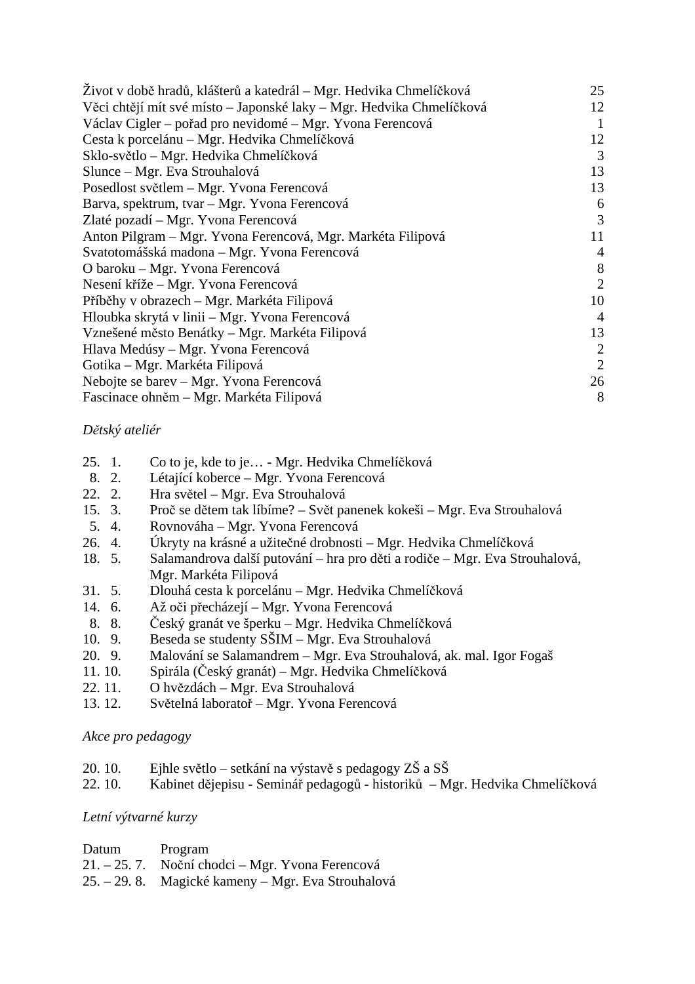| Život v době hradů, klášterů a katedrál – Mgr. Hedvika Chmelíčková   | 25             |
|----------------------------------------------------------------------|----------------|
| Věci chtějí mít své místo – Japonské laky – Mgr. Hedvika Chmelíčková | 12             |
| Václav Cigler – pořad pro nevidomé – Mgr. Yvona Ferencová            |                |
| Cesta k porcelánu – Mgr. Hedvika Chmelíčková                         | 12             |
| Sklo-světlo – Mgr. Hedvika Chmelíčková                               | 3              |
| Slunce – Mgr. Eva Strouhalová                                        | 13             |
| Posedlost světlem – Mgr. Yvona Ferencová                             | 13             |
| Barva, spektrum, tvar - Mgr. Yvona Ferencová                         | 6              |
| Zlaté pozadí – Mgr. Yvona Ferencová                                  | 3              |
| Anton Pilgram – Mgr. Yvona Ferencová, Mgr. Markéta Filipová          | 11             |
| Svatotomášská madona – Mgr. Yvona Ferencová                          | $\overline{4}$ |
| O baroku – Mgr. Yvona Ferencová                                      | 8              |
| Nesení kříže – Mgr. Yvona Ferencová                                  | 2              |
| Příběhy v obrazech – Mgr. Markéta Filipová                           | 10             |
| Hloubka skrytá v linii – Mgr. Yvona Ferencová                        | $\overline{4}$ |
| Vznešené město Benátky – Mgr. Markéta Filipová                       | 13             |
| Hlava Medúsy – Mgr. Yvona Ferencová                                  | 2              |
| Gotika – Mgr. Markéta Filipová                                       | $\overline{2}$ |
| Nebojte se barev – Mgr. Yvona Ferencová                              | 26             |
| Fascinace ohněm – Mgr. Markéta Filipová                              | 8              |

# *Dětský ateliér*

- 25. 1. Co to je, kde to je… Mgr. Hedvika Chmelíčková
- 8. 2. Létající koberce Mgr. Yvona Ferencová
- 22. 2. Hra světel Mgr. Eva Strouhalová
- 15. 3. Proč se dětem tak líbíme? Svět panenek kokeši Mgr. Eva Strouhalová
- 5. 4. Rovnováha Mgr. Yvona Ferencová
- 26. 4. Úkryty na krásné a užitečné drobnosti Mgr. Hedvika Chmelíčková
- 18. 5. Salamandrova další putování hra pro děti a rodiče Mgr. Eva Strouhalová, Mgr. Markéta Filipová
- 31. 5. Dlouhá cesta k porcelánu Mgr. Hedvika Chmelíčková
- 14. 6. Až oči přecházejí Mgr. Yvona Ferencová
- 8. 8. Český granát ve šperku Mgr. Hedvika Chmelíčková
- 10. 9. Beseda se studenty SŠIM Mgr. Eva Strouhalová
- 20. 9. Malování se Salamandrem Mgr. Eva Strouhalová, ak. mal. Igor Fogaš
- 11. 10. Spirála (Český granát) Mgr. Hedvika Chmelíčková
- 22. 11. O hvězdách Mgr. Eva Strouhalová
- 13. 12. Světelná laboratoř Mgr. Yvona Ferencová

# *Akce pro pedagogy*

- 20. 10. Ejhle světlo setkání na výstavě s pedagogy ZŠ a SŠ
- 22. 10. Kabinet dějepisu Seminář pedagogů historiků Mgr. Hedvika Chmelíčková

# *Letní výtvarné kurzy*

| Datum | Program                                            |
|-------|----------------------------------------------------|
|       | 21. – 25. 7. Noční chodci – Mgr. Yvona Ferencová   |
|       | 25. – 29. 8. Magické kameny – Mgr. Eva Strouhalová |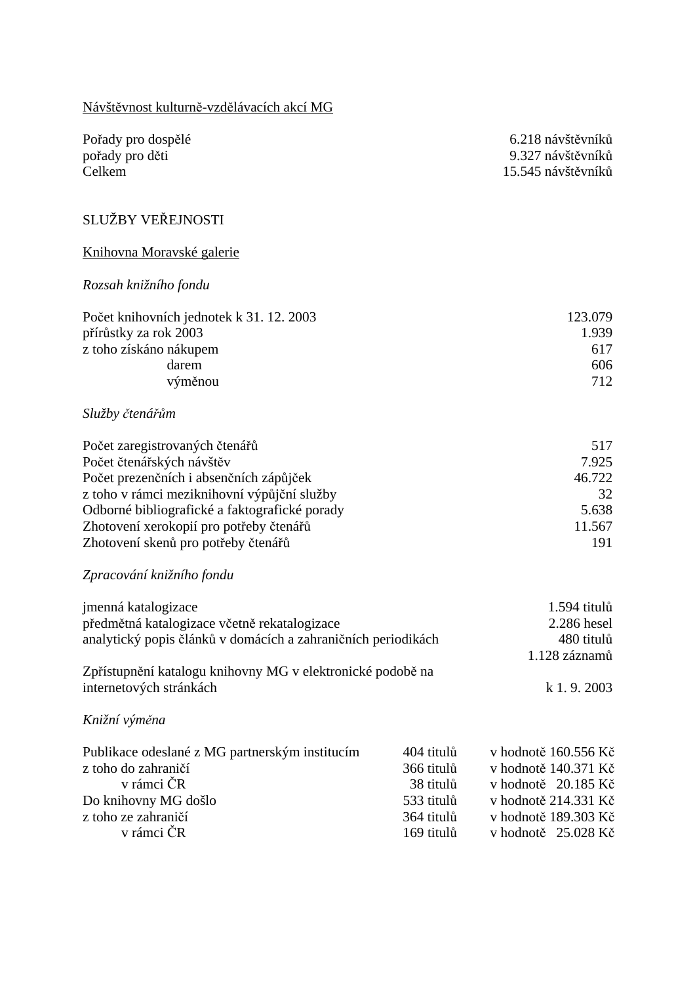| Návštěvnost kulturně-vzdělávacích akcí MG                                                                                                                                                                                                                                                |                                                                                 |                                                                                                                                            |
|------------------------------------------------------------------------------------------------------------------------------------------------------------------------------------------------------------------------------------------------------------------------------------------|---------------------------------------------------------------------------------|--------------------------------------------------------------------------------------------------------------------------------------------|
| Pořady pro dospělé<br>pořady pro děti<br>Celkem                                                                                                                                                                                                                                          |                                                                                 | 6.218 návštěvníků<br>9.327 návštěvníků<br>15.545 návštěvníků                                                                               |
| SLUŽBY VEŘEJNOSTI                                                                                                                                                                                                                                                                        |                                                                                 |                                                                                                                                            |
| Knihovna Moravské galerie                                                                                                                                                                                                                                                                |                                                                                 |                                                                                                                                            |
| Rozsah knižního fondu                                                                                                                                                                                                                                                                    |                                                                                 |                                                                                                                                            |
| Počet knihovních jednotek k 31. 12. 2003<br>přírůstky za rok 2003<br>z toho získáno nákupem<br>darem<br>výměnou                                                                                                                                                                          |                                                                                 | 123.079<br>1.939<br>617<br>606<br>712                                                                                                      |
| Služby čtenářům                                                                                                                                                                                                                                                                          |                                                                                 |                                                                                                                                            |
| Počet zaregistrovaných čtenářů<br>Počet čtenářských návštěv<br>Počet prezenčních i absenčních zápůjček<br>z toho v rámci meziknihovní výpůjční služby<br>Odborné bibliografické a faktografické porady<br>Zhotovení xerokopií pro potřeby čtenářů<br>Zhotovení skenů pro potřeby čtenářů |                                                                                 | 517<br>7.925<br>46.722<br>32<br>5.638<br>11.567<br>191                                                                                     |
| Zpracování knižního fondu                                                                                                                                                                                                                                                                |                                                                                 |                                                                                                                                            |
| jmenná katalogizace<br>předmětná katalogizace včetně rekatalogizace<br>analytický popis článků v domácích a zahraničních periodikách                                                                                                                                                     |                                                                                 | 1.594 titulů<br>2.286 hesel<br>480 titulů<br>1.128 záznamů                                                                                 |
| Zpřístupnění katalogu knihovny MG v elektronické podobě na<br>internetových stránkách                                                                                                                                                                                                    |                                                                                 | $k$ 1.9.2003                                                                                                                               |
| Knižní výměna                                                                                                                                                                                                                                                                            |                                                                                 |                                                                                                                                            |
| Publikace odeslané z MG partnerským institucím<br>z toho do zahraničí<br>v rámci ČR<br>Do knihovny MG došlo<br>z toho ze zahraničí<br>v rámci ČR                                                                                                                                         | 404 titulů<br>366 titulů<br>38 titulů<br>533 titulů<br>364 titulů<br>169 titulů | v hodnotě 160.556 Kč<br>v hodnotě 140.371 Kč<br>v hodnotě 20.185 Kč<br>v hodnotě 214.331 Kč<br>v hodnotě 189.303 Kč<br>v hodnotě 25.028 Kč |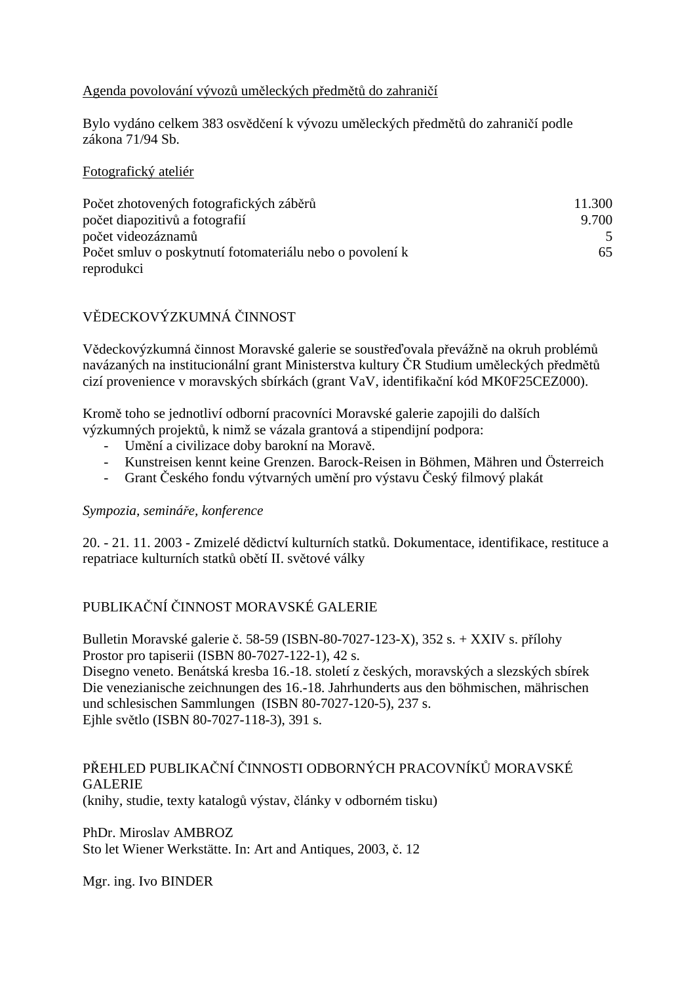# Agenda povolování vývozů uměleckých předmětů do zahraničí

Bylo vydáno celkem 383 osvědčení k vývozu uměleckých předmětů do zahraničí podle zákona 71/94 Sb.

Fotografický ateliér

| Počet zhotovených fotografických záběrů                  | 11.300 |
|----------------------------------------------------------|--------|
| počet diapozitivů a fotografií                           | 9.700  |
| počet videozáznamů                                       |        |
| Počet smluv o poskytnutí fotomateriálu nebo o povolení k | 65     |
| reprodukci                                               |        |

# VĚDECKOVÝZKUMNÁ ČINNOST

Vědeckovýzkumná činnost Moravské galerie se soustřeďovala převážně na okruh problémů navázaných na institucionální grant Ministerstva kultury ČR Studium uměleckých předmětů cizí provenience v moravských sbírkách (grant VaV, identifikační kód MK0F25CEZ000).

Kromě toho se jednotliví odborní pracovníci Moravské galerie zapojili do dalších výzkumných projektů, k nimž se vázala grantová a stipendijní podpora:

- Umění a civilizace doby barokní na Moravě.
- Kunstreisen kennt keine Grenzen. Barock-Reisen in Böhmen, Mähren und Österreich
- Grant Českého fondu výtvarných umění pro výstavu Český filmový plakát

# *Sympozia, semináře, konference*

20. - 21. 11. 2003 - Zmizelé dědictví kulturních statků. Dokumentace, identifikace, restituce a repatriace kulturních statků obětí II. světové války

# PUBLIKAČNÍ ČINNOST MORAVSKÉ GALERIE

Bulletin Moravské galerie č. 58-59 (ISBN-80-7027-123-X), 352 s. + XXIV s. přílohy Prostor pro tapiserii (ISBN 80-7027-122-1), 42 s.

Disegno veneto. Benátská kresba 16.-18. století z českých, moravských a slezských sbírek Die venezianische zeichnungen des 16.-18. Jahrhunderts aus den böhmischen, mährischen und schlesischen Sammlungen (ISBN 80-7027-120-5), 237 s. Ejhle světlo (ISBN 80-7027-118-3), 391 s.

# PŘEHLED PUBLIKAČNÍ ČINNOSTI ODBORNÝCH PRACOVNÍKŮ MORAVSKÉ **GALERIE**

(knihy, studie, texty katalogů výstav, články v odborném tisku)

PhDr. Miroslav AMBROZ Sto let Wiener Werkstätte. In: Art and Antiques, 2003, č. 12

Mgr. ing. Ivo BINDER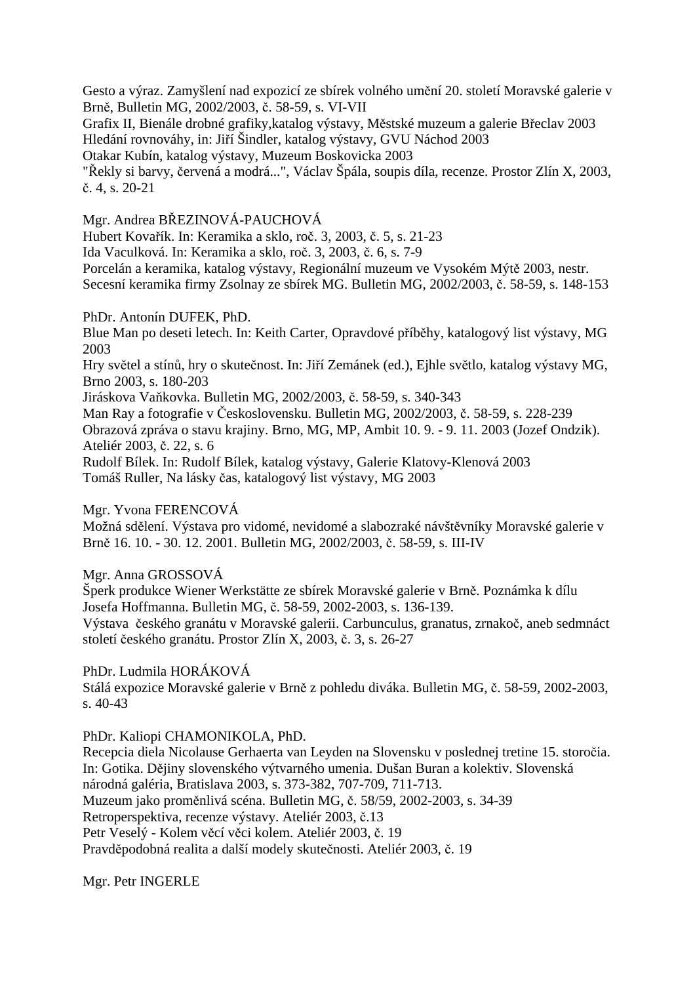Gesto a výraz. Zamyšlení nad expozicí ze sbírek volného umění 20. století Moravské galerie v Brně, Bulletin MG, 2002/2003, č. 58-59, s. VI-VII

Grafix II, Bienále drobné grafiky,katalog výstavy, Městské muzeum a galerie Břeclav 2003 Hledání rovnováhy, in: Jiří Šindler, katalog výstavy, GVU Náchod 2003

Otakar Kubín, katalog výstavy, Muzeum Boskovicka 2003

"Řekly si barvy, červená a modrá...", Václav Špála, soupis díla, recenze. Prostor Zlín X, 2003, č. 4, s. 20-21

Mgr. Andrea BŘEZINOVÁ-PAUCHOVÁ

Hubert Kovařík. In: Keramika a sklo, roč. 3, 2003, č. 5, s. 21-23

Ida Vaculková. In: Keramika a sklo, roč. 3, 2003, č. 6, s. 7-9

Porcelán a keramika, katalog výstavy, Regionální muzeum ve Vysokém Mýtě 2003, nestr. Secesní keramika firmy Zsolnay ze sbírek MG. Bulletin MG, 2002/2003, č. 58-59, s. 148-153

PhDr. Antonín DUFEK, PhD.

Blue Man po deseti letech. In: Keith Carter, Opravdové příběhy, katalogový list výstavy, MG 2003

Hry světel a stínů, hry o skutečnost. In: Jiří Zemánek (ed.), Ejhle světlo, katalog výstavy MG, Brno 2003, s. 180-203

Jiráskova Vaňkovka. Bulletin MG, 2002/2003, č. 58-59, s. 340-343

Man Ray a fotografie v Československu. Bulletin MG, 2002/2003, č. 58-59, s. 228-239 Obrazová zpráva o stavu krajiny. Brno, MG, MP, Ambit 10. 9. - 9. 11. 2003 (Jozef Ondzik).

Ateliér 2003, č. 22, s. 6

Rudolf Bílek. In: Rudolf Bílek, katalog výstavy, Galerie Klatovy-Klenová 2003 Tomáš Ruller, Na lásky čas, katalogový list výstavy, MG 2003

# Mgr. Yvona FERENCOVÁ

Možná sdělení. Výstava pro vidomé, nevidomé a slabozraké návštěvníky Moravské galerie v Brně 16. 10. - 30. 12. 2001. Bulletin MG, 2002/2003, č. 58-59, s. III-IV

# Mgr. Anna GROSSOVÁ

Šperk produkce Wiener Werkstätte ze sbírek Moravské galerie v Brně. Poznámka k dílu Josefa Hoffmanna. Bulletin MG, č. 58-59, 2002-2003, s. 136-139.

Výstava českého granátu v Moravské galerii. Carbunculus, granatus, zrnakoč, aneb sedmnáct století českého granátu. Prostor Zlín X, 2003, č. 3, s. 26-27

PhDr. Ludmila HORÁKOVÁ

Stálá expozice Moravské galerie v Brně z pohledu diváka. Bulletin MG, č. 58-59, 2002-2003, s. 40-43

PhDr. Kaliopi CHAMONIKOLA, PhD.

Recepcia diela Nicolause Gerhaerta van Leyden na Slovensku v poslednej tretine 15. storočia. In: Gotika. Dějiny slovenského výtvarného umenia. Dušan Buran a kolektiv. Slovenská národná galéria, Bratislava 2003, s. 373-382, 707-709, 711-713. Muzeum jako proměnlivá scéna. Bulletin MG, č. 58/59, 2002-2003, s. 34-39 Retroperspektiva, recenze výstavy. Ateliér 2003, č.13 Petr Veselý - Kolem věcí věci kolem. Ateliér 2003, č. 19 Pravděpodobná realita a další modely skutečnosti. Ateliér 2003, č. 19

Mgr. Petr INGERLE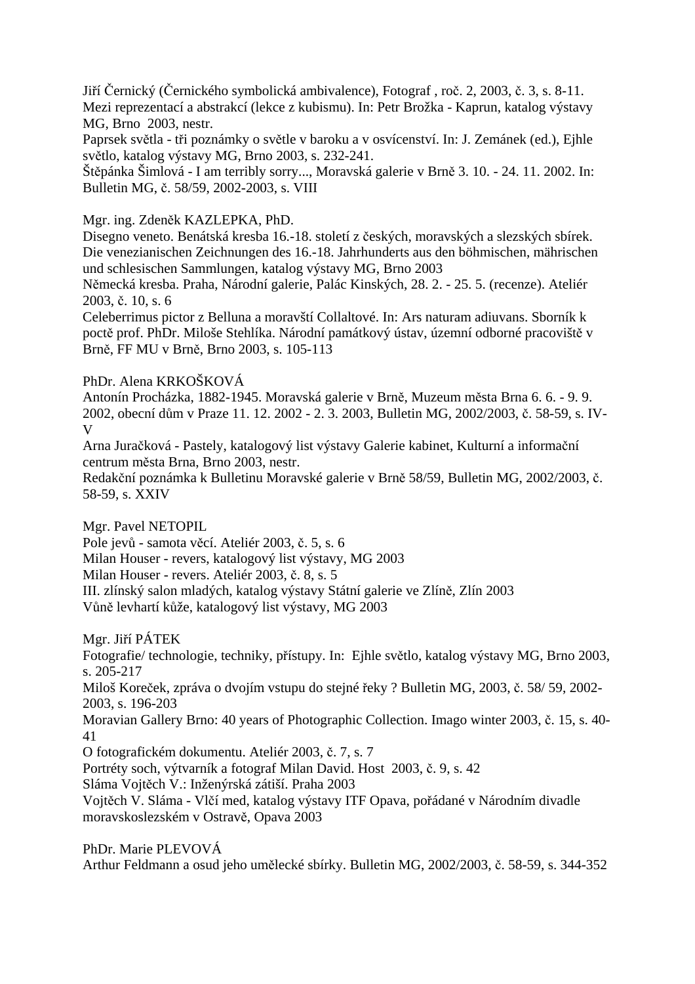Jiří Černický (Černického symbolická ambivalence), Fotograf , roč. 2, 2003, č. 3, s. 8-11. Mezi reprezentací a abstrakcí (lekce z kubismu). In: Petr Brožka - Kaprun, katalog výstavy MG, Brno 2003, nestr.

Paprsek světla - tři poznámky o světle v baroku a v osvícenství. In: J. Zemánek (ed.), Ejhle světlo, katalog výstavy MG, Brno 2003, s. 232-241.

Štěpánka Šimlová - I am terribly sorry..., Moravská galerie v Brně 3. 10. - 24. 11. 2002. In: Bulletin MG, č. 58/59, 2002-2003, s. VIII

Mgr. ing. Zdeněk KAZLEPKA, PhD.

Disegno veneto. Benátská kresba 16.-18. století z českých, moravských a slezských sbírek. Die venezianischen Zeichnungen des 16.-18. Jahrhunderts aus den böhmischen, mährischen und schlesischen Sammlungen, katalog výstavy MG, Brno 2003

Německá kresba. Praha, Národní galerie, Palác Kinských, 28. 2. - 25. 5. (recenze). Ateliér 2003, č. 10, s. 6

Celeberrimus pictor z Belluna a moravští Collaltové. In: Ars naturam adiuvans. Sborník k poctě prof. PhDr. Miloše Stehlíka. Národní památkový ústav, územní odborné pracoviště v Brně, FF MU v Brně, Brno 2003, s. 105-113

PhDr. Alena KRKOŠKOVÁ

Antonín Procházka, 1882-1945. Moravská galerie v Brně, Muzeum města Brna 6. 6. - 9. 9. 2002, obecní dům v Praze 11. 12. 2002 - 2. 3. 2003, Bulletin MG, 2002/2003, č. 58-59, s. IV-V

Arna Juračková - Pastely, katalogový list výstavy Galerie kabinet, Kulturní a informační centrum města Brna, Brno 2003, nestr.

Redakční poznámka k Bulletinu Moravské galerie v Brně 58/59, Bulletin MG, 2002/2003, č. 58-59, s. XXIV

Mgr. Pavel NETOPIL

Pole jevů - samota věcí. Ateliér 2003, č. 5, s. 6

Milan Houser - revers, katalogový list výstavy, MG 2003

Milan Houser - revers. Ateliér 2003, č. 8, s. 5

III. zlínský salon mladých, katalog výstavy Státní galerie ve Zlíně, Zlín 2003

Vůně levhartí kůže, katalogový list výstavy, MG 2003

Mgr. Jiří PÁTEK

Fotografie/ technologie, techniky, přístupy. In: Ejhle světlo, katalog výstavy MG, Brno 2003, s. 205-217

Miloš Koreček, zpráva o dvojím vstupu do stejné řeky ? Bulletin MG, 2003, č. 58/ 59, 2002- 2003, s. 196-203

Moravian Gallery Brno: 40 years of Photographic Collection. Imago winter 2003, č. 15, s. 40- 41

O fotografickém dokumentu. Ateliér 2003, č. 7, s. 7

Portréty soch, výtvarník a fotograf Milan David. Host 2003, č. 9, s. 42

Sláma Vojtěch V.: Inženýrská zátiší. Praha 2003

Vojtěch V. Sláma - Vlčí med, katalog výstavy ITF Opava, pořádané v Národním divadle moravskoslezském v Ostravě, Opava 2003

PhDr. Marie PLEVOVÁ Arthur Feldmann a osud jeho umělecké sbírky. Bulletin MG, 2002/2003, č. 58-59, s. 344-352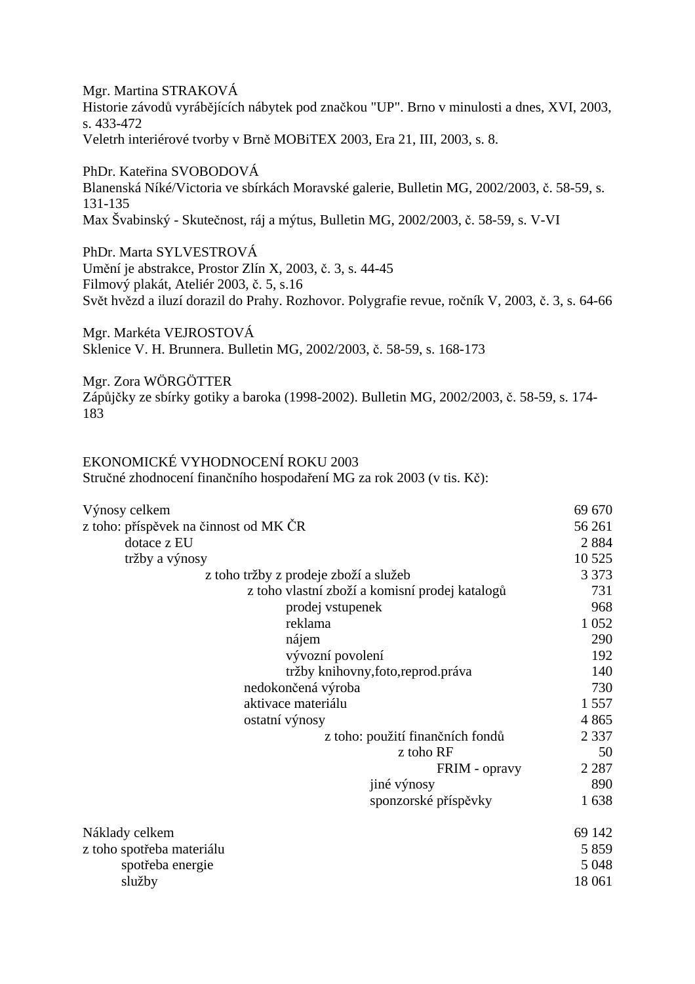Mgr. Martina STRAKOVÁ Historie závodů vyrábějících nábytek pod značkou "UP". Brno v minulosti a dnes, XVI, 2003, s. 433-472 Veletrh interiérové tvorby v Brně MOBiTEX 2003, Era 21, III, 2003, s. 8.

PhDr. Kateřina SVOBODOVÁ Blanenská Níké/Victoria ve sbírkách Moravské galerie, Bulletin MG, 2002/2003, č. 58-59, s. 131-135 Max Švabinský - Skutečnost, ráj a mýtus, Bulletin MG, 2002/2003, č. 58-59, s. V-VI

PhDr. Marta SYLVESTROVÁ Umění je abstrakce, Prostor Zlín X, 2003, č. 3, s. 44-45 Filmový plakát, Ateliér 2003, č. 5, s.16 Svět hvězd a iluzí dorazil do Prahy. Rozhovor. Polygrafie revue, ročník V, 2003, č. 3, s. 64-66

Mgr. Markéta VEJROSTOVÁ Sklenice V. H. Brunnera. Bulletin MG, 2002/2003, č. 58-59, s. 168-173

Mgr. Zora WÖRGÖTTER Zápůjčky ze sbírky gotiky a baroka (1998-2002). Bulletin MG, 2002/2003, č. 58-59, s. 174- 183

EKONOMICKÉ VYHODNOCENÍ ROKU 2003

Stručné zhodnocení finančního hospodaření MG za rok 2003 (v tis. Kč):

| Výnosy celkem                                  | 69 670  |
|------------------------------------------------|---------|
| z toho: příspěvek na činnost od MK ČR          | 56 261  |
| dotace z EU                                    | 2884    |
| tržby a výnosy                                 | 10 5 25 |
| z toho tržby z prodeje zboží a služeb          | 3 3 7 3 |
| z toho vlastní zboží a komisní prodej katalogů | 731     |
| prodej vstupenek                               | 968     |
| reklama                                        | 1 0 5 2 |
| nájem                                          | 290     |
| vývozní povolení                               | 192     |
| tržby knihovny, foto, reprod. práva            | 140     |
| nedokončená výroba                             | 730     |
| aktivace materiálu                             | 1 5 5 7 |
| ostatní výnosy                                 | 4865    |
| z toho: použití finančních fondů               | 2 3 3 7 |
| z toho RF                                      | 50      |
| FRIM - opravy                                  | 2 2 8 7 |
| jiné výnosy                                    | 890     |
| sponzorské příspěvky                           | 1638    |
| Náklady celkem                                 | 69 142  |
| z toho spotřeba materiálu                      | 5 8 5 9 |
| spotřeba energie                               | 5 0 48  |
| služby                                         | 18 061  |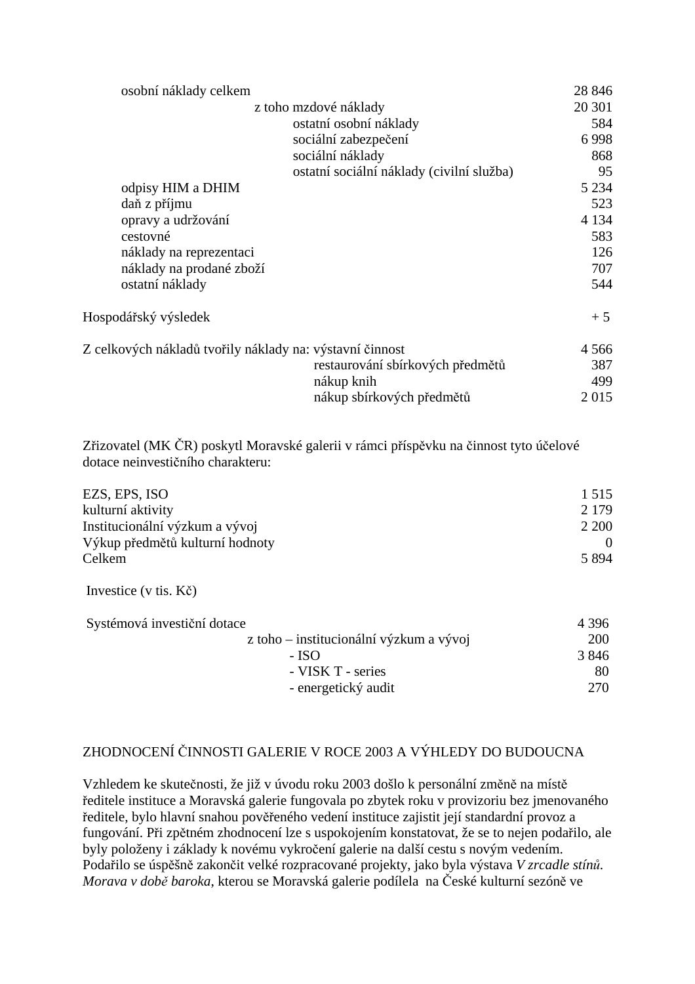| osobní náklady celkem                                    |                                           | 28 8 46 |
|----------------------------------------------------------|-------------------------------------------|---------|
| z toho mzdové náklady                                    |                                           | 20 301  |
|                                                          | ostatní osobní náklady                    | 584     |
|                                                          | sociální zabezpečení                      | 6998    |
|                                                          | sociální náklady                          | 868     |
|                                                          | ostatní sociální náklady (civilní služba) | 95      |
| odpisy HIM a DHIM                                        |                                           | 5 2 3 4 |
| daň z příjmu                                             |                                           | 523     |
| opravy a udržování                                       |                                           | 4 1 3 4 |
| cestovné                                                 |                                           | 583     |
| náklady na reprezentaci                                  |                                           | 126     |
| náklady na prodané zboží                                 |                                           | 707     |
| ostatní náklady                                          |                                           | 544     |
| Hospodářský výsledek                                     |                                           | $+5$    |
| Z celkových nákladů tvořily náklady na: výstavní činnost |                                           | 4 5 6 6 |
|                                                          | restaurování sbírkových předmětů          | 387     |
|                                                          | nákup knih                                | 499     |
|                                                          | nákup sbírkových předmětů                 | 2015    |
|                                                          |                                           |         |

Zřizovatel (MK ČR) poskytl Moravské galerii v rámci příspěvku na činnost tyto účelové dotace neinvestičního charakteru:

| EZS, EPS, ISO                   | 1.515   |
|---------------------------------|---------|
| kulturní aktivity               | 2 1 7 9 |
| Institucionální výzkum a vývoj  | 2 2 0 0 |
| Výkup předmětů kulturní hodnoty |         |
| Celkem                          | 5 8 9 4 |

Investice (v tis. Kč)

| Systémová investiční dotace             | 4 3 9 6 |
|-----------------------------------------|---------|
| z toho – institucionální výzkum a vývoj | 200     |
| - ISO                                   | 3 8 4 6 |
| - VISK T - series                       | 80      |
| - energetický audit                     | 270     |

# ZHODNOCENÍ ČINNOSTI GALERIE V ROCE 2003 A VÝHLEDY DO BUDOUCNA

Vzhledem ke skutečnosti, že již v úvodu roku 2003 došlo k personální změně na místě ředitele instituce a Moravská galerie fungovala po zbytek roku v provizoriu bez jmenovaného ředitele, bylo hlavní snahou pověřeného vedení instituce zajistit její standardní provoz a fungování. Při zpětném zhodnocení lze s uspokojením konstatovat, že se to nejen podařilo, ale byly položeny i základy k novému vykročení galerie na další cestu s novým vedením. Podařilo se úspěšně zakončit velké rozpracované projekty, jako byla výstava *V zrcadle stínů. Morava v době baroka*, kterou se Moravská galerie podílela na České kulturní sezóně ve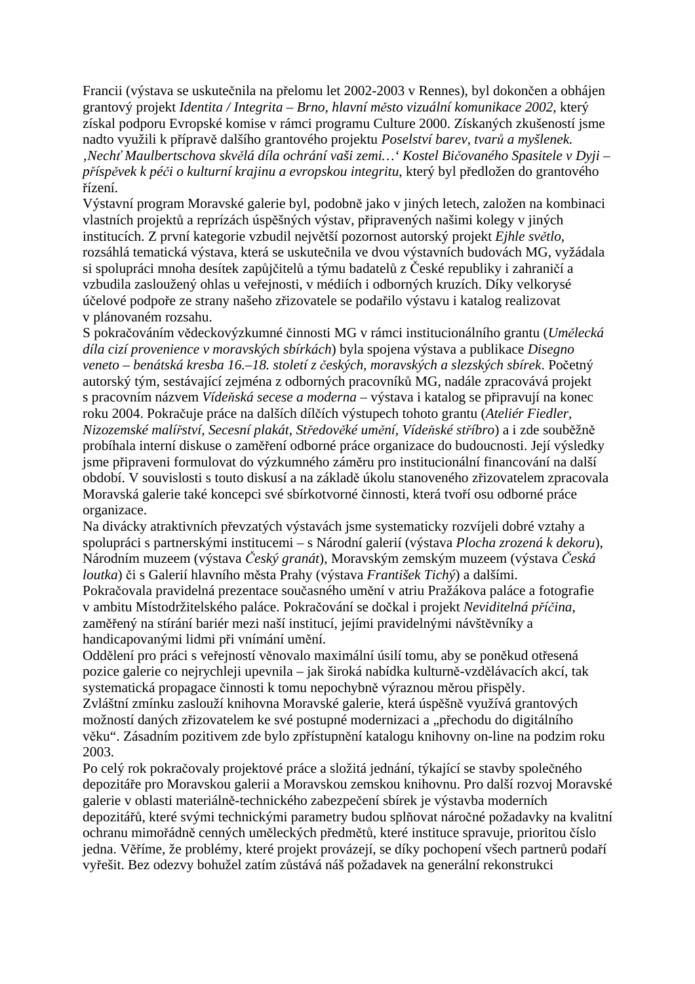Francii (výstava se uskutečnila na přelomu let 2002-2003 v Rennes), byl dokončen a obhájen grantový projekt *Identita / Integrita – Brno, hlavní město vizuální komunikace 2002*, který získal podporu Evropské komise v rámci programu Culture 2000. Získaných zkušeností jsme nadto využili k přípravě dalšího grantového projektu *Poselství barev, tvarů a myšlenek. 'Nechť Maulbertschova skvělá díla ochrání vaši zemi…' Kostel Bičovaného Spasitele v Dyji – příspěvek k péči o kulturní krajinu a evropskou integritu*, který byl předložen do grantového řízení.

Výstavní program Moravské galerie byl, podobně jako v jiných letech, založen na kombinaci vlastních projektů a reprízách úspěšných výstav, připravených našimi kolegy v jiných institucích. Z první kategorie vzbudil největší pozornost autorský projekt *Ejhle světlo*, rozsáhlá tematická výstava, která se uskutečnila ve dvou výstavních budovách MG, vyžádala si spolupráci mnoha desítek zapůjčitelů a týmu badatelů z České republiky i zahraničí a vzbudila zasloužený ohlas u veřejnosti, v médiích i odborných kruzích. Díky velkorysé účelové podpoře ze strany našeho zřizovatele se podařilo výstavu i katalog realizovat v plánovaném rozsahu.

S pokračováním vědeckovýzkumné činnosti MG v rámci institucionálního grantu (*Umělecká díla cizí provenience v moravských sbírkách*) byla spojena výstava a publikace *Disegno veneto – benátská kresba 16.–18. století z českých, moravských a slezských sbírek*. Početný autorský tým, sestávající zejména z odborných pracovníků MG, nadále zpracovává projekt s pracovním názvem *Vídeňská secese a moderna* – výstava i katalog se připravují na konec roku 2004. Pokračuje práce na dalších dílčích výstupech tohoto grantu (*Ateliér Fiedler, Nizozemské malířství, Secesní plakát, Středověké umění, Vídeňské stříbro*) a i zde souběžně probíhala interní diskuse o zaměření odborné práce organizace do budoucnosti. Její výsledky jsme připraveni formulovat do výzkumného záměru pro institucionální financování na další období. V souvislosti s touto diskusí a na základě úkolu stanoveného zřizovatelem zpracovala Moravská galerie také koncepci své sbírkotvorné činnosti, která tvoří osu odborné práce organizace.

Na divácky atraktivních převzatých výstavách jsme systematicky rozvíjeli dobré vztahy a spolupráci s partnerskými institucemi – s Národní galerií (výstava *Plocha zrozená k dekoru*), Národním muzeem (výstava *Český granát*), Moravským zemským muzeem (výstava *Česká loutka*) či s Galerií hlavního města Prahy (výstava *František Tichý*) a dalšími.

Pokračovala pravidelná prezentace současného umění v atriu Pražákova paláce a fotografie v ambitu Místodržitelského paláce. Pokračování se dočkal i projekt *Neviditelná příčina*, zaměřený na stírání bariér mezi naší institucí, jejími pravidelnými návštěvníky a handicapovanými lidmi při vnímání umění.

Oddělení pro práci s veřejností věnovalo maximální úsilí tomu, aby se poněkud otřesená pozice galerie co nejrychleji upevnila – jak široká nabídka kulturně-vzdělávacích akcí, tak systematická propagace činnosti k tomu nepochybně výraznou měrou přispěly.

Zvláštní zmínku zaslouží knihovna Moravské galerie, která úspěšně využívá grantových možností daných zřizovatelem ke své postupné modernizaci a "přechodu do digitálního věku". Zásadním pozitivem zde bylo zpřístupnění katalogu knihovny on-line na podzim roku 2003.

Po celý rok pokračovaly projektové práce a složitá jednání, týkající se stavby společného depozitáře pro Moravskou galerii a Moravskou zemskou knihovnu. Pro další rozvoj Moravské galerie v oblasti materiálně-technického zabezpečení sbírek je výstavba moderních depozitářů, které svými technickými parametry budou splňovat náročné požadavky na kvalitní ochranu mimořádně cenných uměleckých předmětů, které instituce spravuje, prioritou číslo jedna. Věříme, že problémy, které projekt provázejí, se díky pochopení všech partnerů podaří vyřešit. Bez odezvy bohužel zatím zůstává náš požadavek na generální rekonstrukci